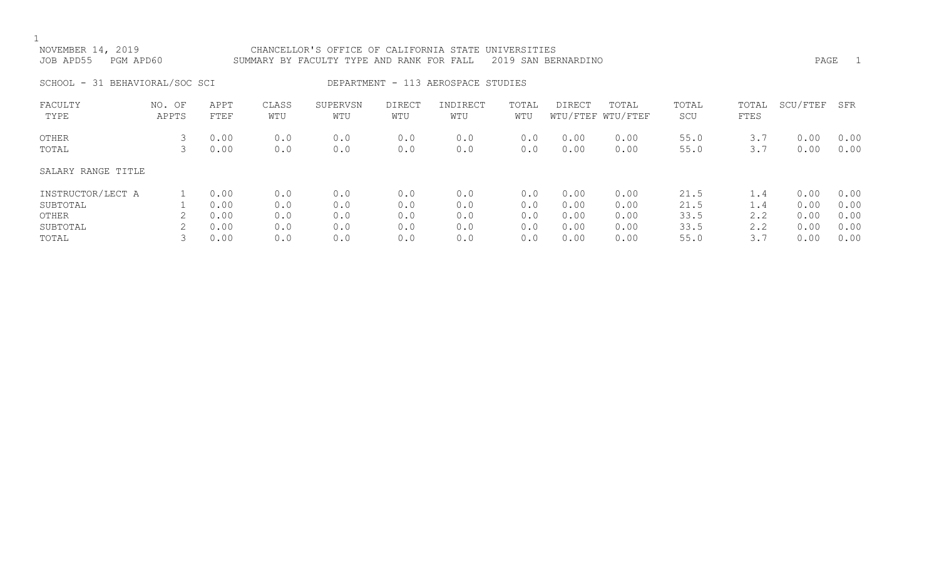| NOVEMBER 14, 2019<br>JOB APD55<br>PGM APD60 |                 |              |              | CHANCELLOR'S OFFICE OF CALIFORNIA STATE UNIVERSITIES<br>SUMMARY BY FACULTY TYPE AND RANK FOR FALL |               |                                    |              | 2019 SAN BERNARDINO |                            |              |               | PAGE         | $\overline{1}$ |
|---------------------------------------------|-----------------|--------------|--------------|---------------------------------------------------------------------------------------------------|---------------|------------------------------------|--------------|---------------------|----------------------------|--------------|---------------|--------------|----------------|
| SCHOOL - 31 BEHAVIORAL/SOC SCI              |                 |              |              |                                                                                                   |               | DEPARTMENT - 113 AEROSPACE STUDIES |              |                     |                            |              |               |              |                |
| FACULTY<br>TYPE                             | NO. OF<br>APPTS | APPT<br>FTEF | CLASS<br>WTU | SUPERVSN<br>WTU                                                                                   | DIRECT<br>WTU | INDIRECT<br>WTU                    | TOTAL<br>WTU | DIRECT              | TOTAL<br>WTU/FTEF WTU/FTEF | TOTAL<br>SCU | TOTAL<br>FTES | SCU/FTEF     | SFR            |
| OTHER<br>TOTAL                              | 3               | 0.00<br>0.00 | 0.0<br>0.0   | 0.0<br>0.0                                                                                        | 0.0<br>0.0    | 0.0<br>0.0                         | 0.0<br>0.0   | 0.00<br>0.00        | 0.00<br>0.00               | 55.0<br>55.0 | 3.7<br>3.7    | 0.00<br>0.00 | 0.00<br>0.00   |
| SALARY RANGE TITLE                          |                 |              |              |                                                                                                   |               |                                    |              |                     |                            |              |               |              |                |
| INSTRUCTOR/LECT A<br>SUBTOTAL               |                 | 0.00<br>0.00 | 0.0<br>0.0   | 0.0<br>0.0                                                                                        | 0.0<br>0.0    | 0.0<br>0.0                         | 0.0<br>0.0   | 0.00<br>0.00        | 0.00<br>0.00               | 21.5<br>21.5 | 1.4<br>1.4    | 0.00<br>0.00 | 0.00<br>0.00   |

OTHER 2 0.00 0.0 0.0 0.0 0.0 0.0 0.00 0.00 33.5 2.2 0.00 0.00 SUBTOTAL 2 0.00 0.0 0.0 0.0 0.0 0.0 0.00 0.00 33.5 2.2 0.00 0.00 TOTAL 3 0.00 0.0 0.0 0.0 0.0 0.0 0.00 0.00 55.0 3.7 0.00 0.00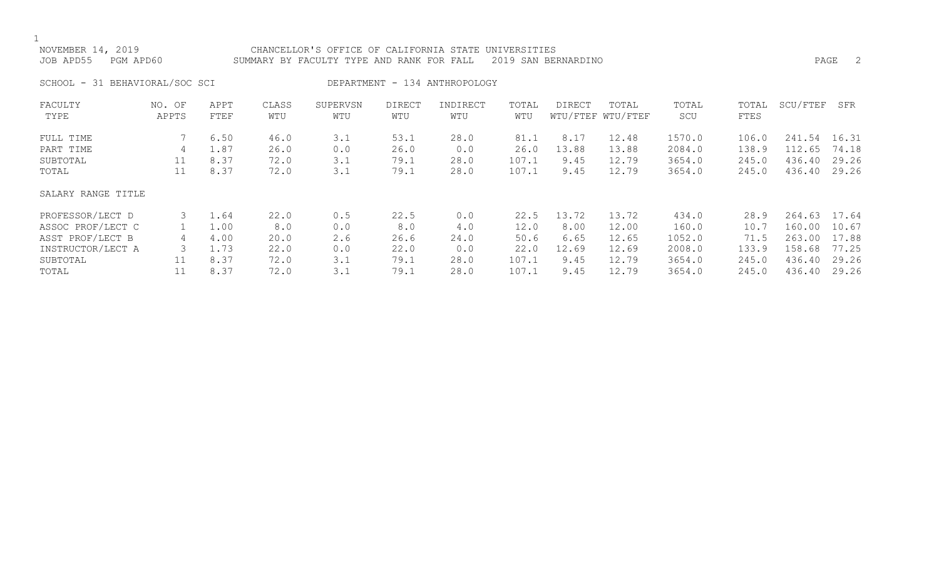### NOVEMBER 14, 2019 CHANCELLOR'S OFFICE OF CALIFORNIA STATE UNIVERSITIES JOB APD55 PGM APD60 SUMMARY BY FACULTY TYPE AND RANK FOR FALL 2019 SAN BERNARDINO PAGE 2

SCHOOL - 31 BEHAVIORAL/SOC SCI DEPARTMENT - 134 ANTHROPOLOGY

| FACULTY            | NO. OF | APPT | CLASS | SUPERVSN | <b>DIRECT</b> | INDIRECT | TOTAL | <b>DIRECT</b> | TOTAL             | TOTAL  | TOTAL | SCU/FTEF | SFR   |
|--------------------|--------|------|-------|----------|---------------|----------|-------|---------------|-------------------|--------|-------|----------|-------|
| TYPE               | APPTS  | FTEF | WTU   | WTU      | WTU           | WTU      | WTU   |               | WTU/FTEF WTU/FTEF | SCU    | FTES  |          |       |
| FULL TIME          |        | 6.50 | 46.0  | 3.1      | 53.1          | 28.0     | 81.1  | 8.17          | 12.48             | 1570.0 | 106.0 | 241.54   | 16.31 |
| PART TIME          | 4      | 1.87 | 26.0  | 0.0      | 26.0          | 0.0      | 26.0  | 13.88         | 13.88             | 2084.0 | 138.9 | 112.65   | 74.18 |
| SUBTOTAL           | 11     | 8.37 | 72.0  | 3.1      | 79.1          | 28.0     | 107.1 | 9.45          | 12.79             | 3654.0 | 245.0 | 436.40   | 29.26 |
| TOTAL              | 11     | 8.37 | 72.0  | 3.1      | 79.1          | 28.0     | 107.1 | 9.45          | 12.79             | 3654.0 | 245.0 | 436.40   | 29.26 |
| SALARY RANGE TITLE |        |      |       |          |               |          |       |               |                   |        |       |          |       |
| PROFESSOR/LECT D   |        | 1.64 | 22.0  | 0.5      | 22.5          | 0.0      | 22.5  | 13.72         | 13.72             | 434.0  | 28.9  | 264.63   | 17.64 |
| ASSOC PROF/LECT C  |        | 1.00 | 8.0   | 0.0      | 8.0           | 4.0      | 12.0  | 8.00          | 12.00             | 160.0  | 10.7  | 160.00   | 10.67 |
| ASST PROF/LECT B   | 4      | 4.00 | 20.0  | 2.6      | 26.6          | 24.0     | 50.6  | 6.65          | 12.65             | 1052.0 | 71.5  | 263.00   | 17.88 |
| INSTRUCTOR/LECT A  |        | 1.73 | 22.0  | 0.0      | 22.0          | 0.0      | 22.0  | 12.69         | 12.69             | 2008.0 | 133.9 | 158.68   | 77.25 |
| SUBTOTAL           | 11     | 8.37 | 72.0  | 3.1      | 79.1          | 28.0     | 107.1 | 9.45          | 12.79             | 3654.0 | 245.0 | 436.40   | 29.26 |
| TOTAL              |        | 8.37 | 72.0  | 3.1      | 79.1          | 28.0     | 107.1 | 9.45          | 12.79             | 3654.0 | 245.0 | 436.40   | 29.26 |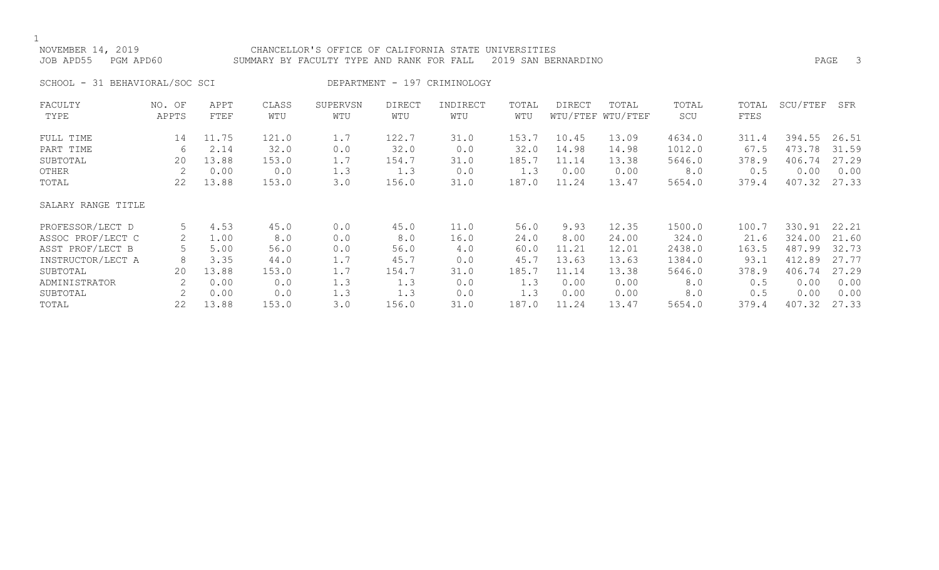### NOVEMBER 14, 2019 CHANCELLOR'S OFFICE OF CALIFORNIA STATE UNIVERSITIES JOB APD55 PGM APD60 SUMMARY BY FACULTY TYPE AND RANK FOR FALL 2019 SAN BERNARDINO PAGE 3

SCHOOL - 31 BEHAVIORAL/SOC SCI DEPARTMENT - 197 CRIMINOLOGY

| FACULTY            | NO. OF | APPT  | CLASS | SUPERVSN | <b>DIRECT</b> | INDIRECT | TOTAL | DIRECT | TOTAL             | TOTAL  | TOTAL | SCU/FTEF | SFR   |
|--------------------|--------|-------|-------|----------|---------------|----------|-------|--------|-------------------|--------|-------|----------|-------|
| TYPE               | APPTS  | FTEF  | WTU   | WTU      | WTU           | WTU      | WTU   |        | WTU/FTEF WTU/FTEF | SCU    | FTES  |          |       |
| FULL TIME          | 14     | 11.75 | 121.0 | 1.7      | 122.7         | 31.0     | 153.7 | 10.45  | 13.09             | 4634.0 | 311.4 | 394.55   | 26.51 |
| PART TIME          | 6      | 2.14  | 32.0  | 0.0      | 32.0          | 0.0      | 32.0  | 14.98  | 14.98             | 1012.0 | 67.5  | 473.78   | 31.59 |
| SUBTOTAL           | 20     | 13.88 | 153.0 | 1.7      | 154.7         | 31.0     | 185.7 | 11.14  | 13.38             | 5646.0 | 378.9 | 406.74   | 27.29 |
| OTHER              |        | 0.00  | 0.0   | 1.3      | 1.3           | 0.0      | 1.3   | 0.00   | 0.00              | 8.0    | 0.5   | 0.00     | 0.00  |
| TOTAL              | 22     | 13.88 | 153.0 | 3.0      | 156.0         | 31.0     | 187.0 | 11.24  | 13.47             | 5654.0 | 379.4 | 407.32   | 27.33 |
| SALARY RANGE TITLE |        |       |       |          |               |          |       |        |                   |        |       |          |       |
| PROFESSOR/LECT D   | 5      | 4.53  | 45.0  | 0.0      | 45.0          | 11.0     | 56.0  | 9.93   | 12.35             | 1500.0 | 100.7 | 330.91   | 22.21 |
| ASSOC PROF/LECT C  | 2      | 1.00  | 8.0   | 0.0      | 8.0           | 16.0     | 24.0  | 8.00   | 24.00             | 324.0  | 21.6  | 324.00   | 21.60 |
| ASST PROF/LECT B   |        | 5.00  | 56.0  | 0.0      | 56.0          | 4.0      | 60.0  | 11.21  | 12.01             | 2438.0 | 163.5 | 487.99   | 32.73 |
| INSTRUCTOR/LECT A  | 8      | 3.35  | 44.0  | 1.7      | 45.7          | 0.0      | 45.7  | 13.63  | 13.63             | 1384.0 | 93.1  | 412.89   | 27.77 |
| SUBTOTAL           | 20     | 13.88 | 153.0 | 1.7      | 154.7         | 31.0     | 185.7 | 11.14  | 13.38             | 5646.0 | 378.9 | 406.74   | 27.29 |
| ADMINISTRATOR      |        | 0.00  | 0.0   | 1.3      | 1.3           | 0.0      | 1.3   | 0.00   | 0.00              | 8.0    | 0.5   | 0.00     | 0.00  |
| SUBTOTAL           | 2      | 0.00  | 0.0   | 1.3      | 1.3           | 0.0      | 1.3   | 0.00   | 0.00              | 8.0    | 0.5   | 0.00     | 0.00  |
| TOTAL              | 22     | 13.88 | 153.0 | 3.0      | 156.0         | 31.0     | 187.0 | 11.24  | 13.47             | 5654.0 | 379.4 | 407.32   | 27.33 |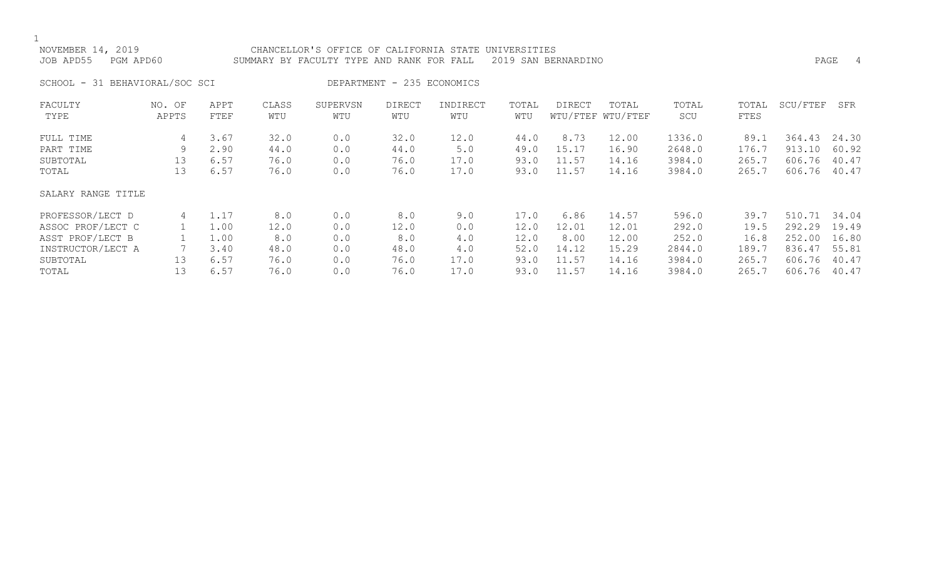| NOVEMBER 14, 2019<br>PGM APD60<br>JOB APD55 |                                 |                              |                              | CHANCELLOR'S OFFICE OF CALIFORNIA STATE UNIVERSITIES<br>SUMMARY BY FACULTY TYPE AND RANK FOR FALL |                              |                             |                              | 2019 SAN BERNARDINO             |                                  |                                      |                                 | PAGE                                 | -4                               |
|---------------------------------------------|---------------------------------|------------------------------|------------------------------|---------------------------------------------------------------------------------------------------|------------------------------|-----------------------------|------------------------------|---------------------------------|----------------------------------|--------------------------------------|---------------------------------|--------------------------------------|----------------------------------|
| SCHOOL - 31 BEHAVIORAL/SOC SCI              |                                 |                              |                              |                                                                                                   | DEPARTMENT - 235 ECONOMICS   |                             |                              |                                 |                                  |                                      |                                 |                                      |                                  |
| FACULTY<br>TYPE                             | NO. OF<br>APPTS                 | APPT<br>FTEF                 | CLASS<br>WTU                 | SUPERVSN<br>WTU                                                                                   | <b>DIRECT</b><br>WTU         | INDIRECT<br>WTU             | TOTAL<br>WTU                 | DIRECT                          | TOTAL<br>WTU/FTEF WTU/FTEF       | TOTAL<br>SCU                         | TOTAL<br>FTES                   | SCU/FTEF                             | SFR                              |
| FULL TIME<br>PART TIME<br>SUBTOTAL<br>TOTAL | 4<br>9<br>13 <sup>°</sup><br>13 | 3.67<br>2.90<br>6.57<br>6.57 | 32.0<br>44.0<br>76.0<br>76.0 | 0.0<br>0.0<br>0.0<br>0.0                                                                          | 32.0<br>44.0<br>76.0<br>76.0 | 12.0<br>5.0<br>17.0<br>17.0 | 44.0<br>49.0<br>93.0<br>93.0 | 8.73<br>15.17<br>11.57<br>11.57 | 12.00<br>16.90<br>14.16<br>14.16 | 1336.0<br>2648.0<br>3984.0<br>3984.0 | 89.1<br>176.7<br>265.7<br>265.7 | 364.43<br>913.10<br>606.76<br>606.76 | 24.30<br>60.92<br>40.47<br>40.47 |
| SALARY RANGE TITLE                          |                                 |                              |                              |                                                                                                   |                              |                             |                              |                                 |                                  |                                      |                                 |                                      |                                  |

| PROFESSOR/LECT D  | 1.1, | 8.0  | 0.0 | 8.0  | 9.0  | 7.0  | 6.86  | 14.57 | 596.0  | 39.7  | 510.71 34.04 |       |
|-------------------|------|------|-----|------|------|------|-------|-------|--------|-------|--------------|-------|
| ASSOC PROF/LECT C | L.OO | 12.0 | 0.0 | 12.0 | 0.0  | 12.0 | 12.01 | 12.01 | 292.0  | 19.5  | 292.29       | 19.49 |
| ASST PROF/LECT B  | 1.00 | 8.0  | 0.0 | 8.0  | 4.0  | 12.0 | 8.00  | 12.00 | 252.0  | 16.8  | 252.00       | 16.80 |
| INSTRUCTOR/LECT A | 3.40 | 48.0 | 0.0 | 48.0 | 4.0  | 52.0 | 14.12 | 15.29 | 2844.0 | 189.7 | 836.47       | 55.81 |
| SUBTOTAL          | 6.57 | 76.0 | 0.0 | 76.0 | 17.0 | 93.0 | 11.57 | 14.16 | 3984.0 | 265.7 | 606.76       | 40.47 |
| TOTAL             | 6.57 | 76.0 | 0.0 | 76.0 | 17.0 | 93.0 | 11.57 | 14.16 | 3984.0 | 265.7 | 606.76       | 40.47 |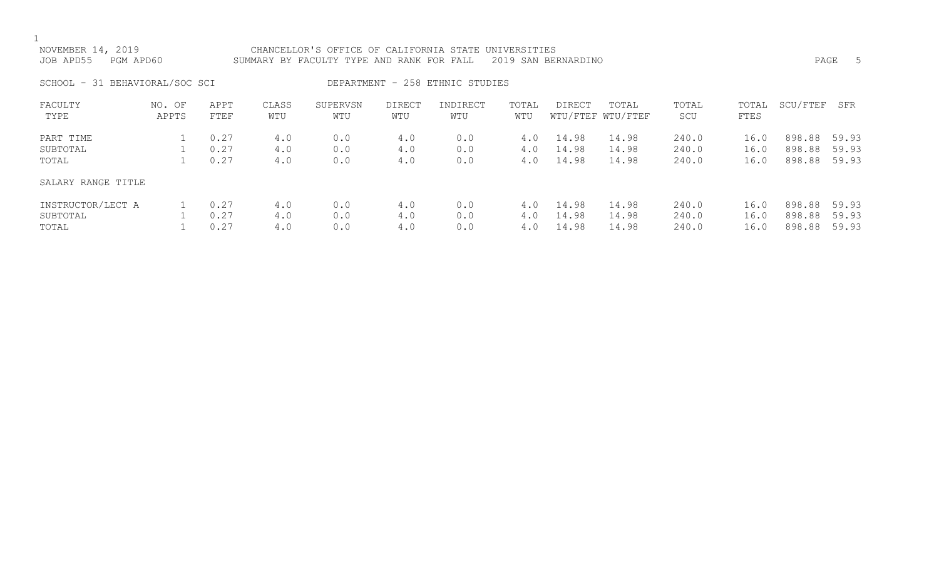| NOVEMBER 14, 2019<br>JOB APD55<br>PGM APD60 |                 |                      |                   | CHANCELLOR'S OFFICE OF CALIFORNIA STATE UNIVERSITIES<br>SUMMARY BY FACULTY TYPE AND RANK FOR FALL |                   |                                 |                   | 2019 SAN BERNARDINO     |                            |                         |                      |                                  | PAGE<br>-5     |
|---------------------------------------------|-----------------|----------------------|-------------------|---------------------------------------------------------------------------------------------------|-------------------|---------------------------------|-------------------|-------------------------|----------------------------|-------------------------|----------------------|----------------------------------|----------------|
| SCHOOL - 31 BEHAVIORAL/SOC SCI              |                 |                      |                   |                                                                                                   |                   | DEPARTMENT - 258 ETHNIC STUDIES |                   |                         |                            |                         |                      |                                  |                |
| FACULTY<br>TYPE                             | NO. OF<br>APPTS | APPT<br>FTEF         | CLASS<br>WTU      | SUPERVSN<br>WTU                                                                                   | DIRECT<br>WTU     | INDIRECT<br>WTU                 | TOTAL<br>WTU      | DIRECT                  | TOTAL<br>WTU/FTEF WTU/FTEF | TOTAL<br>SCU            | TOTAL<br>FTES        | SCU/FTEF                         | SFR            |
| PART TIME<br>SUBTOTAL<br>TOTAL              |                 | 0.27<br>0.27<br>0.27 | 4.0<br>4.0<br>4.0 | 0.0<br>0.0<br>0.0                                                                                 | 4.0<br>4.0<br>4.0 | 0.0<br>0.0<br>0.0               | 4.0<br>4.0<br>4.0 | 14.98<br>14.98<br>14.98 | 14.98<br>14.98<br>14.98    | 240.0<br>240.0<br>240.0 | 16.0<br>16.0<br>16.0 | 898.88 59.93<br>898.88<br>898.88 | 59.93<br>59.93 |
| SALARY RANGE TITLE                          |                 |                      |                   |                                                                                                   |                   |                                 |                   |                         |                            |                         |                      |                                  |                |

| INSTRUCTOR/LECT A 1 0.27 4.0 0.0 4.0 0.0 4.0 14.98 14.98 240.0 16.0 898.88 59.93 |  |                                                                                                                                            |  |  |  |                                                                                          |  |  |
|----------------------------------------------------------------------------------|--|--------------------------------------------------------------------------------------------------------------------------------------------|--|--|--|------------------------------------------------------------------------------------------|--|--|
| SUBTOTAL                                                                         |  |                                                                                                                                            |  |  |  | 1  0.27    4.0    0.0     4.0    0.0     4.0  14.98  14.98   240.0    16.0  898.88 59.93 |  |  |
| TOTAL                                                                            |  | $1 \qquad 0.27 \qquad \qquad 4.0 \qquad \qquad 0.0 \qquad \qquad 4.0 \qquad \qquad 0.0 \qquad \qquad 4.0 \qquad 14.98 \qquad \qquad 14.98$ |  |  |  |                                                                                          |  |  |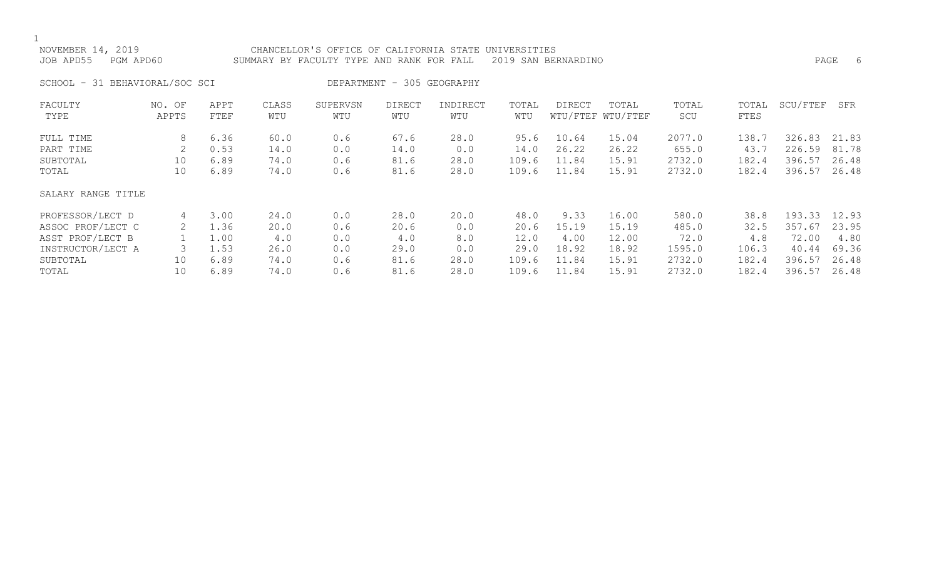| NOVEMBER 14, 2019<br>JOB APD55 | PGM APD60 |      |       | CHANCELLOR'S OFFICE OF CALIFORNIA STATE UNIVERSITIES<br>SUMMARY BY FACULTY TYPE AND RANK FOR FALL |                            |          |       | 2019 SAN BERNARDINO |                   |        |       | PAGE     | - 6   |
|--------------------------------|-----------|------|-------|---------------------------------------------------------------------------------------------------|----------------------------|----------|-------|---------------------|-------------------|--------|-------|----------|-------|
| SCHOOL - 31 BEHAVIORAL/SOC SCI |           |      |       |                                                                                                   | DEPARTMENT - 305 GEOGRAPHY |          |       |                     |                   |        |       |          |       |
| FACULTY                        | NO. OF    | APPT | CLASS | SUPERVSN                                                                                          | <b>DIRECT</b>              | INDIRECT | TOTAL | DIRECT              | TOTAL             | TOTAL  | TOTAL | SCU/FTEF | SFR   |
| TYPE                           | APPTS     | FTEF | WTU   | WTU                                                                                               | WTU                        | WTU      | WTU   |                     | WTU/FTEF WTU/FTEF | SCU    | FTES  |          |       |
| FULL TIME                      | 8         | 6.36 | 60.0  | 0.6                                                                                               | 67.6                       | 28.0     | 95.6  | 10.64               | 15.04             | 2077.0 | 138.7 | 326.83   | 21.83 |
| PART TIME                      |           | 0.53 | 14.0  | 0.0                                                                                               | 14.0                       | 0.0      | 14.0  | 26.22               | 26.22             | 655.0  | 43.7  | 226.59   | 81.78 |
| SUBTOTAL                       | 10        | 6.89 | 74.0  | 0.6                                                                                               | 81.6                       | 28.0     | 109.6 | 11.84               | 15.91             | 2732.0 | 182.4 | 396.57   | 26.48 |
| TOTAL                          | 10        | 6.89 | 74.0  | 0.6                                                                                               | 81.6                       | 28.0     | 109.6 | 11.84               | 15.91             | 2732.0 | 182.4 | 396.57   | 26.48 |
| SALARY RANGE TITLE             |           |      |       |                                                                                                   |                            |          |       |                     |                   |        |       |          |       |

| PROFESSOR/LECT D<br>3.00<br>24.0  | 0.0 | 28.0 | 20.0 | 48.0  | 9.33  | 16.00 | 580.0  | 38.8  | 193.33     | 12.93 |
|-----------------------------------|-----|------|------|-------|-------|-------|--------|-------|------------|-------|
| ASSOC PROF/LECT C<br>⊥.36<br>20.0 | 0.6 | 20.6 |      | 20.6  | 5 19  | 15.19 | 485.0  | 32.5  | 357<br>.67 | 23.95 |
| ASST PROF/LECT B<br>⊥.00          | 0.0 | 4.0  |      | .2.0  | 4.00  | 12.00 | 72.0   |       | 72.00      | 4.80  |
| INSTRUCTOR/LECT A<br>1.53<br>26.0 | 0.0 | 29.0 |      | 29.0  | 18.92 | 18.92 | 1595.0 | 106.3 | 40.44      | 69.36 |
| 6.89<br>SUBTOTAL<br>74.0          | 0.6 | 81.6 | 28.0 | 109.6 | ⊥1.84 | 15.91 | 2732.0 | 182.4 | 396.57     | 26.48 |
| 6.89<br>TOTAL<br>74.0             | 0.6 | 81.6 | 28.0 | 109.6 | 11.84 | 15.91 | 2732.0 | 182.4 | 396.57     | 26.48 |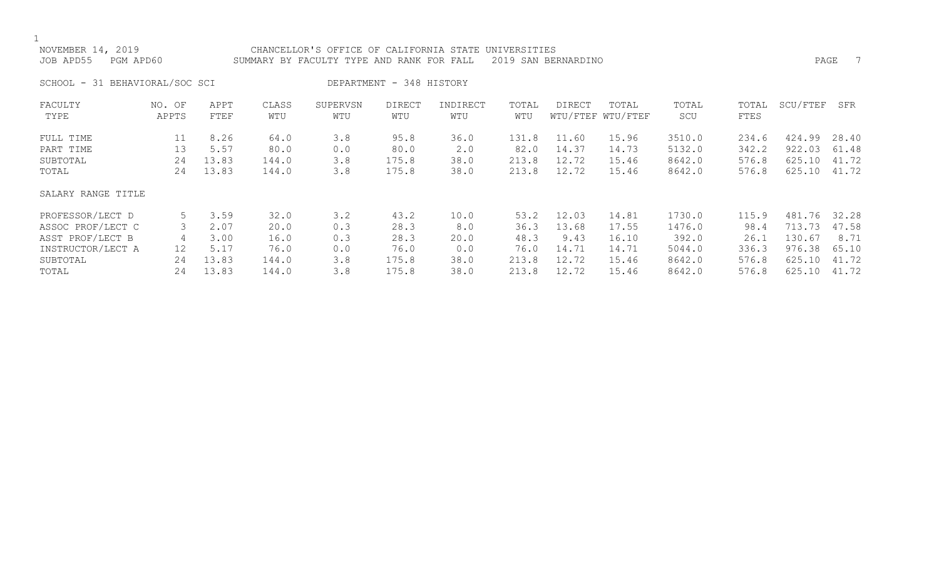| NOVEMBER 14, 2019<br>JOB APD55 | PGM APD60       |              |              | CHANCELLOR'S OFFICE OF CALIFORNIA STATE<br>SUMMARY BY FACULTY TYPE AND RANK FOR FALL |                          |                 | UNIVERSITIES | 2019 SAN BERNARDINO |                            |              |               | PAGE     |       |
|--------------------------------|-----------------|--------------|--------------|--------------------------------------------------------------------------------------|--------------------------|-----------------|--------------|---------------------|----------------------------|--------------|---------------|----------|-------|
| SCHOOL - 31 BEHAVIORAL/SOC SCI |                 |              |              |                                                                                      | DEPARTMENT - 348 HISTORY |                 |              |                     |                            |              |               |          |       |
| FACULTY<br>TYPE                | NO. OF<br>APPTS | APPT<br>FTEF | CLASS<br>WTU | SUPERVSN<br>WTU                                                                      | <b>DIRECT</b><br>WTU     | INDIRECT<br>WTU | TOTAL<br>WTU | <b>DIRECT</b>       | TOTAL<br>WTU/FTEF WTU/FTEF | TOTAL<br>SCU | TOTAL<br>FTES | SCU/FTEF | SFR   |
| FULL TIME                      | 11              | 8.26         | 64.0         | 3.8                                                                                  | 95.8                     | 36.0            | 131.8        | 11.60               | 15.96                      | 3510.0       | 234.6         | 424.99   | 28.40 |
| PART TIME                      | 13              | 5.57         | 80.0         | 0.0                                                                                  | 80.0                     | 2.0             | 82.0         | 14.37               | 14.73                      | 5132.0       | 342.2         | 922.03   | 61.48 |
| SUBTOTAL                       | 24              | 13.83        | 144.0        | 3.8                                                                                  | 175.8                    | 38.0            | 213.8        | 12.72               | 15.46                      | 8642.0       | 576.8         | 625.10   | 41.72 |
| TOTAL                          | 24              | 13.83        | 144.0        | 3.8                                                                                  | 175.8                    | 38.0            | 213.8        | 12.72               | 15.46                      | 8642.0       | 576.8         | 625.10   | 41.72 |
| SALARY RANGE TITLE             |                 |              |              |                                                                                      |                          |                 |              |                     |                            |              |               |          |       |
| PROFESSOR/LECT D               | 5               | 3.59         | 32.0         | 3.2                                                                                  | 43.2                     | 10.0            | 53.2         | 12.03               | 14.81                      | 1730.0       | 115.9         | 481.76   | 32.28 |
| ASSOC PROF/LECT C              | 3               | 2.07         | 20.0         | 0.3                                                                                  | 28.3                     | 8.0             | 36.3         | 13.68               | 17.55                      | 1476.0       | 98.4          | 713.73   | 47.58 |
| ASST PROF/LECT B               | 4               | 3.00         | 16.0         | 0.3                                                                                  | 28.3                     | 20.0            | 48.3         | 9.43                | 16.10                      | 392.0        | 26.1          | 130.67   | 8.71  |
| INSTRUCTOR/LECT A              | 12 <sup>2</sup> | 5.17         | 76.0         | 0.0                                                                                  | 76.0                     | 0.0             | 76.0         | 14.71               | 14.71                      | 5044.0       | 336.3         | 976.38   | 65.10 |
| SUBTOTAL                       | 24              | 13.83        | 144.0        | 3.8                                                                                  | 175.8                    | 38.0            | 213.8        | 12.72               | 15.46                      | 8642.0       | 576.8         | 625.10   | 41.72 |

SUBTOTAL 24 13.83 144.0 3.8 175.8 38.0 213.8 12.72 15.46 8642.0 576.8 625.10 41.72 TOTAL 24 13.83 144.0 3.8 175.8 38.0 213.8 12.72 15.46 8642.0 576.8 625.10 41.72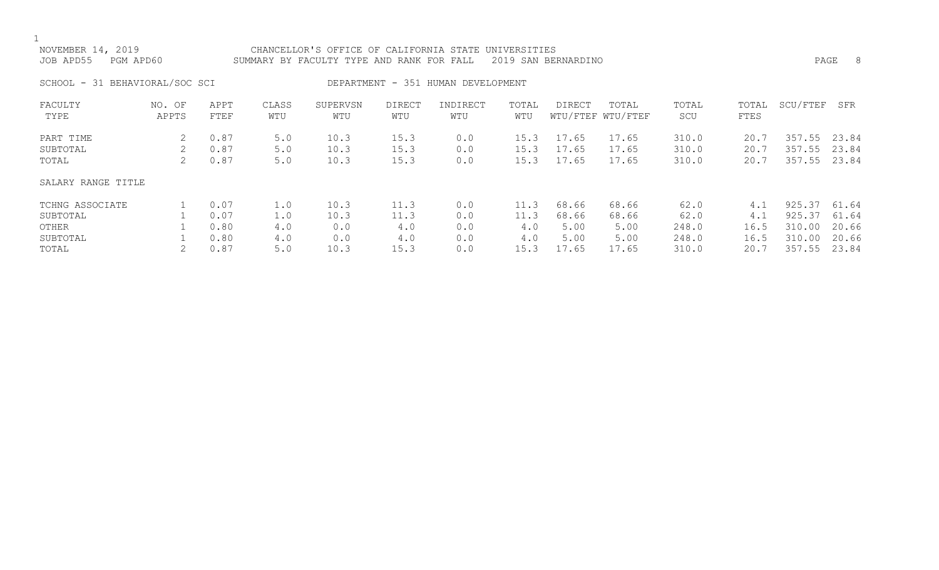| NOVEMBER 14, 2019<br>JOB APD55 | PGM APD60       |              |              | CHANCELLOR'S OFFICE OF CALIFORNIA STATE UNIVERSITIES<br>SUMMARY BY FACULTY TYPE AND RANK FOR FALL 2019 SAN BERNARDINO |               |                                    |              |        |                            |              |               | PAGE     |     |
|--------------------------------|-----------------|--------------|--------------|-----------------------------------------------------------------------------------------------------------------------|---------------|------------------------------------|--------------|--------|----------------------------|--------------|---------------|----------|-----|
| SCHOOL - 31 BEHAVIORAL/SOC SCI |                 |              |              |                                                                                                                       |               | DEPARTMENT - 351 HUMAN DEVELOPMENT |              |        |                            |              |               |          |     |
| FACULTY<br>TYPE                | NO. OF<br>APPTS | APPT<br>FTEF | CLASS<br>WTU | SUPERVSN<br>WTU                                                                                                       | DIRECT<br>WTU | INDIRECT<br>WTU                    | TOTAL<br>WTU | DIRECT | TOTAL<br>WTU/FTEF WTU/FTEF | TOTAL<br>SCU | TOTAL<br>FTES | SCU/FTEF | SFR |

| PART TIME<br>SUBTOTAL<br>TOTAL | 0.87<br>0.87<br>0.87 | 5.0<br>5.0<br>5.0 | 10.3<br>10.3<br>10.3 | 15.3<br>15.3<br>15.3 | 0.0<br>0.0<br>0.0 | 15.3<br>15.3<br>15.3 | 17.65<br>17.65<br>17.65 | 17.65<br>17.65<br>17.65 | 310.0<br>310.0<br>310.0 | 20.7<br>20.7<br>20.7 | 357.55<br>357.55<br>357.55 | 23.84<br>23.84<br>23.84 |
|--------------------------------|----------------------|-------------------|----------------------|----------------------|-------------------|----------------------|-------------------------|-------------------------|-------------------------|----------------------|----------------------------|-------------------------|
| SALARY RANGE TITLE             |                      |                   |                      |                      |                   |                      |                         |                         |                         |                      |                            |                         |
| TCHNG ASSOCIATE                | 0.07                 | $\perp$ .0        | 10.3                 | 11.3                 | 0.0               |                      | 68.66                   | 68.66                   | 62.0                    | 4.1                  | 925.37 61.64               |                         |
| SUBTOTAL                       | 0.07                 | $\perp$ .0        | 10.3                 | 11.3                 | 0.0               | 11.3                 | 68.66                   | 68.66                   | 62.0                    | 4.1                  | 925.37                     | 61.64                   |
| OTHER                          | 0.80                 | 4.0               | 0.0                  | 4.0                  | 0.0               | 4.0                  | 5.00                    | 5.00                    | 248.0                   | 16.5                 | 310.00                     | 20.66                   |
| SUBTOTAL                       | 0.80                 | 4.0               | 0.0                  | 4.0                  | 0.0               | 4.0                  | 5.00                    | 5.00                    | 248.0                   | 16.5                 | 310.00                     | 20.66                   |
| TOTAL                          | 0.87                 | 5.0               | 10.3                 | 15.3                 | 0.0               | 15.3                 | 17.65                   | 17.65                   | 310.0                   | 20.7                 | 357.55                     | 23.84                   |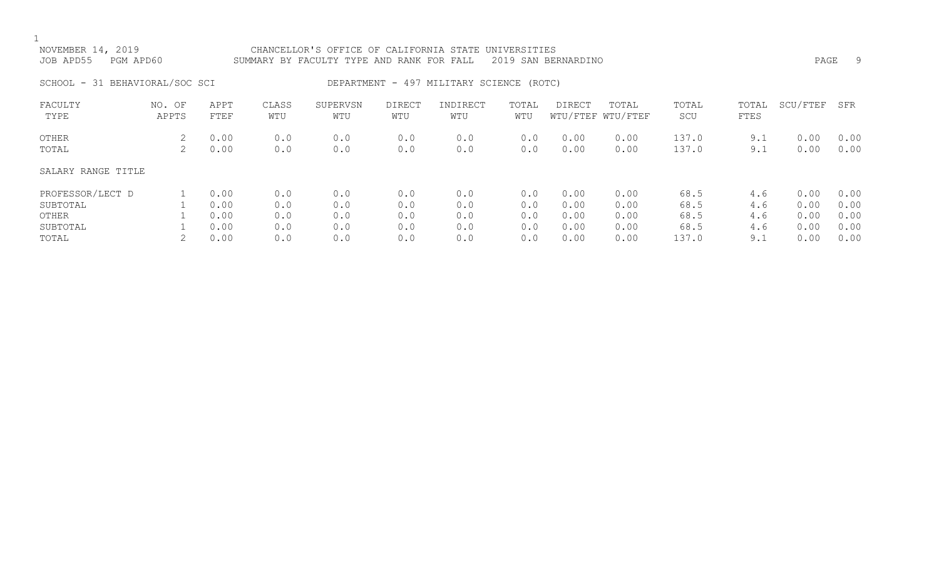## NOVEMBER 14, 2019 CHANCELLOR'S OFFICE OF CALIFORNIA STATE UNIVERSITIES JOB APD55 PGM APD60 SUMMARY BY FACULTY TYPE AND RANK FOR FALL 2019 SAN BERNARDINO PAGE 9

SCHOOL - 31 BEHAVIORAL/SOC SCI DEPARTMENT - 497 MILITARY SCIENCE (ROTC)

| FACULTY<br>TYPE    | NO. OF<br>APPTS | APPT<br>FTEF | CLASS<br>WTU | SUPERVSN<br>WTU | DIRECT<br>WTU | INDIRECT<br>WTU | TOTAL<br>WTU | <b>DIRECT</b> | TOTAL<br>WTU/FTEF WTU/FTEF | TOTAL<br>SCU | TOTAL<br>FTES | SCU/FTEF | SFR  |
|--------------------|-----------------|--------------|--------------|-----------------|---------------|-----------------|--------------|---------------|----------------------------|--------------|---------------|----------|------|
| OTHER              | 2               | 0.00         | 0.0          | 0.0             | 0.0           | 0.0             | 0.0          | 0.00          | 0.00                       | 137.0        | 9.1           | 0.00     | 0.00 |
| TOTAL              |                 | 0.00         | 0.0          | 0.0             | 0.0           | 0.0             | 0.0          | 0.00          | 0.00                       | 137.0        | 9.1           | 0.00     | 0.00 |
| SALARY RANGE TITLE |                 |              |              |                 |               |                 |              |               |                            |              |               |          |      |
| PROFESSOR/LECT D   |                 | 0.00         | 0.0          | 0.0             | 0.0           | 0.0             | 0.0          | 0.00          | 0.00                       | 68.5         | 4.6           | 0.00     | 0.00 |
| SUBTOTAL           |                 | 0.00         | 0.0          | 0.0             | 0.0           | 0.0             | 0.0          | 0.00          | 0.00                       | 68.5         | 4.6           | 0.00     | 0.00 |
| OTHER              |                 | 0.00         | 0.0          | 0.0             | 0.0           | 0.0             | 0.0          | 0.00          | 0.00                       | 68.5         | 4.6           | 0.00     | 0.00 |
| SUBTOTAL           |                 | 0.00         | 0.0          | 0.0             | 0.0           | 0.0             | 0.0          | 0.00          | 0.00                       | 68.5         | 4.6           | 0.00     | 0.00 |
| TOTAL              |                 | 0.00         | 0.0          | 0.0             | 0.0           | 0.0             | 0.0          | 0.00          | 0.00                       | 137.0        | 9.1           | 0.00     | 0.00 |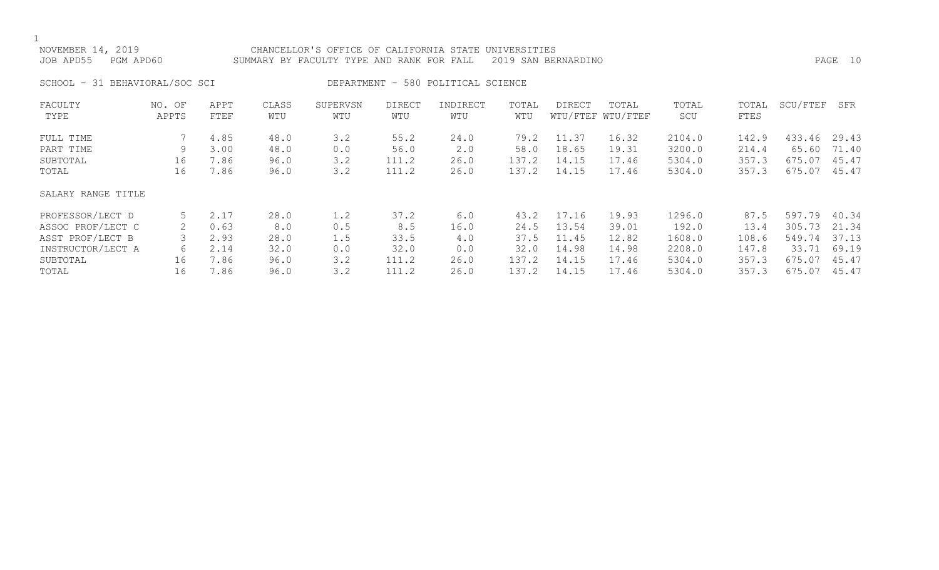| NOVEMBER 14, 2019<br>CHANCELLOR'S OFFICE OF CALIFORNIA STATE UNIVERSITIES<br>JOB APD55<br>PGM APD60<br>SUMMARY BY FACULTY TYPE AND RANK FOR FALL<br>2019 SAN BERNARDINO |                 |                      |                      |                   |                       |                                    |                       |                         |                            | PAGE 10                    |                         |                           |                         |
|-------------------------------------------------------------------------------------------------------------------------------------------------------------------------|-----------------|----------------------|----------------------|-------------------|-----------------------|------------------------------------|-----------------------|-------------------------|----------------------------|----------------------------|-------------------------|---------------------------|-------------------------|
| SCHOOL - 31 BEHAVIORAL/SOC SCI                                                                                                                                          |                 |                      |                      |                   |                       | DEPARTMENT - 580 POLITICAL SCIENCE |                       |                         |                            |                            |                         |                           |                         |
| FACULTY<br>TYPE                                                                                                                                                         | NO. OF<br>APPTS | APPT<br>FTEF         | CLASS<br>WTU         | SUPERVSN<br>WTU   | DIRECT<br>WTU         | INDIRECT<br>WTU                    | TOTAL<br>WTU          | DIRECT                  | TOTAL<br>WTU/FTEF WTU/FTEF | TOTAL<br>SCU               | TOTAL<br>FTES           | SCU/FTEF                  | SFR                     |
| FULL TIME<br>PART TIME<br>SUBTOTAL                                                                                                                                      | 9<br>16         | 4.85<br>3.00<br>7.86 | 48.0<br>48.0<br>96.0 | 3.2<br>0.0<br>3.2 | 55.2<br>56.0<br>111.2 | 24.0<br>2.0<br>26.0                | 79.2<br>58.0<br>137.2 | 11.37<br>18.65<br>14.15 | 16.32<br>19.31<br>17.46    | 2104.0<br>3200.0<br>5304.0 | 142.9<br>214.4<br>357.3 | 433.46<br>65.60<br>675.07 | 29.43<br>71.40<br>45.47 |
| TOTAL                                                                                                                                                                   | 16              | 7.86                 | 96.0                 | 3.2               | 111.2                 | 26.0                               | 137.2                 | 14.15                   | 17.46                      | 5304.0                     | 357.3                   | 675.07                    | 45.47                   |

### SALARY RANGE TITLE

| PROFESSOR/LECT D  |    | 2.17 | 28.0 |     | 37.2                 | 6.0  | 43.2  | 17.16 | 19.93 | 1296.0 | 87.5  | 597.79       | 40.34 |
|-------------------|----|------|------|-----|----------------------|------|-------|-------|-------|--------|-------|--------------|-------|
| ASSOC PROF/LECT C |    | 0.63 | 8.0  | 0.5 | 8.5                  | 16.0 | 24.5  | 13.54 | 39.01 | 192.0  | 13.4  | 305.73       | 21.34 |
| ASST PROF/LECT B  |    | 2.93 | 28.0 | 1.5 | 33.5                 | 4.0  | 37.5  | 11.45 | 12.82 | 1608.0 | 108.6 | 549.74 37.13 |       |
| INSTRUCTOR/LECT A |    | 2.14 | 32.0 | 0.0 | 32.0                 | 0.0  | 32.0  | 14.98 | 14.98 | 2208.0 | 147.8 | 33.71        | 69.19 |
| SUBTOTAL          | 16 | 7.86 | 96.0 |     | 111.2                | 26.0 | 137.2 | 14.15 | 17.46 | 5304.0 | 357.3 | 675.07       | 45.47 |
| TOTAL             | 16 | 7.86 | 96.0 |     | 111 2<br>- - - - - - | 26.0 | 137.2 | 14.1  | 17.46 | 5304.0 | 357.3 | 675.07       | 45.47 |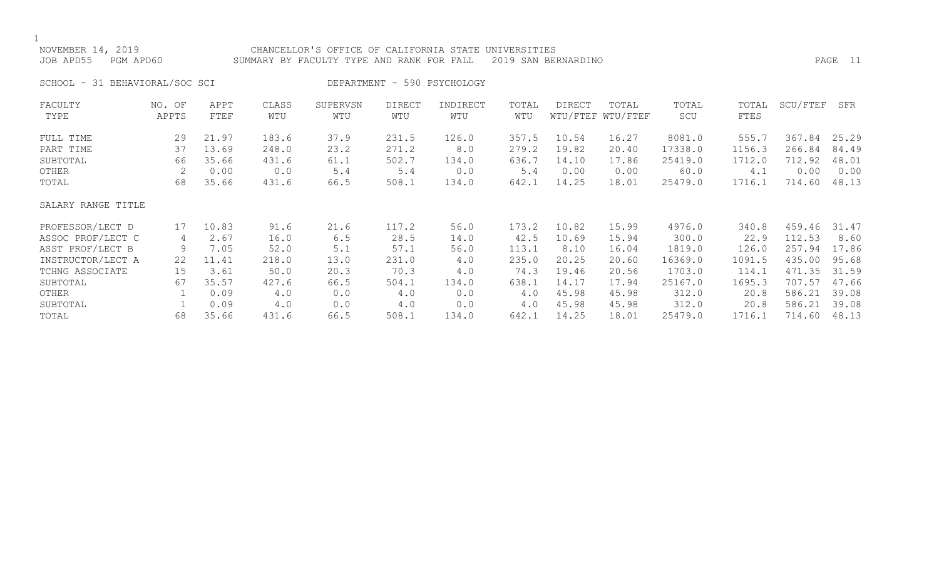| NOVEMBER 14, 2019<br>JOB APD55<br>PGM APD60 |                 |              |              | CHANCELLOR'S OFFICE OF CALIFORNIA STATE UNIVERSITIES<br>SUMMARY BY FACULTY TYPE AND RANK FOR FALL |                      |                             |              | 2019 SAN BERNARDINO |                            |              |               |          | PAGE 11 |
|---------------------------------------------|-----------------|--------------|--------------|---------------------------------------------------------------------------------------------------|----------------------|-----------------------------|--------------|---------------------|----------------------------|--------------|---------------|----------|---------|
| SCHOOL - 31 BEHAVIORAL/SOC SCI              |                 |              |              |                                                                                                   |                      | DEPARTMENT - 590 PSYCHOLOGY |              |                     |                            |              |               |          |         |
| FACULTY<br>TYPE                             | NO. OF<br>APPTS | APPT<br>FTEF | CLASS<br>WTU | SUPERVSN<br>WTU                                                                                   | <b>DIRECT</b><br>WTU | INDIRECT<br>WTU             | TOTAL<br>WTU | <b>DIRECT</b>       | TOTAL<br>WTU/FTEF WTU/FTEF | TOTAL<br>SCU | TOTAL<br>FTES | SCU/FTEF | SFR     |
| FULL TIME                                   | 29              | 21.97        | 183.6        | 37.9                                                                                              | 231.5                | 126.0                       | 357.5        | 10.54               | 16.27                      | 8081.0       | 555.7         | 367.84   | 25.29   |
| PART TIME                                   | 37              | 13.69        | 248.0        | 23.2                                                                                              | 271.2                | 8.0                         | 279.2        | 19.82               | 20.40                      | 17338.0      | 1156.3        | 266.84   | 84.49   |
| SUBTOTAL                                    | 66              | 35.66        | 431.6        | 61.1                                                                                              | 502.7                | 134.0                       | 636.7        | 14.10               | 17.86                      | 25419.0      | 1712.0        | 712.92   | 48.01   |
| OTHER                                       |                 | 0.00         | 0.0          | 5.4                                                                                               | 5.4                  | 0.0                         | 5.4          | 0.00                | 0.00                       | 60.0         | 4.1           | 0.00     | 0.00    |
| TOTAL                                       | 68              | 35.66        | 431.6        | 66.5                                                                                              | 508.1                | 134.0                       | 642.1        | 14.25               | 18.01                      | 25479.0      | 1716.1        | 714.60   | 48.13   |
| SALARY RANGE TITLE                          |                 |              |              |                                                                                                   |                      |                             |              |                     |                            |              |               |          |         |
| PROFESSOR/LECT D                            | 17              | 10.83        | 91.6         | 21.6                                                                                              | 117.2                | 56.0                        | 173.2        | 10.82               | 15.99                      | 4976.0       | 340.8         | 459.46   | 31.47   |
| ASSOC PROF/LECT C                           | 4               | 2.67         | 16.0         | 6.5                                                                                               | 28.5                 | 14.0                        | 42.5         | 10.69               | 15.94                      | 300.0        | 22.9          | 112.53   | 8.60    |
| ASST PROF/LECT B                            | 9               | 7.05         | 52.0         | 5.1                                                                                               | 57.1                 | 56.0                        | 113.1        | 8.10                | 16.04                      | 1819.0       | 126.0         | 257.94   | 17.86   |
| INSTRUCTOR/LECT A                           | 22              | 11.41        | 218.0        | 13.0                                                                                              | 231.0                | 4.0                         | 235.0        | 20.25               | 20.60                      | 16369.0      | 1091.5        | 435.00   | 95.68   |

| UNAI INAITAIN D   |    | 1 . UJ | JZ . U | ◡ 。 ⊥ |       | JU.U  | 110.T | $\circ$ . $\circ$ | $\bot$ $\cup$ $\cdot$ $\cup$ $\pm$ | $\bot$ 0 $\bot$ $\supset$ . $\cup$ | T C O . O | 201.JT       | <b>17.00</b> |
|-------------------|----|--------|--------|-------|-------|-------|-------|-------------------|------------------------------------|------------------------------------|-----------|--------------|--------------|
| INSTRUCTOR/LECT A | 22 | 11.41  | 218.0  | 13.0  | 231.0 |       | 235.0 | 20.25             | 20.60                              | 16369.0                            | 1091.5    | 435.00       | 95.68        |
| TCHNG ASSOCIATE   | 15 | 3.61   | 50.0   | 20.3  | 70.3  | 4.0   | 74.3  | 19.46             | 20.56                              | 1703.0                             | 114.1     | 471.35 31.59 |              |
| SUBTOTAL          | 67 | 35.57  | 427.6  | 66.5  | 504.1 | 134.0 | 638.1 | 14.17             | 17.94                              | 25167.0                            | 1695.3    | 707.57 47.66 |              |
| OTHER             |    | 0.09   |        | 0.0   | 4.0   | 0.0   | 4.0   | 45.98             | 45.98                              | 312.0                              | 20.8      | 586.21 39.08 |              |
| SUBTOTAL          |    | 0.09   | 4.0    | 0.0   | 4.0   | 0.0   | 4.0   | 45.98             | 45.98                              | 312.0                              | 20.8      | 586.21 39.08 |              |
| TOTAL             | 68 | 35.66  | 431.6  | 66.5  | 508.1 | 134.0 | 642.1 | 14.25             | 18.01                              | 25479.0                            | 716.1     | 714.60       | 48.13        |
|                   |    |        |        |       |       |       |       |                   |                                    |                                    |           |              |              |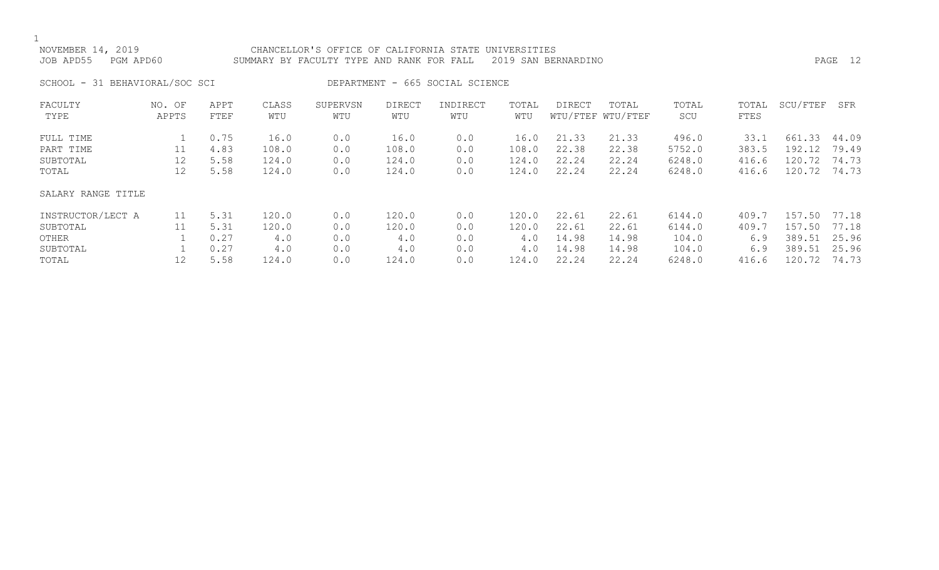$\frac{1}{\text{NOV}}$ 

| NOVEMBER 14, 2019   | CHANCELLOR'S OFFICE OF CALIFORNIA STATE UNIVERSITIES          |         |
|---------------------|---------------------------------------------------------------|---------|
| JOB APD55 PGM APD60 | SUMMARY BY FACULTY TYPE AND RANK FOR FALL 2019 SAN BERNARDINO | PAGE 12 |

SCHOOL - 31 BEHAVIORAL/SOC SCI DEPARTMENT - 665 SOCIAL SCIENCE

| FACULTY<br>TYPE    | NO. OF<br>APPTS | APPT<br>FTEF | CLASS<br>WTU | SUPERVSN<br>WTU | <b>DIRECT</b><br>WTU | INDIRECT<br>WTU | TOTAL<br>WTU | DIRECT | TOTAL<br>WTU/FTEF WTU/FTEF | TOTAL<br>SCU | TOTAL<br>FTES | SCU/FTEF | SFR   |
|--------------------|-----------------|--------------|--------------|-----------------|----------------------|-----------------|--------------|--------|----------------------------|--------------|---------------|----------|-------|
|                    |                 |              |              |                 |                      |                 |              |        |                            |              |               |          |       |
| FULL TIME          |                 | 0.75         | 16.0         | 0.0             | 16.0                 | 0.0             | 16.0         | 21.33  | 21.33                      | 496.0        | 33.1          | 661.33   | 44.09 |
| PART TIME          | 11              | 4.83         | 108.0        | 0.0             | 108.0                | 0.0             | 108.0        | 22.38  | 22.38                      | 5752.0       | 383.5         | 192.12   | 79.49 |
| SUBTOTAL           | 12              | 5.58         | 124.0        | 0.0             | 124.0                | 0.0             | 124.0        | 22.24  | 22.24                      | 6248.0       | 416.6         | 120.72   | 74.73 |
| TOTAL              | 12              | 5.58         | 124.0        | 0.0             | 124.0                | 0.0             | 124.0        | 22.24  | 22.24                      | 6248.0       | 416.6         | 120.72   | 74.73 |
| SALARY RANGE TITLE |                 |              |              |                 |                      |                 |              |        |                            |              |               |          |       |
| INSTRUCTOR/LECT A  | 11              | 5.31         | 120.0        | 0.0             | 120.0                | 0.0             | 120.0        | 22.61  | 22.61                      | 6144.0       | 409.7         | 157.50   | 77.18 |
| SUBTOTAL           |                 | 5.31         | 120.0        | 0.0             | 120.0                | 0.0             | 120.0        | 22.61  | 22.61                      | 6144.0       | 409.7         | 157.50   | 77.18 |
| OTHER              |                 | 0.27         | 4.0          | 0.0             | 4.0                  | 0.0             | 4.0          | 14.98  | 14.98                      | 104.0        | 6.9           | 389.51   | 25.96 |
| SUBTOTAL           |                 | 0.27         | 4.0          | 0.0             | 4.0                  | 0.0             | 4.0          | 14.98  | 14.98                      | 104.0        | 6.9           | 389.51   | 25.96 |
| TOTAL              | 12              | 5.58         | 124.0        | 0.0             | 124.0                | 0.0             | 124.0        | 22.24  | 22.24                      | 6248.0       | 416.6         | 120.72   | 74.73 |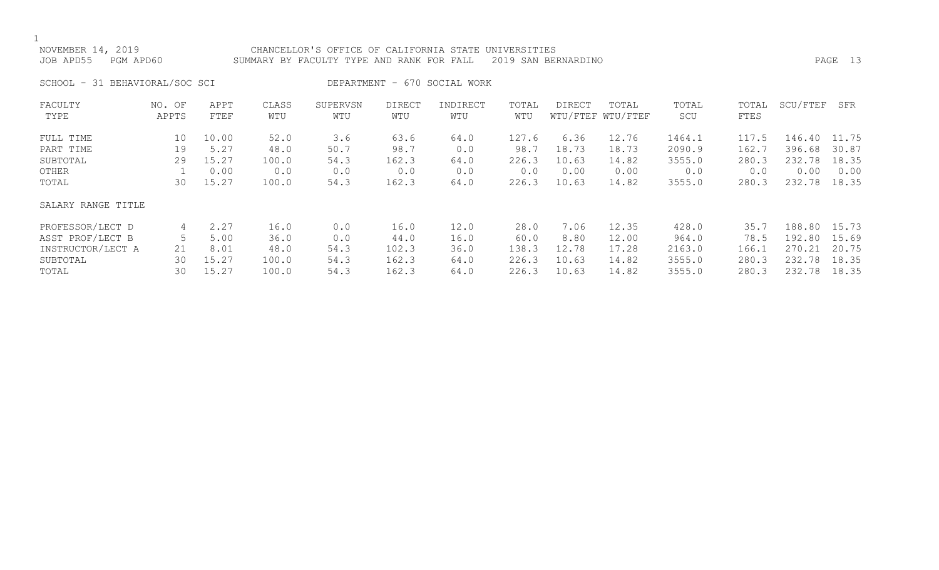### NOVEMBER 14, 2019 CHANCELLOR'S OFFICE OF CALIFORNIA STATE UNIVERSITIES JOB APD55 PGM APD60 SUMMARY BY FACULTY TYPE AND RANK FOR FALL 2019 SAN BERNARDINO PAGE 13

SCHOOL - 31 BEHAVIORAL/SOC SCI DEPARTMENT - 670 SOCIAL WORK

| FACULTY            | NO. OF | APPT  | CLASS | SUPERVSN | <b>DIRECT</b> | INDIRECT | TOTAL | DIRECT | TOTAL             | TOTAL  | TOTAL | SCU/FTEF | SFR   |
|--------------------|--------|-------|-------|----------|---------------|----------|-------|--------|-------------------|--------|-------|----------|-------|
| TYPE               | APPTS  | FTEF  | WTU   | WTU      | WTU           | WTU      | WTU   |        | WTU/FTEF WTU/FTEF | SCU    | FTES  |          |       |
| FULL TIME          | 10     | 10.00 | 52.0  | 3.6      | 63.6          | 64.0     | 127.6 | 6.36   | 12.76             | 1464.1 | 117.5 | 146.40   | 11.75 |
| PART TIME          | 19     | 5.27  | 48.0  | 50.7     | 98.7          | 0.0      | 98.7  | 18.73  | 18.73             | 2090.9 | 162.7 | 396.68   | 30.87 |
| SUBTOTAL           | 29     | 15.27 | 100.0 | 54.3     | 162.3         | 64.0     | 226.3 | 10.63  | 14.82             | 3555.0 | 280.3 | 232.78   | 18.35 |
| OTHER              |        | 0.00  | 0.0   | 0.0      | 0.0           | 0.0      | 0.0   | 0.00   | 0.00              | 0.0    | 0.0   | 0.00     | 0.00  |
| TOTAL              | 30     | 15.27 | 100.0 | 54.3     | 162.3         | 64.0     | 226.3 | 10.63  | 14.82             | 3555.0 | 280.3 | 232.78   | 18.35 |
| SALARY RANGE TITLE |        |       |       |          |               |          |       |        |                   |        |       |          |       |
| PROFESSOR/LECT D   | 4      | 2.27  | 16.0  | 0.0      | 16.0          | 12.0     | 28.0  | 7.06   | 12.35             | 428.0  | 35.7  | 188.80   | 15.73 |
| ASST PROF/LECT B   |        | 5.00  | 36.0  | 0.0      | 44.0          | 16.0     | 60.0  | 8.80   | 12.00             | 964.0  | 78.5  | 192.80   | 15.69 |
| INSTRUCTOR/LECT A  | 21     | 8.01  | 48.0  | 54.3     | 102.3         | 36.0     | 138.3 | 12.78  | 17.28             | 2163.0 | 166.1 | 270.21   | 20.75 |
| SUBTOTAL           | 30     | 15.27 | 100.0 | 54.3     | 162.3         | 64.0     | 226.3 | 10.63  | 14.82             | 3555.0 | 280.3 | 232.78   | 18.35 |
| TOTAL              | 30     | 15.27 | 100.0 | 54.3     | 162.3         | 64.0     | 226.3 | 10.63  | 14.82             | 3555.0 | 280.3 | 232.78   | 18.35 |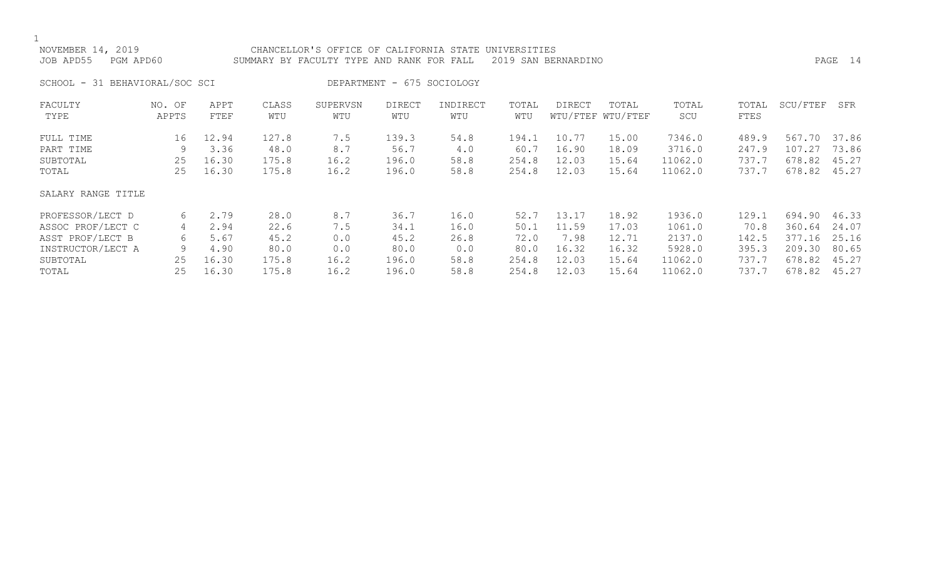| NOVEMBER 14, 2019<br>JOB APD55<br>PGM APD60 |                 |              |              | CHANCELLOR'S OFFICE OF CALIFORNIA STATE UNIVERSITIES<br>SUMMARY BY FACULTY TYPE AND RANK FOR FALL |                            |                 |              | 2019 SAN BERNARDINO |                            |              |               |          | PAGE 14 |
|---------------------------------------------|-----------------|--------------|--------------|---------------------------------------------------------------------------------------------------|----------------------------|-----------------|--------------|---------------------|----------------------------|--------------|---------------|----------|---------|
| SCHOOL - 31 BEHAVIORAL/SOC SCI              |                 |              |              |                                                                                                   | DEPARTMENT - 675 SOCIOLOGY |                 |              |                     |                            |              |               |          |         |
| FACULTY<br>TYPE                             | NO. OF<br>APPTS | APPT<br>FTEF | CLASS<br>WTU | SUPERVSN<br>WTU                                                                                   | DIRECT<br>WTU              | INDIRECT<br>WTU | TOTAL<br>WTU | DIRECT              | TOTAL<br>WTU/FTEF WTU/FTEF | TOTAL<br>SCU | TOTAL<br>FTES | SCU/FTEF | SFR     |
| FULL TIME                                   | 16              | 12.94        | 127.8        | 7.5                                                                                               | 139.3                      | 54.8            | 194.1        | 10.77               | 15.00                      | 7346.0       | 489.9         | 567.70   | 37.86   |
| PART TIME                                   | 9               | 3.36         | 48.0         | 8.7                                                                                               | 56.7                       | 4.0             | 60.7         | 16.90               | 18.09                      | 3716.0       | 247.9         | 107.27   | 73.86   |
| SUBTOTAL                                    | 25              | 16.30        | 175.8        | 16.2                                                                                              | 196.0                      | 58.8            | 254.8        | 12.03               | 15.64                      | 11062.0      | 737.7         | 678.82   | 45.27   |
| TOTAL                                       | 25              | 16.30        | 175.8        | 16.2                                                                                              | 196.0                      | 58.8            | 254.8        | 12.03               | 15.64                      | 11062.0      | 737.7         | 678.82   | 45.27   |
| SALARY RANGE TITLE                          |                 |              |              |                                                                                                   |                            |                 |              |                     |                            |              |               |          |         |
| PROFESSOR/LECT D                            | 6               | 2.79         | 28.0         | 8.7                                                                                               | 36.7                       | 16.0            | 52.7         | 13.17               | 18.92                      | 1936.0       | 129.1         | 694.90   | 46.33   |
| ASSOC PROF/LECT C                           | 4               | 2.94         | 22.6         | 7.5                                                                                               | 34.1                       | 16.0            | 50.1         | 11.59               | 17.03                      | 1061.0       | 70.8          | 360.64   | 24.07   |
| ASST PROF/LECT B                            | 6               | 5.67         | 45.2         | 0.0                                                                                               | 45.2                       | 26.8            | 72.0         | 7.98                | 12.71                      | 2137.0       | 142.5         | 377.16   | 25.16   |
| INSTRUCTOR/LECT A                           | 9               | 4.90         | 80.0         | 0.0                                                                                               | 80.0                       | 0.0             | 80.0         | 16.32               | 16.32                      | 5928.0       | 395.3         | 209.30   | 80.65   |
| SUBTOTAL                                    | 25              | 16.30        | 175.8        | 16.2                                                                                              | 196.0                      | 58.8            | 254.8        | 12.03               | 15.64                      | 11062.0      | 737.7         | 678.82   | 45.27   |
| TOTAL                                       | 25              | 16.30        | 175.8        | 16.2                                                                                              | 196.0                      | 58.8            | 254.8        | 12.03               | 15.64                      | 11062.0      | 737.7         | 678.82   | 45.27   |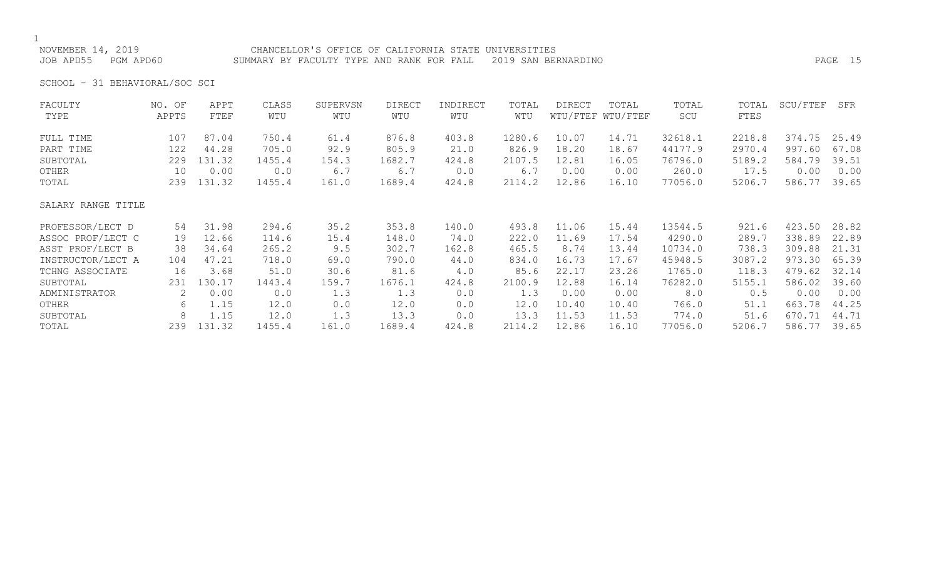NOVEMBER 14, 2019 CHANCELLOR'S OFFICE OF CALIFORNIA STATE UNIVERSITIES JOB APD55 PGM APD60 SUMMARY BY FACULTY TYPE AND RANK FOR FALL 2019 SAN BERNARDINO PAGE 15

SCHOOL - 31 BEHAVIORAL/SOC SCI

| FACULTY            | NO. OF | APPT   | CLASS  | SUPERVSN | <b>DIRECT</b> | INDIRECT | TOTAL  | <b>DIRECT</b> | TOTAL             | TOTAL   | TOTAL  | SCU/FTEF | SFR   |
|--------------------|--------|--------|--------|----------|---------------|----------|--------|---------------|-------------------|---------|--------|----------|-------|
| TYPE               | APPTS  | FTEF   | WTU    | WTU      | WTU           | WTU      | WTU    |               | WTU/FTEF WTU/FTEF | SCU     | FTES   |          |       |
| FULL TIME          | 107    | 87.04  | 750.4  | 61.4     | 876.8         | 403.8    | 1280.6 | 10.07         | 14.71             | 32618.1 | 2218.8 | 374.75   | 25.49 |
| PART TIME          | 122    | 44.28  | 705.0  | 92.9     | 805.9         | 21.0     | 826.9  | 18.20         | 18.67             | 44177.9 | 2970.4 | 997.60   | 67.08 |
| SUBTOTAL           | 229    | 131.32 | 1455.4 | 154.3    | 1682.7        | 424.8    | 2107.5 | 12.81         | 16.05             | 76796.0 | 5189.2 | 584.79   | 39.51 |
| OTHER              | 10     | 0.00   | 0.0    | 6.7      | 6.7           | 0.0      | 6.7    | 0.00          | 0.00              | 260.0   | 17.5   | 0.00     | 0.00  |
| TOTAL              | 239    | 131.32 | 1455.4 | 161.0    | 1689.4        | 424.8    | 2114.2 | 12.86         | 16.10             | 77056.0 | 5206.7 | 586.77   | 39.65 |
| SALARY RANGE TITLE |        |        |        |          |               |          |        |               |                   |         |        |          |       |
| PROFESSOR/LECT D   | 54     | 31.98  | 294.6  | 35.2     | 353.8         | 140.0    | 493.8  | 11.06         | 15.44             | 13544.5 | 921.6  | 423.50   | 28.82 |
| ASSOC PROF/LECT C  | 19     | 12.66  | 114.6  | 15.4     | 148.0         | 74.0     | 222.0  | 11.69         | 17.54             | 4290.0  | 289.7  | 338.89   | 22.89 |
| ASST PROF/LECT B   | 38     | 34.64  | 265.2  | 9.5      | 302.7         | 162.8    | 465.5  | 8.74          | 13.44             | 10734.0 | 738.3  | 309.88   | 21.31 |
| INSTRUCTOR/LECT A  | 104    | 47.21  | 718.0  | 69.0     | 790.0         | 44.0     | 834.0  | 16.73         | 17.67             | 45948.5 | 3087.2 | 973.30   | 65.39 |
| TCHNG ASSOCIATE    | 16     | 3.68   | 51.0   | 30.6     | 81.6          | 4.0      | 85.6   | 22.17         | 23.26             | 1765.0  | 118.3  | 479.62   | 32.14 |
| SUBTOTAL           | 231    | 130.17 | 1443.4 | 159.7    | 1676.1        | 424.8    | 2100.9 | 12.88         | 16.14             | 76282.0 | 5155.1 | 586.02   | 39.60 |
| ADMINISTRATOR      | 2      | 0.00   | 0.0    | 1.3      | 1.3           | 0.0      | 1.3    | 0.00          | 0.00              | 8.0     | 0.5    | 0.00     | 0.00  |
| OTHER              | 6      | 1.15   | 12.0   | 0.0      | 12.0          | 0.0      | 12.0   | 10.40         | 10.40             | 766.0   | 51.1   | 663.78   | 44.25 |
| SUBTOTAL           | 8      | 1.15   | 12.0   | 1.3      | 13.3          | 0.0      | 13.3   | 11.53         | 11.53             | 774.0   | 51.6   | 670.71   | 44.71 |
| TOTAL              | 239    | 131.32 | 1455.4 | 161.0    | 1689.4        | 424.8    | 2114.2 | 12.86         | 16.10             | 77056.0 | 5206.7 | 586.77   | 39.65 |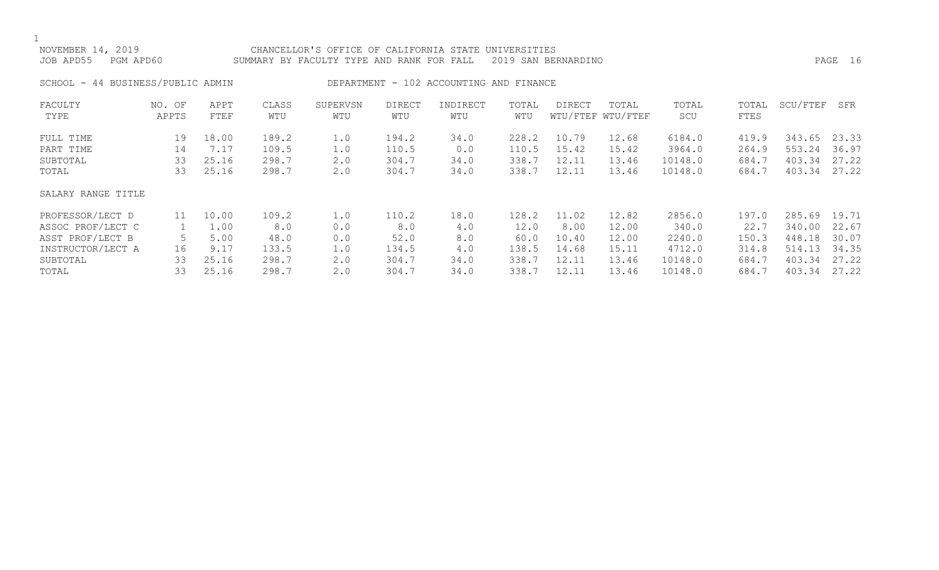| NOVEMBER 14, 2019<br>JOB APD55<br>PGM APD60               |                 |                        |                         | CHANCELLOR'S OFFICE OF CALIFORNIA STATE<br>SUMMARY BY FACULTY TYPE AND RANK FOR FALL |                         |                                         | UNIVERSITIES            | 2019 SAN BERNARDINO     |                            |                             |                         |                            | PAGE 16                 |
|-----------------------------------------------------------|-----------------|------------------------|-------------------------|--------------------------------------------------------------------------------------|-------------------------|-----------------------------------------|-------------------------|-------------------------|----------------------------|-----------------------------|-------------------------|----------------------------|-------------------------|
| SCHOOL - 44 BUSINESS/PUBLIC ADMIN                         |                 |                        |                         |                                                                                      |                         | DEPARTMENT - 102 ACCOUNTING AND FINANCE |                         |                         |                            |                             |                         |                            |                         |
| FACULTY<br>TYPE                                           | NO. OF<br>APPTS | APPT<br>FTEF           | CLASS<br>WTU            | SUPERVSN<br>WTU                                                                      | <b>DIRECT</b><br>WTU    | INDIRECT<br>WTU                         | TOTAL<br>WTU            | <b>DIRECT</b>           | TOTAL<br>WTU/FTEF WTU/FTEF | TOTAL<br>SCU                | TOTAL<br>FTES           | SCU/FTEF                   | SFR                     |
| FULL TIME<br>PART TIME<br>SUBTOTAL                        | 19<br>14<br>33  | 18.00<br>7.17<br>25.16 | 189.2<br>109.5<br>298.7 | 1.0<br>1.0<br>2.0                                                                    | 194.2<br>110.5<br>304.7 | 34.0<br>0.0<br>34.0                     | 228.2<br>110.5<br>338.7 | 10.79<br>15.42<br>12.11 | 12.68<br>15.42<br>13.46    | 6184.0<br>3964.0<br>10148.0 | 419.9<br>264.9<br>684.7 | 343.65<br>553.24<br>403.34 | 23.33<br>36.97<br>27.22 |
| TOTAL<br>SALARY RANGE TITLE                               | 33              | 25.16                  | 298.7                   | 2.0                                                                                  | 304.7                   | 34.0                                    | 338.7                   | 12.11                   | 13.46                      | 10148.0                     | 684.7                   | 403.34                     | 27.22                   |
| PROFESSOR/LECT D<br>ASSOC PROF/LECT C<br>ASST PROF/LECT B | 11<br>5         | 10.00<br>1.00<br>5.00  | 109.2<br>8.0<br>48.0    | 1.0<br>0.0<br>0.0                                                                    | 110.2<br>8.0<br>52.0    | 18.0<br>4.0<br>8.0                      | 128.2<br>12.0<br>60.0   | 11.02<br>8.00<br>10.40  | 12.82<br>12.00<br>12.00    | 2856.0<br>340.0<br>2240.0   | 197.0<br>22.7<br>150.3  | 285.69<br>340.00<br>448.18 | 19.71<br>22.67<br>30.07 |

INSTRUCTOR/LECT A 16 9.17 133.5 1.0 134.5 4.0 138.5 14.68 15.11 4712.0 314.8 514.13 34.35 SUBTOTAL 33 25.16 298.7 2.0 304.7 34.0 338.7 12.11 13.46 10148.0 684.7 403.34 27.22

684.7 403.34 27.22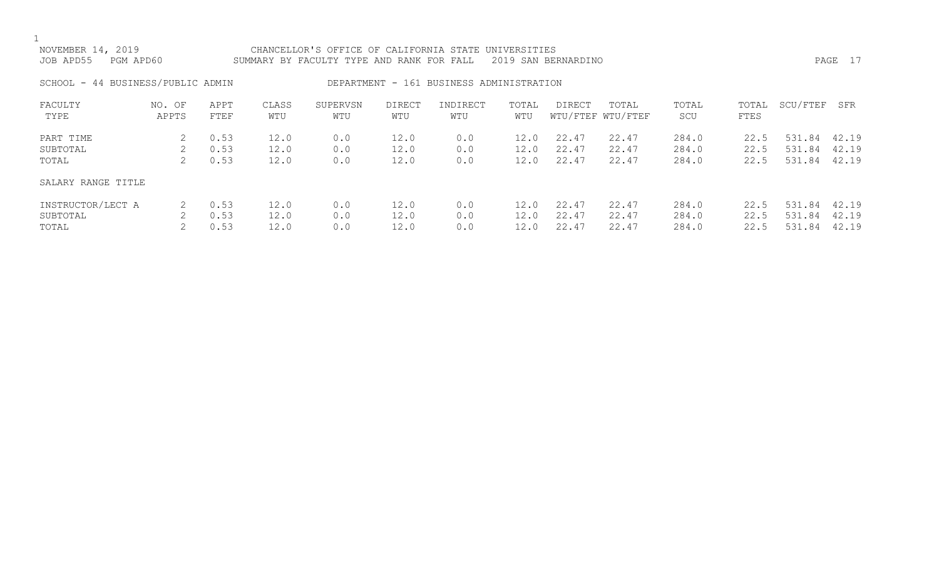| NOVEMBER 14, 2019<br>JOB APD55<br>PGM APD60 |                 |                      |                      | CHANCELLOR'S OFFICE OF CALIFORNIA STATE UNIVERSITIES<br>SUMMARY BY FACULTY TYPE AND RANK FOR FALL |                      |                                          |                      | 2019 SAN BERNARDINO     |                            |                         |                      |                            | PAGE 17                 |
|---------------------------------------------|-----------------|----------------------|----------------------|---------------------------------------------------------------------------------------------------|----------------------|------------------------------------------|----------------------|-------------------------|----------------------------|-------------------------|----------------------|----------------------------|-------------------------|
| SCHOOL - 44 BUSINESS/PUBLIC ADMIN           |                 |                      |                      |                                                                                                   |                      | DEPARTMENT - 161 BUSINESS ADMINISTRATION |                      |                         |                            |                         |                      |                            |                         |
| FACULTY<br>TYPE                             | NO. OF<br>APPTS | APPT<br>FTEF         | CLASS<br>WTU         | SUPERVSN<br>WTU                                                                                   | <b>DIRECT</b><br>WTU | INDIRECT<br>WTU                          | TOTAL<br>WTU         | DIRECT                  | TOTAL<br>WTU/FTEF WTU/FTEF | TOTAL<br>SCU            | TOTAL<br>FTES        | SCU/FTEF                   | SFR                     |
| PART TIME<br>SUBTOTAL<br>TOTAL              | 2               | 0.53<br>0.53<br>0.53 | 12.0<br>12.0<br>12.0 | 0.0<br>0.0<br>0.0                                                                                 | 12.0<br>12.0<br>12.0 | 0.0<br>0.0<br>0.0                        | 12.0<br>12.0<br>12.0 | 22.47<br>22.47<br>22.47 | 22.47<br>22.47<br>22.47    | 284.0<br>284.0<br>284.0 | 22.5<br>22.5<br>22.5 | 531.84<br>531.84<br>531.84 | 42.19<br>42.19<br>42.19 |
| SALARY RANGE TITLE                          |                 |                      |                      |                                                                                                   |                      |                                          |                      |                         |                            |                         |                      |                            |                         |
| INSTRUCTOR/LECT A<br>SUBTOTAL               | 2               | 0.53<br>0.53         | 12.0<br>12.0         | 0.0<br>0.0                                                                                        | 12.0<br>12.0         | 0.0<br>0.0                               | 12.0<br>12.0         | 22.47<br>22.47          | 22.47<br>22.47             | 284.0<br>284.0          | 22.5<br>22.5         | 531.84<br>531.84           | 42.19<br>42.19          |

TOTAL 2 0.53 12.0 0.0 12.0 0.0 12.0 22.47 22.47 284.0 22.5 531.84 42.19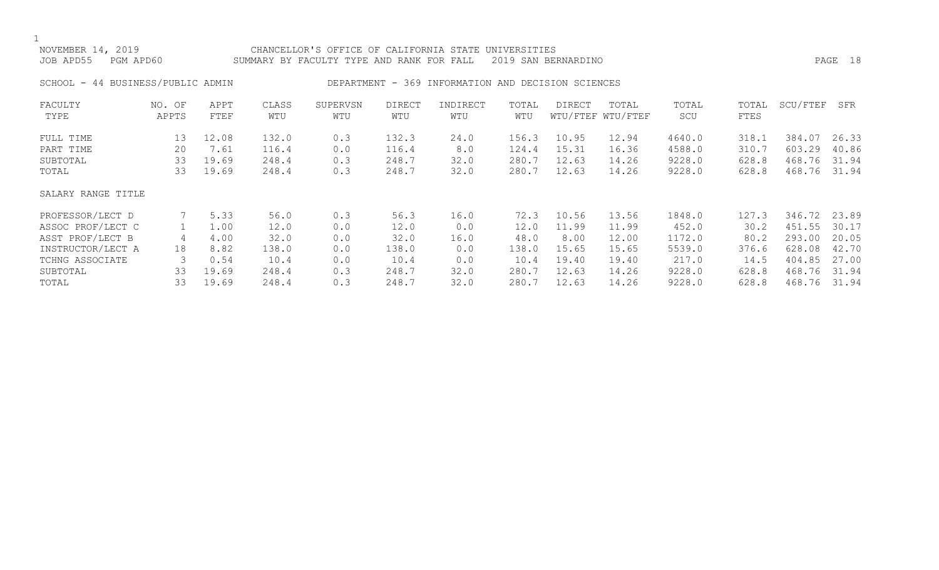NOVEMBER 14, 2019 CHANCELLOR'S OFFICE OF CALIFORNIA STATE UNIVERSITIES JOB APD55 PGM APD60 SUMMARY BY FACULTY TYPE AND RANK FOR FALL 2019 SAN BERNARDINO PAGE 18 SCHOOL - 44 BUSINESS/PUBLIC ADMIN DEPARTMENT - 369 INFORMATION AND DECISION SCIENCES FACULTY NO. OF APPT CLASS SUPERVSN DIRECT INDIRECT TOTAL DIRECT TOTAL TOTAL TOTAL SCU/FTEF SFR

| r uodit i<br>TYPE  | IVV. UL'<br>APPTS | AF 5 1<br>FTEF | CALLO<br>WTU | <b>DUL LIV UN</b><br>WTU | レエハロヘエ<br>WTU | エロロエレロヘエ<br>WTU | TATAT<br>WTU | DINDO I | TATH<br>WTU/FTEF WTU/FTEF | TOIUT<br>SCU | TOILT<br>FTES | つへのく エコロエ | יו בט |
|--------------------|-------------------|----------------|--------------|--------------------------|---------------|-----------------|--------------|---------|---------------------------|--------------|---------------|-----------|-------|
| FULL TIME          | 13                | 12.08          | 132.0        | 0.3                      | 132.3         | 24.0            | 156.3        | 10.95   | 12.94                     | 4640.0       | 318.1         | 384.07    | 26.33 |
| PART TIME          | 20                | 7.61           | 116.4        | 0.0                      | 116.4         | 8.0             | 124.4        | 15.31   | 16.36                     | 4588.0       | 310.7         | 603.29    | 40.86 |
| SUBTOTAL           | 33                | 19.69          | 248.4        | 0.3                      | 248.7         | 32.0            | 280.7        | 12.63   | 14.26                     | 9228.0       | 628.8         | 468.76    | 31.94 |
| TOTAL              | 33                | 19.69          | 248.4        | 0.3                      | 248.7         | 32.0            | 280.7        | 12.63   | 14.26                     | 9228.0       | 628.8         | 468.76    | 31.94 |
| SALARY RANGE TITLE |                   |                |              |                          |               |                 |              |         |                           |              |               |           |       |
| PROFESSOR/LECT D   |                   | 5.33           | 56.0         | 0.3                      | 56.3          | 16.0            | 72.3         | 10.56   | 13.56                     | 1848.0       | 127.3         | 346.72    | 23.89 |
| ASSOC PROF/LECT C  |                   | 1.00           | 12.0         | 0.0                      | 12.0          | 0.0             | 12.0         | 11.99   | 11.99                     | 452.0        | 30.2          | 451.55    | 30.17 |
| ASST PROF/LECT B   | 4                 | 4.00           | 32.0         | 0.0                      | 32.0          | 16.0            | 48.0         | 8.00    | 12.00                     | 1172.0       | 80.2          | 293.00    | 20.05 |
| INSTRUCTOR/LECT A  | 18                | 8.82           | 138.0        | 0.0                      | 138.0         | 0.0             | 138.0        | 15.65   | 15.65                     | 5539.0       | 376.6         | 628.08    | 42.70 |
| TCHNG ASSOCIATE    |                   | 0.54           | 10.4         | 0.0                      | 10.4          | 0.0             | 10.4         | 19.40   | 19.40                     | 217.0        | 14.5          | 404.85    | 27.00 |
| SUBTOTAL           | 33                | 19.69          | 248.4        | 0.3                      | 248.7         | 32.0            | 280.7        | 12.63   | 14.26                     | 9228.0       | 628.8         | 468.76    | 31.94 |
| TOTAL              | 33                | 19.69          | 248.4        | 0.3                      | 248.7         | 32.0            | 280.7        | 12.63   | 14.26                     | 9228.0       | 628.8         | 468.76    | 31.94 |
|                    |                   |                |              |                          |               |                 |              |         |                           |              |               |           |       |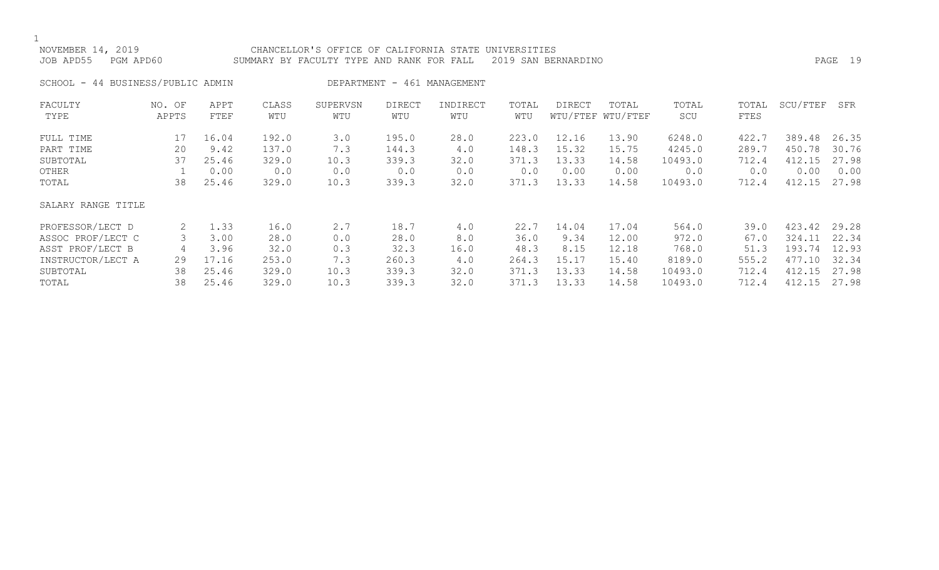$\frac{1}{\text{NOV}}$ 

| NOVEMBER 14, 2019   | CHANCELLOR'S OFFICE OF CALIFORNIA STATE UNIVERSITIES          |         |
|---------------------|---------------------------------------------------------------|---------|
| JOB APD55 PGM APD60 | SUMMARY BY FACULTY TYPE AND RANK FOR FALL 2019 SAN BERNARDINO | PAGE 19 |
|                     |                                                               |         |

SCHOOL - 44 BUSINESS/PUBLIC ADMIN DEPARTMENT - 461 MANAGEMENT

| FACULTY            | NO. OF | APPT  | CLASS | SUPERVSN | <b>DIRECT</b> | INDIRECT | TOTAL | <b>DIRECT</b> | TOTAL             | TOTAL   | TOTAL | SCU/FTEF | SFR   |
|--------------------|--------|-------|-------|----------|---------------|----------|-------|---------------|-------------------|---------|-------|----------|-------|
| TYPE               | APPTS  | FTEF  | WTU   | WTU      | WTU           | WTU      | WTU   |               | WTU/FTEF WTU/FTEF | SCU     | FTES  |          |       |
| FULL TIME          | 17     | 16.04 | 192.0 | 3.0      | 195.0         | 28.0     | 223.0 | 12.16         | 13.90             | 6248.0  | 422.7 | 389.48   | 26.35 |
| PART TIME          | 20     | 9.42  | 137.0 | 7.3      | 144.3         | 4.0      | 148.3 | 15.32         | 15.75             | 4245.0  | 289.7 | 450.78   | 30.76 |
| SUBTOTAL           | 37     | 25.46 | 329.0 | 10.3     | 339.3         | 32.0     | 371.3 | 13.33         | 14.58             | 10493.0 | 712.4 | 412.15   | 27.98 |
| OTHER              |        | 0.00  | 0.0   | 0.0      | 0.0           | 0.0      | 0.0   | 0.00          | 0.00              | 0.0     | 0.0   | 0.00     | 0.00  |
| TOTAL              | 38     | 25.46 | 329.0 | 10.3     | 339.3         | 32.0     | 371.3 | 13.33         | 14.58             | 10493.0 | 712.4 | 412.15   | 27.98 |
| SALARY RANGE TITLE |        |       |       |          |               |          |       |               |                   |         |       |          |       |
| PROFESSOR/LECT D   | 2      | 1.33  | 16.0  | 2.7      | 18.7          | 4.0      | 22.7  | 14.04         | 17.04             | 564.0   | 39.0  | 423.42   | 29.28 |
| ASSOC PROF/LECT C  |        | 3.00  | 28.0  | 0.0      | 28.0          | 8.0      | 36.0  | 9.34          | 12.00             | 972.0   | 67.0  | 324.11   | 22.34 |
| ASST PROF/LECT B   | 4      | 3.96  | 32.0  | 0.3      | 32.3          | 16.0     | 48.3  | 8.15          | 12.18             | 768.0   | 51.3  | 193.74   | 12.93 |
| INSTRUCTOR/LECT A  | 29     | 17.16 | 253.0 | 7.3      | 260.3         | 4.0      | 264.3 | 15.17         | 15.40             | 8189.0  | 555.2 | 477.10   | 32.34 |
| SUBTOTAL           | 38     | 25.46 | 329.0 | 10.3     | 339.3         | 32.0     | 371.3 | 13.33         | 14.58             | 10493.0 | 712.4 | 412.15   | 27.98 |
| TOTAL              | 38     | 25.46 | 329.0 | 10.3     | 339.3         | 32.0     | 371.3 | 13.33         | 14.58             | 10493.0 | 712.4 | 412.15   | 27.98 |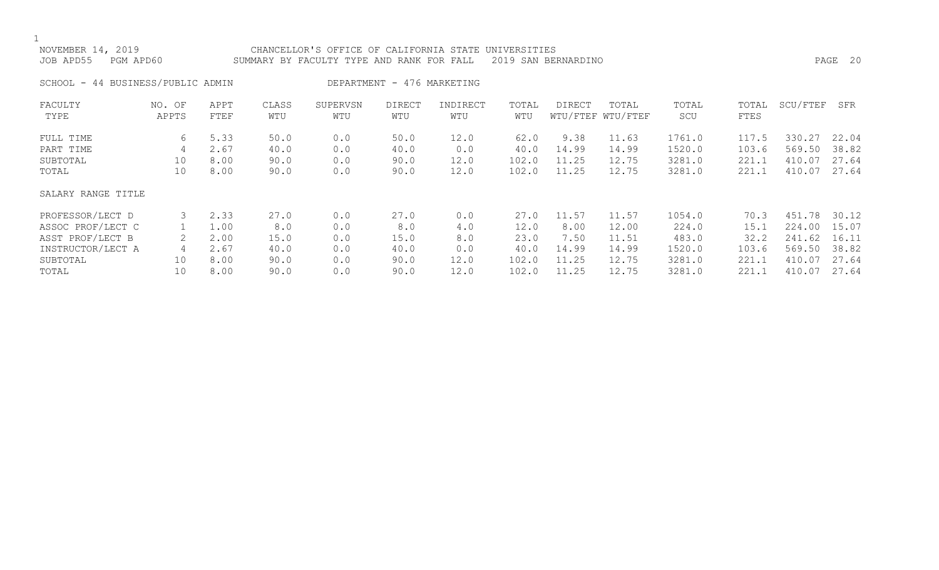| NOVEMBER 14, 2019<br>JOB APD55    | PGM APD60       |              |              | CHANCELLOR'S OFFICE OF CALIFORNIA STATE<br>UNIVERSITIES<br>2019 SAN BERNARDINO<br>SUMMARY BY FACULTY TYPE AND RANK FOR FALL |                            |                 |              |        |                            |              |               |          |       |
|-----------------------------------|-----------------|--------------|--------------|-----------------------------------------------------------------------------------------------------------------------------|----------------------------|-----------------|--------------|--------|----------------------------|--------------|---------------|----------|-------|
| SCHOOL - 44 BUSINESS/PUBLIC ADMIN |                 |              |              |                                                                                                                             | DEPARTMENT - 476 MARKETING |                 |              |        |                            |              |               |          |       |
| FACULTY<br>TYPE                   | NO. OF<br>APPTS | APPT<br>FTEF | CLASS<br>WTU | SUPERVSN<br>WTU                                                                                                             | <b>DIRECT</b><br>WTU       | INDIRECT<br>WTU | TOTAL<br>WTU | DIRECT | TOTAL<br>WTU/FTEF WTU/FTEF | TOTAL<br>SCU | TOTAL<br>FTES | SCU/FTEF | SFR   |
| FULL TIME                         | 6               | 5.33         | 50.0         | 0.0                                                                                                                         | 50.0                       | 12.0            | 62.0         | 9.38   | 11.63                      | 1761.0       | 117.5         | 330.27   | 22.04 |
| PART TIME                         | 4               | 2.67         | 40.0         | 0.0                                                                                                                         | 40.0                       | 0.0             | 40.0         | 14.99  | 14.99                      | 1520.0       | 103.6         | 569.50   | 38.82 |
| SUBTOTAL                          | 10              | 8.00         | 90.0         | 0.0                                                                                                                         | 90.0                       | 12.0            | 102.0        | 11.25  | 12.75                      | 3281.0       | 221.1         | 410.07   | 27.64 |
| TOTAL                             | 10              | 8.00         | 90.0         | 0.0                                                                                                                         | 90.0                       | 12.0            | 102.0        | 11.25  | 12.75                      | 3281.0       | 221.1         | 410.07   | 27.64 |
| SALARY RANGE TITLE                |                 |              |              |                                                                                                                             |                            |                 |              |        |                            |              |               |          |       |
| PROFESSOR/LECT D                  |                 | 2.33         | 27.0         | 0.0                                                                                                                         | 27.0                       | 0.0             | 27.0         | 11.57  | 11.57                      | 1054.0       | 70.3          | 451.78   | 30.12 |
| ASSOC PROF/LECT C                 |                 | 1.00         | 8.0          | 0.0                                                                                                                         | 8.0                        | 4.0             | 12.0         | 8.00   | 12.00                      | 224.0        | 15.1          | 224.00   | 15.07 |
| ASST PROF/LECT B                  |                 | 2.00         | 15.0         | 0.0                                                                                                                         | 15.0                       | 8.0             | 23.0         | 7.50   | 11.51                      | 483.0        | 32.2          | 241.62   | 16.11 |
| INSTRUCTOR/LECT A                 | 4               | 2.67         | 40.0         | 0.0                                                                                                                         | 40.0                       | 0.0             | 40.0         | 14.99  | 14.99                      | 1520.0       | 103.6         | 569.50   | 38.82 |

INSTRUCTOR/LECT A 4 2.67 40.0 0.0 40.0 0.0 40.0 14.99 14.99 1520.0 103.6 569.50 38.82 SUBTOTAL 10 8.00 90.0 0.0 90.0 12.0 102.0 11.25 12.75 3281.0 221.1 410.07 27.64 TOTAL 10 8.00 90.0 0.0 90.0 12.0 102.0 11.25 12.75 3281.0 221.1 410.07 27.64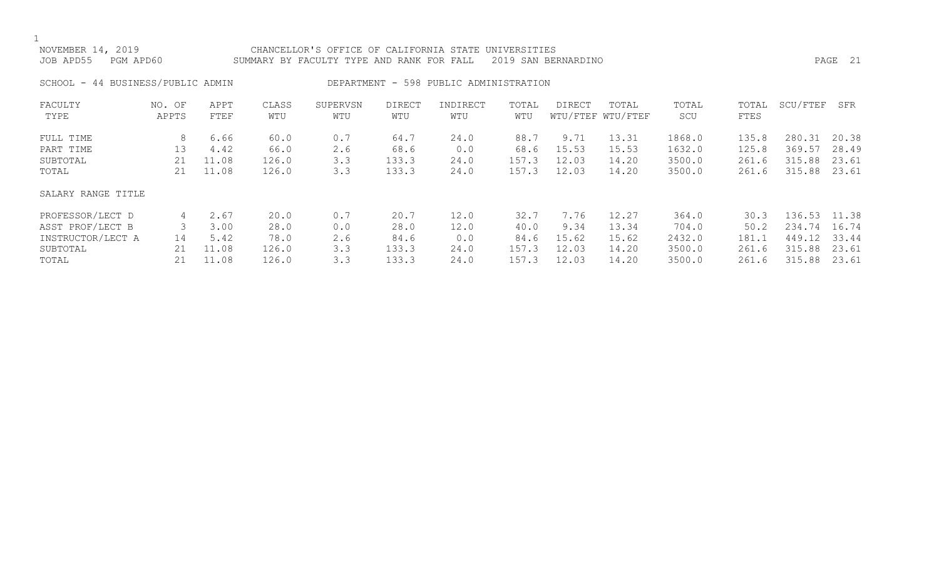| NOVEMBER 14, 2019<br>JOB APD55<br>PGM APD60                           |                     |                                |                                | CHANCELLOR'S OFFICE OF CALIFORNIA STATE UNIVERSITIES<br>2019 SAN BERNARDINO<br>SUMMARY BY FACULTY TYPE AND RANK FOR FALL |                                |                                        |                                |                                 |                                  |                                      |                                  |                                      | PAGE 21                          |
|-----------------------------------------------------------------------|---------------------|--------------------------------|--------------------------------|--------------------------------------------------------------------------------------------------------------------------|--------------------------------|----------------------------------------|--------------------------------|---------------------------------|----------------------------------|--------------------------------------|----------------------------------|--------------------------------------|----------------------------------|
| SCHOOL - 44 BUSINESS/PUBLIC ADMIN                                     |                     |                                |                                |                                                                                                                          |                                | DEPARTMENT - 598 PUBLIC ADMINISTRATION |                                |                                 |                                  |                                      |                                  |                                      |                                  |
| FACULTY<br>TYPE                                                       | NO. OF<br>APPTS     | APPT<br>FTEF                   | CLASS<br>WTU                   | SUPERVSN<br>WTU                                                                                                          | <b>DIRECT</b><br>WTU           | INDIRECT<br>WTU                        | TOTAL<br>WTU                   | <b>DIRECT</b>                   | TOTAL<br>WTU/FTEF WTU/FTEF       | TOTAL<br>SCU                         | TOTAL<br>FTES                    | SCU/FTEF                             | SFR                              |
| FULL TIME<br>PART TIME<br>SUBTOTAL<br>TOTAL                           | 8<br>13<br>21<br>21 | 6.66<br>4.42<br>11.08<br>11.08 | 60.0<br>66.0<br>126.0<br>126.0 | 0.7<br>2.6<br>3.3<br>3.3                                                                                                 | 64.7<br>68.6<br>133.3<br>133.3 | 24.0<br>0.0<br>24.0<br>24.0            | 88.7<br>68.6<br>157.3<br>157.3 | 9.71<br>15.53<br>12.03<br>12.03 | 13.31<br>15.53<br>14.20<br>14.20 | 1868.0<br>1632.0<br>3500.0<br>3500.0 | 135.8<br>125.8<br>261.6<br>261.6 | 280.31<br>369.57<br>315.88<br>315.88 | 20.38<br>28.49<br>23.61<br>23.61 |
| SALARY RANGE TITLE                                                    |                     |                                |                                |                                                                                                                          |                                |                                        |                                |                                 |                                  |                                      |                                  |                                      |                                  |
| PROFESSOR/LECT D<br>ASST PROF/LECT B<br>INSTRUCTOR/LECT A<br>SUBTOTAL | 4<br>14<br>21       | 2.67<br>3.00<br>5.42<br>11.08  | 20.0<br>28.0<br>78.0<br>126.0  | 0.7<br>0.0<br>2.6<br>3.3                                                                                                 | 20.7<br>28.0<br>84.6<br>133.3  | 12.0<br>12.0<br>0.0<br>24.0            | 32.7<br>40.0<br>84.6<br>157.3  | 7.76<br>9.34<br>15.62<br>12.03  | 12.27<br>13.34<br>15.62<br>14.20 | 364.0<br>704.0<br>2432.0<br>3500.0   | 30.3<br>50.2<br>181.1<br>261.6   | 136.53<br>234.74<br>449.12<br>315.88 | 11.38<br>16.74<br>33.44<br>23.61 |

TOTAL 21 11.08 126.0 3.3 133.3 24.0 157.3 12.03 14.20 3500.0 261.6 315.88 23.61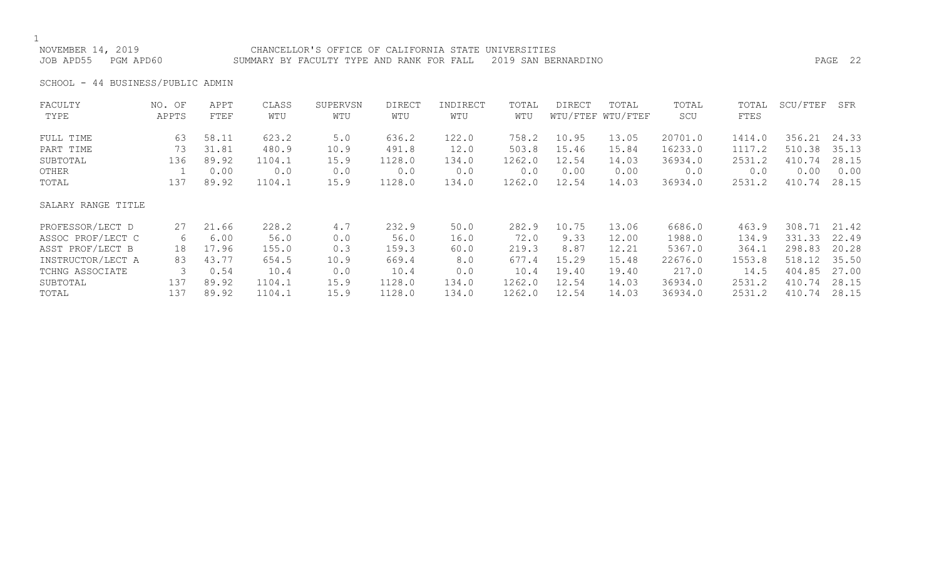### NOVEMBER 14, 2019 CHANCELLOR'S OFFICE OF CALIFORNIA STATE UNIVERSITIES JOB APD55 PGM APD60 SUMMARY BY FACULTY TYPE AND RANK FOR FALL 2019 SAN BERNARDINO PAGE 22

SCHOOL - 44 BUSINESS/PUBLIC ADMIN

| FACULTY            | NO. OF | APPT  | CLASS  | SUPERVSN | DIRECT | INDIRECT | TOTAL  | <b>DIRECT</b> | TOTAL             | TOTAL   | TOTAL       | SCU/FTEF | SFR   |
|--------------------|--------|-------|--------|----------|--------|----------|--------|---------------|-------------------|---------|-------------|----------|-------|
| TYPE               | APPTS  | FTEF  | WTU    | WTU      | WTU    | WTU      | WTU    |               | WTU/FTEF WTU/FTEF | SCU     | <b>FTES</b> |          |       |
| FULL TIME          | 63     | 58.11 | 623.2  | 5.0      | 636.2  | 122.0    | 758.2  | 10.95         | 13.05             | 20701.0 | 1414.0      | 356.21   | 24.33 |
| PART TIME          | 73     | 31.81 | 480.9  | 10.9     | 491.8  | 12.0     | 503.8  | 15.46         | 15.84             | 16233.0 | 1117.2      | 510.38   | 35.13 |
| SUBTOTAL           | 136    | 89.92 | 1104.1 | 15.9     | 1128.0 | 134.0    | 1262.0 | 12.54         | 14.03             | 36934.0 | 2531.2      | 410.74   | 28.15 |
| OTHER              |        | 0.00  | 0.0    | 0.0      | 0.0    | 0.0      | 0.0    | 0.00          | 0.00              | 0.0     | 0.0         | 0.00     | 0.00  |
| TOTAL              | 137    | 89.92 | 1104.1 | 15.9     | 1128.0 | 134.0    | 1262.0 | 12.54         | 14.03             | 36934.0 | 2531.2      | 410.74   | 28.15 |
| SALARY RANGE TITLE |        |       |        |          |        |          |        |               |                   |         |             |          |       |
| PROFESSOR/LECT D   | 27     | 21.66 | 228.2  | 4.7      | 232.9  | 50.0     | 282.9  | 10.75         | 13.06             | 6686.0  | 463.9       | 308.71   | 21.42 |
| ASSOC PROF/LECT C  | 6      | 6.00  | 56.0   | 0.0      | 56.0   | 16.0     | 72.0   | 9.33          | 12.00             | 1988.0  | 134.9       | 331.33   | 22.49 |
| ASST PROF/LECT B   | 18     | 17.96 | 155.0  | 0.3      | 159.3  | 60.0     | 219.3  | 8.87          | 12.21             | 5367.0  | 364.1       | 298.83   | 20.28 |
| INSTRUCTOR/LECT A  | 83     | 43.77 | 654.5  | 10.9     | 669.4  | 8.0      | 677.4  | 15.29         | 15.48             | 22676.0 | 1553.8      | 518.12   | 35.50 |
| TCHNG ASSOCIATE    |        | 0.54  | 10.4   | 0.0      | 10.4   | 0.0      | 10.4   | 19.40         | 19.40             | 217.0   | 14.5        | 404.85   | 27.00 |
| SUBTOTAL           | 137    | 89.92 | 1104.1 | 15.9     | 1128.0 | 134.0    | 1262.0 | 12.54         | 14.03             | 36934.0 | 2531.2      | 410.74   | 28.15 |
| TOTAL              | 137    | 89.92 | 1104.1 | 15.9     | 1128.0 | 134.0    | 1262.0 | 12.54         | 14.03             | 36934.0 | 2531.2      | 410.74   | 28.15 |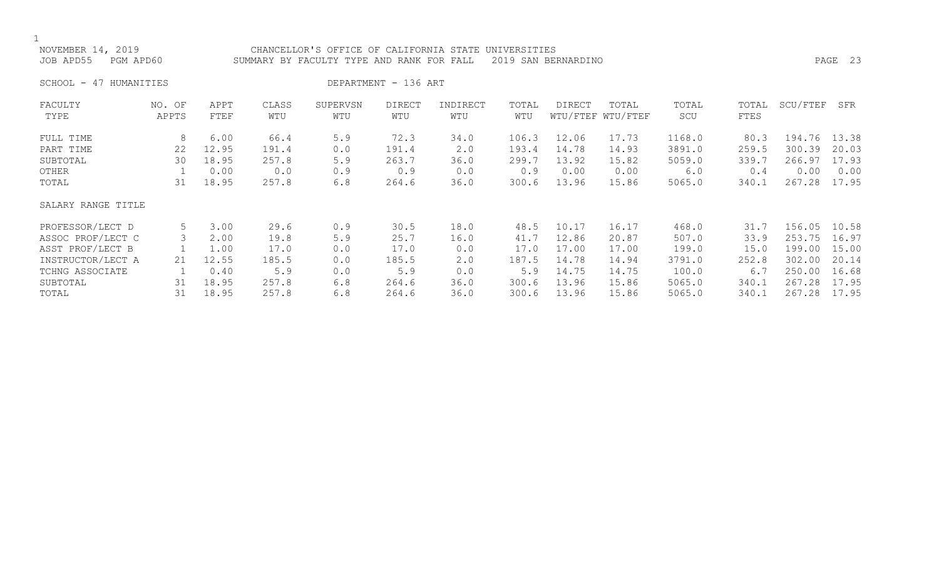### NOVEMBER 14, 2019 CHANCELLOR'S OFFICE OF CALIFORNIA STATE UNIVERSITIES JOB APD55 PGM APD60 SUMMARY BY FACULTY TYPE AND RANK FOR FALL 2019 SAN BERNARDINO PAGE 23

SCHOOL - 47 HUMANITIES DEPARTMENT - 136 ART

| FACULTY            | NO. OF | APPT  | CLASS | SUPERVSN | <b>DIRECT</b> | INDIRECT | TOTAL | <b>DIRECT</b> | TOTAL             | TOTAL  | TOTAL       | SCU/FTEF | SFR   |
|--------------------|--------|-------|-------|----------|---------------|----------|-------|---------------|-------------------|--------|-------------|----------|-------|
| TYPE               | APPTS  | FTEF  | WTU   | WTU      | WTU           | WTU      | WTU   |               | WTU/FTEF WTU/FTEF | SCU    | <b>FTES</b> |          |       |
| FULL TIME          | 8      | 6.00  | 66.4  | 5.9      | 72.3          | 34.0     | 106.3 | 12.06         | 17.73             | 1168.0 | 80.3        | 194.76   | 13.38 |
| PART TIME          | 22     | 12.95 | 191.4 | 0.0      | 191.4         | 2.0      | 193.4 | 14.78         | 14.93             | 3891.0 | 259.5       | 300.39   | 20.03 |
| SUBTOTAL           | 30     | 18.95 | 257.8 | 5.9      | 263.7         | 36.0     | 299.7 | 13.92         | 15.82             | 5059.0 | 339.7       | 266.97   | 17.93 |
| OTHER              |        | 0.00  | 0.0   | 0.9      | 0.9           | 0.0      | 0.9   | 0.00          | 0.00              | 6.0    | 0.4         | 0.00     | 0.00  |
| TOTAL              | 31     | 18.95 | 257.8 | 6.8      | 264.6         | 36.0     | 300.6 | 13.96         | 15.86             | 5065.0 | 340.1       | 267.28   | 17.95 |
| SALARY RANGE TITLE |        |       |       |          |               |          |       |               |                   |        |             |          |       |
| PROFESSOR/LECT D   | 5      | 3.00  | 29.6  | 0.9      | 30.5          | 18.0     | 48.5  | 10.17         | 16.17             | 468.0  | 31.7        | 156.05   | 10.58 |
| ASSOC PROF/LECT C  |        | 2.00  | 19.8  | 5.9      | 25.7          | 16.0     | 41.7  | 12.86         | 20.87             | 507.0  | 33.9        | 253.75   | 16.97 |
| ASST PROF/LECT B   |        | 1.00  | 17.0  | 0.0      | 17.0          | 0.0      | 17.0  | 17.00         | 17.00             | 199.0  | 15.0        | 199.00   | 15.00 |
| INSTRUCTOR/LECT A  | 21     | 12.55 | 185.5 | 0.0      | 185.5         | 2.0      | 187.5 | 14.78         | 14.94             | 3791.0 | 252.8       | 302.00   | 20.14 |
| TCHNG ASSOCIATE    |        | 0.40  | 5.9   | 0.0      | 5.9           | 0.0      | 5.9   | 14.75         | 14.75             | 100.0  | 6.7         | 250.00   | 16.68 |
| SUBTOTAL           | 31     | 18.95 | 257.8 | 6.8      | 264.6         | 36.0     | 300.6 | 13.96         | 15.86             | 5065.0 | 340.1       | 267.28   | 17.95 |
| TOTAL              | 31     | 18.95 | 257.8 | 6.8      | 264.6         | 36.0     | 300.6 | 13.96         | 15.86             | 5065.0 | 340.1       | 267.28   | 17.95 |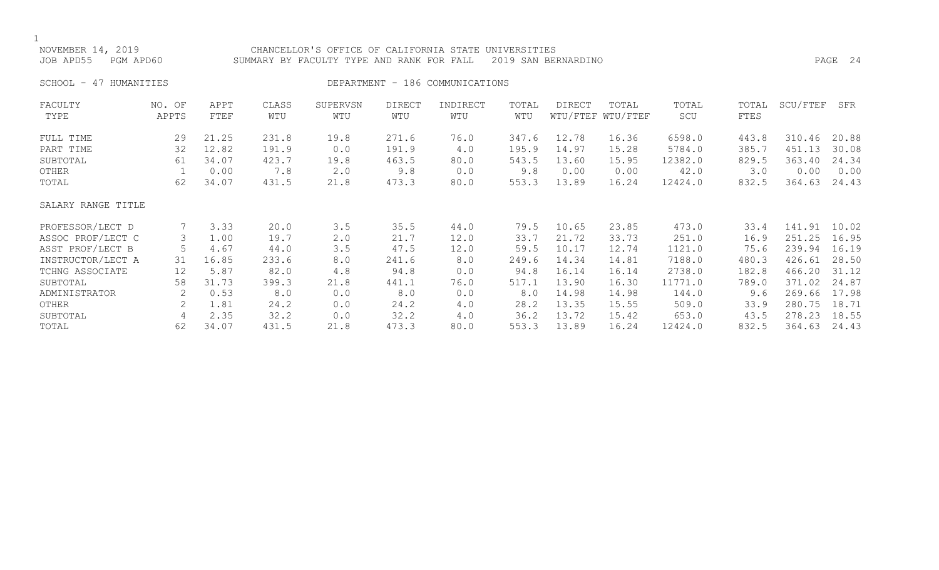| NOVEMBER 14, 2019<br>JOB APD55 | PGM APD60         |              | CHANCELLOR'S OFFICE OF CALIFORNIA STATE<br>SUMMARY BY FACULTY TYPE AND RANK FOR FALL |                 | PAGE 24       |                                 |              |        |                            |              |               |          |       |
|--------------------------------|-------------------|--------------|--------------------------------------------------------------------------------------|-----------------|---------------|---------------------------------|--------------|--------|----------------------------|--------------|---------------|----------|-------|
| 47 HUMANITIES<br>SCHOOL -      |                   |              |                                                                                      |                 |               | DEPARTMENT - 186 COMMUNICATIONS |              |        |                            |              |               |          |       |
| FACULTY<br>TYPE                | NO. OF<br>APPTS   | APPT<br>FTEF | CLASS<br>WTU                                                                         | SUPERVSN<br>WTU | DIRECT<br>WTU | INDIRECT<br>WTU                 | TOTAL<br>WTU | DIRECT | TOTAL<br>WTU/FTEF WTU/FTEF | TOTAL<br>SCU | TOTAL<br>FTES | SCU/FTEF | SFR   |
| FULL TIME                      | 29                | 21.25        | 231.8                                                                                | 19.8            | 271.6         | 76.0                            | 347.6        | 12.78  | 16.36                      | 6598.0       | 443.8         | 310.46   | 20.88 |
| PART TIME                      | 32                | 12.82        | 191.9                                                                                | 0.0             | 191.9         | 4.0                             | 195.9        | 14.97  | 15.28                      | 5784.0       | 385.7         | 451.13   | 30.08 |
| SUBTOTAL                       | 61                | 34.07        | 423.7                                                                                | 19.8            | 463.5         | 80.0                            | 543.5        | 13.60  | 15.95                      | 12382.0      | 829.5         | 363.40   | 24.34 |
| OTHER                          |                   | 0.00         | 7.8                                                                                  | 2.0             | 9.8           | 0.0                             | 9.8          | 0.00   | 0.00                       | 42.0         | 3.0           | 0.00     | 0.00  |
| TOTAL                          | 62                | 34.07        | 431.5                                                                                | 21.8            | 473.3         | 80.0                            | 553.3        | 13.89  | 16.24                      | 12424.0      | 832.5         | 364.63   | 24.43 |
| SALARY RANGE TITLE             |                   |              |                                                                                      |                 |               |                                 |              |        |                            |              |               |          |       |
| PROFESSOR/LECT D               |                   | 3.33         | 20.0                                                                                 | 3.5             | 35.5          | 44.0                            | 79.5         | 10.65  | 23.85                      | 473.0        | 33.4          | 141.91   | 10.02 |
| ASSOC PROF/LECT C              | 3                 | 1.00         | 19.7                                                                                 | 2.0             | 21.7          | 12.0                            | 33.7         | 21.72  | 33.73                      | 251.0        | 16.9          | 251.25   | 16.95 |
| ASST PROF/LECT B               | 5                 | 4.67         | 44.0                                                                                 | 3.5             | 47.5          | 12.0                            | 59.5         | 10.17  | 12.74                      | 1121.0       | 75.6          | 239.94   | 16.19 |
| INSTRUCTOR/LECT A              | 31                | 16.85        | 233.6                                                                                | 8.0             | 241.6         | 8.0                             | 249.6        | 14.34  | 14.81                      | 7188.0       | 480.3         | 426.61   | 28.50 |
| TCHNG ASSOCIATE                | $12 \overline{ }$ | 5.87         | 82.0                                                                                 | 4.8             | 94.8          | 0.0                             | 94.8         | 16.14  | 16.14                      | 2738.0       | 182.8         | 466.20   | 31.12 |
| SUBTOTAL                       | 58                | 31.73        | 399.3                                                                                | 21.8            | 441.1         | 76.0                            | 517.1        | 13.90  | 16.30                      | 11771.0      | 789.0         | 371.02   | 24.87 |
| ADMINISTRATOR                  | 2                 | 0.53         | 8.0                                                                                  | 0.0             | 8.0           | 0.0                             | 8.0          | 14.98  | 14.98                      | 144.0        | 9.6           | 269.66   | 17.98 |
| OTHER                          | 2                 | 1.81         | 24.2                                                                                 | 0.0             | 24.2          | 4.0                             | 28.2         | 13.35  | 15.55                      | 509.0        | 33.9          | 280.75   | 18.71 |
| SUBTOTAL                       | 4                 | 2.35         | 32.2                                                                                 | 0.0             | 32.2          | 4.0                             | 36.2         | 13.72  | 15.42                      | 653.0        | 43.5          | 278.23   | 18.55 |
| TOTAL                          | 62                | 34.07        | 431.5                                                                                | 21.8            | 473.3         | 80.0                            | 553.3        | 13.89  | 16.24                      | 12424.0      | 832.5         | 364.63   | 24.43 |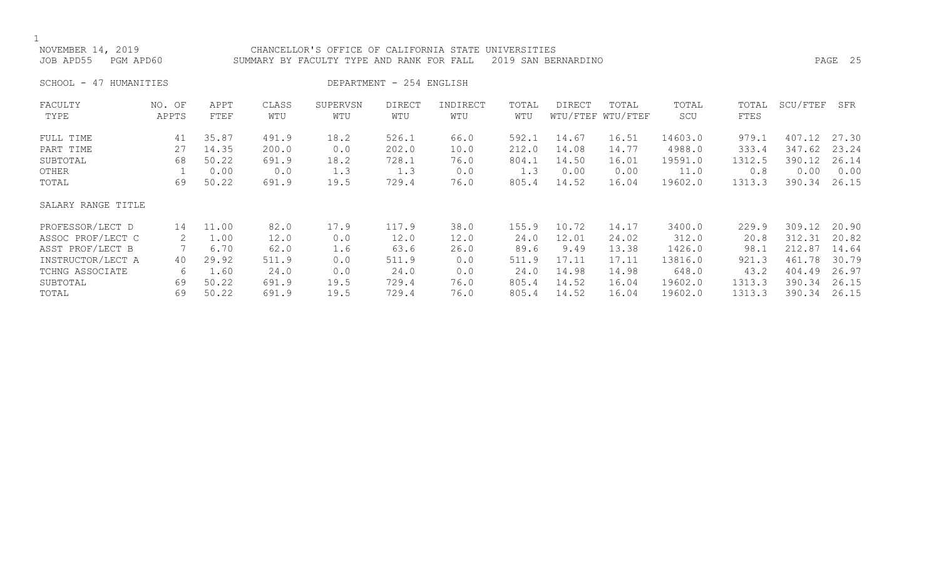NOVEMBER 14, 2019 CHANCELLOR'S OFFICE OF CALIFORNIA STATE UNIVERSITIES JOB APD55 PGM APD60 SUMMARY BY FACULTY TYPE AND RANK FOR FALL 2019 SAN BERNARDINO PAGE 25

SCHOOL - 47 HUMANITIES DEPARTMENT - 254 ENGLISH

| FACULTY            | NO. OF | APPT  | CLASS | SUPERVSN | <b>DIRECT</b> | INDIRECT | TOTAL | DIRECT | TOTAL             | TOTAL   | TOTAL  | SCU/FTEF | SFR   |
|--------------------|--------|-------|-------|----------|---------------|----------|-------|--------|-------------------|---------|--------|----------|-------|
| TYPE               | APPTS  | FTEF  | WTU   | WTU      | WTU           | WTU      | WTU   |        | WTU/FTEF WTU/FTEF | SCU     | FTES   |          |       |
| FULL TIME          | 41     | 35.87 | 491.9 | 18.2     | 526.1         | 66.0     | 592.1 | 14.67  | 16.51             | 14603.0 | 979.1  | 407.12   | 27.30 |
| PART TIME          | 27     | 14.35 | 200.0 | 0.0      | 202.0         | 10.0     | 212.0 | 14.08  | 14.77             | 4988.0  | 333.4  | 347.62   | 23.24 |
| SUBTOTAL           | 68     | 50.22 | 691.9 | 18.2     | 728.1         | 76.0     | 804.1 | 14.50  | 16.01             | 19591.0 | 1312.5 | 390.12   | 26.14 |
| OTHER              |        | 0.00  | 0.0   | 1.3      | 1.3           | 0.0      | 1.3   | 0.00   | 0.00              | 11.0    | 0.8    | 0.00     | 0.00  |
| TOTAL              | 69     | 50.22 | 691.9 | 19.5     | 729.4         | 76.0     | 805.4 | 14.52  | 16.04             | 19602.0 | 1313.3 | 390.34   | 26.15 |
| SALARY RANGE TITLE |        |       |       |          |               |          |       |        |                   |         |        |          |       |
| PROFESSOR/LECT D   | 14     | 11.00 | 82.0  | 17.9     | 117.9         | 38.0     | 155.9 | 10.72  | 14.17             | 3400.0  | 229.9  | 309.12   | 20.90 |
| ASSOC PROF/LECT C  | 2      | 1.00  | 12.0  | 0.0      | 12.0          | 12.0     | 24.0  | 12.01  | 24.02             | 312.0   | 20.8   | 312.31   | 20.82 |
| ASST PROF/LECT B   |        | 6.70  | 62.0  | 1.6      | 63.6          | 26.0     | 89.6  | 9.49   | 13.38             | 1426.0  | 98.1   | 212.87   | 14.64 |
| INSTRUCTOR/LECT A  | 40     | 29.92 | 511.9 | 0.0      | 511.9         | 0.0      | 511.9 | 17.11  | 17.11             | 13816.0 | 921.3  | 461.78   | 30.79 |
| TCHNG ASSOCIATE    | 6      | 1.60  | 24.0  | 0.0      | 24.0          | 0.0      | 24.0  | 14.98  | 14.98             | 648.0   | 43.2   | 404.49   | 26.97 |
| SUBTOTAL           | 69     | 50.22 | 691.9 | 19.5     | 729.4         | 76.0     | 805.4 | 14.52  | 16.04             | 19602.0 | 1313.3 | 390.34   | 26.15 |
| TOTAL              | 69     | 50.22 | 691.9 | 19.5     | 729.4         | 76.0     | 805.4 | 14.52  | 16.04             | 19602.0 | 1313.3 | 390.34   | 26.15 |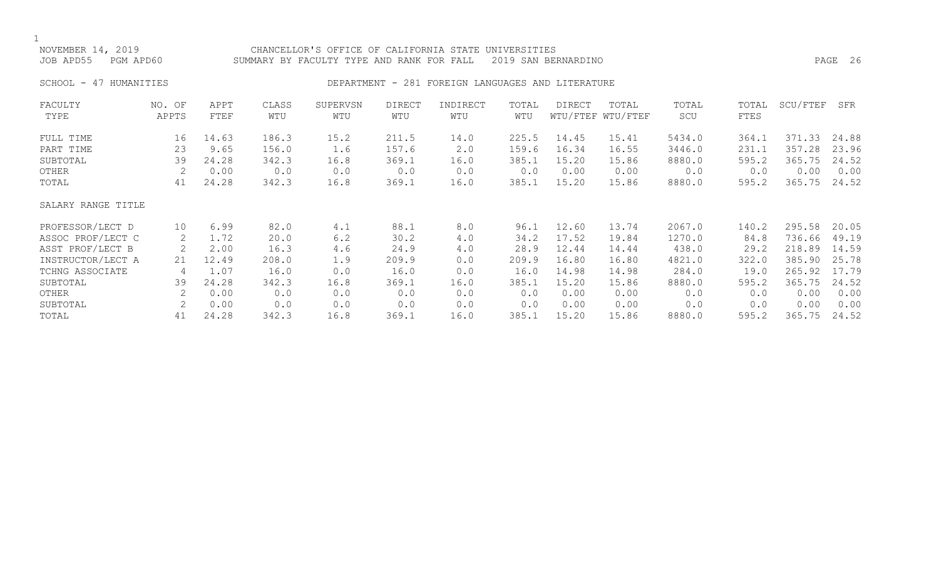1<br>NOVEMBER 14, 2019 NOVEMBER 14, 2019 CHANCELLOR'S OFFICE OF CALIFORNIA STATE UNIVERSITIES SUMMARY BY FACULTY TYPE AND RANK FOR FALL 2019 SAN BERNARDINO PART AND RAGE 26 SCHOOL - 47 HUMANITIES **DEPARTMENT - 281 FOREIGN LANGUAGES AND LITERATURE** FACULTY NO. OF APPT CLASS SUPERVSN DIRECT INDIRECT TOTAL DIRECT TOTAL TOTAL TOTAL SCU/FTEF SFR WTU/FTEF WTU/FTEF FULL TIME 16 14.63 186.3 15.2 211.5 14.0 225.5 14.45 15.41 5434.0 364.1 371.33 24.88

| PART TIME          | 23            | 9.65  | 156.0 | 1.6  | 157.6 | 2.0  | 159.6 | 16.34 | 16.55 | 3446.0 | 231.1 | 357<br>.28   | 23.96 |
|--------------------|---------------|-------|-------|------|-------|------|-------|-------|-------|--------|-------|--------------|-------|
| SUBTOTAL           | 39            | 24.28 | 342.3 | 16.8 | 369.1 | 16.0 | 385.1 | 15.20 | 15.86 | 8880.0 | 595.2 | 365.75       | 24.52 |
| OTHER              |               | 0.00  | 0.0   | 0.0  | 0.0   | 0.0  | 0.0   | 0.00  | 0.00  | 0.0    | 0.0   | 0.00         | 0.00  |
| TOTAL              | 41            | 24.28 | 342.3 | 16.8 | 369.1 | 16.0 | 385.1 | 15.20 | 15.86 | 8880.0 | 595.2 | 365.75       | 24.52 |
| SALARY RANGE TITLE |               |       |       |      |       |      |       |       |       |        |       |              |       |
| PROFESSOR/LECT D   | 10            | 6.99  | 82.0  | 4.1  | 88.1  | 8.0  | 96.1  | 12.60 | 13.74 | 2067.0 | 140.2 | 295.58       | 20.05 |
| ASSOC PROF/LECT C  | 2             | 1.72  | 20.0  | 6.2  | 30.2  | 4.0  | 34.2  | 17.52 | 19.84 | 1270.0 | 84.8  | 736.66       | 49.19 |
| ASST PROF/LECT B   | 2             | 2.00  | 16.3  | 4.6  | 24.9  | 4.0  | 28.9  | 12.44 | 14.44 | 438.0  | 29.2  | 218.89       | 14.59 |
| INSTRUCTOR/LECT A  | 21            | 12.49 | 208.0 | 1.9  | 209.9 | 0.0  | 209.9 | 16.80 | 16.80 | 4821.0 | 322.0 | 385.90       | 25.78 |
| TCHNG ASSOCIATE    |               | 1.07  | 16.0  | 0.0  | 16.0  | 0.0  | 16.0  | 14.98 | 14.98 | 284.0  | 19.0  | 265.92 17.79 |       |
| SUBTOTAL           | 39            | 24.28 | 342.3 | 16.8 | 369.1 | 16.0 | 385.1 | 15.20 | 15.86 | 8880.0 | 595.2 | 365.75       | 24.52 |
| OTHER              |               | 0.00  | 0.0   | 0.0  | 0.0   | 0.0  | 0.0   | 0.00  | 0.00  | 0.0    | 0.0   | 0.00         | 0.00  |
| SUBTOTAL           | $\mathcal{L}$ | 0.00  | 0.0   | 0.0  | 0.0   | 0.0  | 0.0   | 0.00  | 0.00  | 0.0    | 0.0   | 0.00         | 0.00  |
| TOTAL              | 41            | 24.28 | 342.3 | 16.8 | 369.1 | 16.0 | 385.1 | 15.20 | 15.86 | 8880.0 | 595.2 | 365.75       | 24.52 |
|                    |               |       |       |      |       |      |       |       |       |        |       |              |       |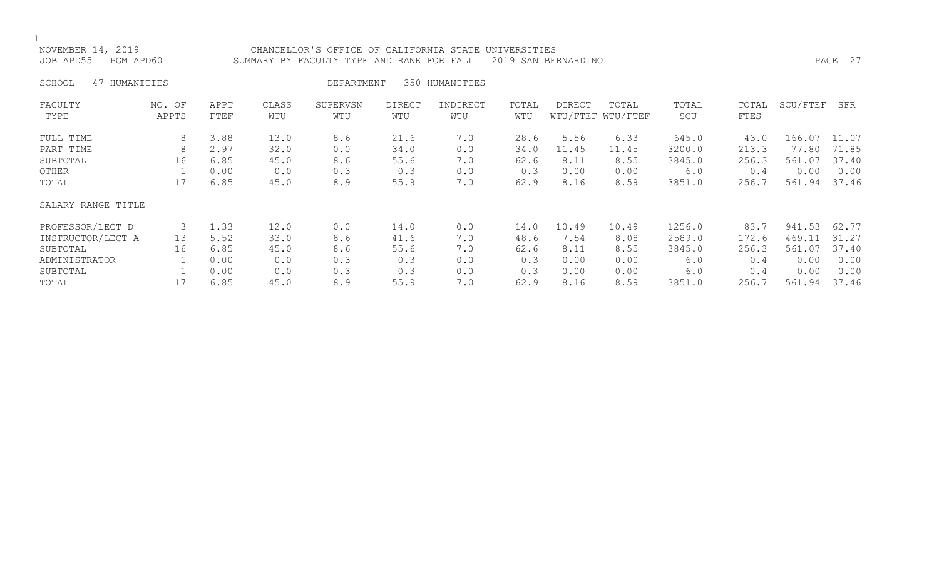NOVEMBER 14, 2019 CHANCELLOR'S OFFICE OF CALIFORNIA STATE UNIVERSITIES JOB APD55 PGM APD60 SUMMARY BY FACULTY TYPE AND RANK FOR FALL 2019 SAN BERNARDINO PAGE 27

SCHOOL - 47 HUMANITIES DEPARTMENT - 350 HUMANITIES

| FACULTY            | NO. OF | APPT | CLASS | SUPERVSN | <b>DIRECT</b> | INDIRECT | TOTAL | <b>DIRECT</b> | TOTAL             | TOTAL  | TOTAL | SCU/FTEF | SFR   |
|--------------------|--------|------|-------|----------|---------------|----------|-------|---------------|-------------------|--------|-------|----------|-------|
| TYPE               | APPTS  | FTEF | WTU   | WTU      | WTU           | WTU      | WTU   |               | WTU/FTEF WTU/FTEF | SCU    | FTES  |          |       |
| FULL TIME          | 8      | 3.88 | 13.0  | 8.6      | 21.6          | 7.0      | 28.6  | 5.56          | 6.33              | 645.0  | 43.0  | 166.07   | 11.07 |
| PART TIME          | 8      | 2.97 | 32.0  | 0.0      | 34.0          | 0.0      | 34.0  | 11.45         | 11.45             | 3200.0 | 213.3 | 77.80    | 71.85 |
| SUBTOTAL           | 16     | 6.85 | 45.0  | 8.6      | 55.6          | 7.0      | 62.6  | 8.11          | 8.55              | 3845.0 | 256.3 | 561.07   | 37.40 |
| OTHER              |        | 0.00 | 0.0   | 0.3      | 0.3           | 0.0      | 0.3   | 0.00          | 0.00              | 6.0    | 0.4   | 0.00     | 0.00  |
| TOTAL              | 17     | 6.85 | 45.0  | 8.9      | 55.9          | 7.0      | 62.9  | 8.16          | 8.59              | 3851.0 | 256.7 | 561.94   | 37.46 |
| SALARY RANGE TITLE |        |      |       |          |               |          |       |               |                   |        |       |          |       |
| PROFESSOR/LECT D   | 3      | 1.33 | 12.0  | 0.0      | 14.0          | 0.0      | 14.0  | 10.49         | 10.49             | 1256.0 | 83.7  | 941.53   | 62.77 |
| INSTRUCTOR/LECT A  | 13     | 5.52 | 33.0  | 8.6      | 41.6          | 7.0      | 48.6  | 7.54          | 8.08              | 2589.0 | 172.6 | 469.11   | 31.27 |
| SUBTOTAL           | 16     | 6.85 | 45.0  | 8.6      | 55.6          | 7.0      | 62.6  | 8.11          | 8.55              | 3845.0 | 256.3 | 561.07   | 37.40 |
| ADMINISTRATOR      |        | 0.00 | 0.0   | 0.3      | 0.3           | 0.0      | 0.3   | 0.00          | 0.00              | 6.0    | 0.4   | 0.00     | 0.00  |
| SUBTOTAL           |        | 0.00 | 0.0   | 0.3      | 0.3           | 0.0      | 0.3   | 0.00          | 0.00              | 6.0    | 0.4   | 0.00     | 0.00  |
| TOTAL              | 17     | 6.85 | 45.0  | 8.9      | 55.9          | 7.0      | 62.9  | 8.16          | 8.59              | 3851.0 | 256.7 | 561.94   | 37.46 |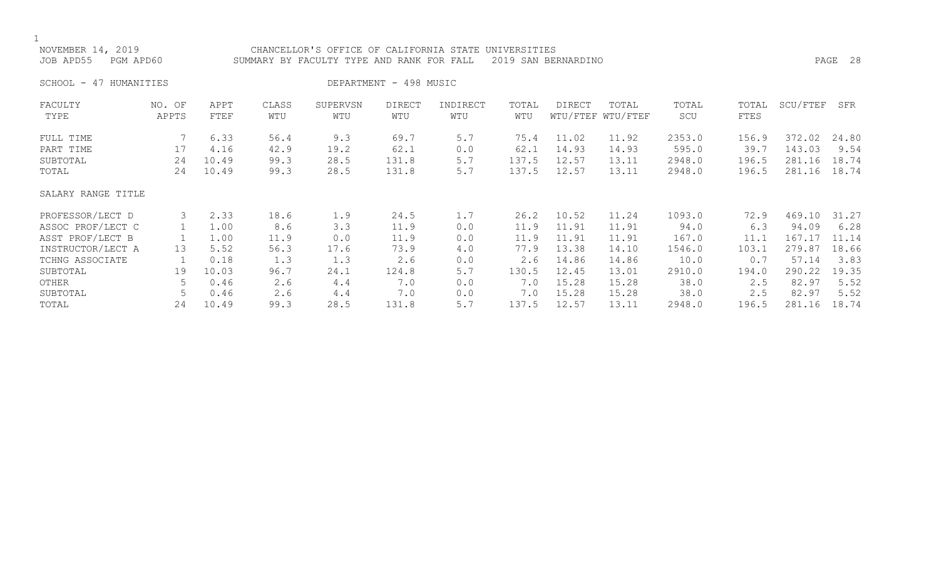| NOVEMBER 14, 2019<br>JOB APD55<br>PGM APD60 |                 |       | CHANCELLOR'S OFFICE OF CALIFORNIA STATE UNIVERSITIES<br>SUMMARY BY FACULTY TYPE AND RANK FOR FALL |          | PAGE 28                |          |       |        |                   |        |       |          |       |
|---------------------------------------------|-----------------|-------|---------------------------------------------------------------------------------------------------|----------|------------------------|----------|-------|--------|-------------------|--------|-------|----------|-------|
| SCHOOL - 47 HUMANITIES                      |                 |       |                                                                                                   |          | DEPARTMENT - 498 MUSIC |          |       |        |                   |        |       |          |       |
| FACULTY                                     | NO. OF          | APPT  | CLASS                                                                                             | SUPERVSN | <b>DIRECT</b>          | INDIRECT | TOTAL | DIRECT | TOTAL             | TOTAL  | TOTAL | SCU/FTEF | SFR   |
| TYPE                                        | APPTS           | FTEF  | WTU                                                                                               | WTU      | WTU                    | WTU      | WTU   |        | WTU/FTEF WTU/FTEF | SCU    | FTES  |          |       |
| FULL TIME                                   |                 | 6.33  | 56.4                                                                                              | 9.3      | 69.7                   | 5.7      | 75.4  | 11.02  | 11.92             | 2353.0 | 156.9 | 372.02   | 24.80 |
| PART TIME                                   | 17              | 4.16  | 42.9                                                                                              | 19.2     | 62.1                   | 0.0      | 62.1  | 14.93  | 14.93             | 595.0  | 39.7  | 143.03   | 9.54  |
| SUBTOTAL                                    | 24              | 10.49 | 99.3                                                                                              | 28.5     | 131.8                  | 5.7      | 137.5 | 12.57  | 13.11             | 2948.0 | 196.5 | 281.16   | 18.74 |
| TOTAL                                       | 24              | 10.49 | 99.3                                                                                              | 28.5     | 131.8                  | 5.7      | 137.5 | 12.57  | 13.11             | 2948.0 | 196.5 | 281.16   | 18.74 |
| SALARY RANGE TITLE                          |                 |       |                                                                                                   |          |                        |          |       |        |                   |        |       |          |       |
| PROFESSOR/LECT D                            | 3               | 2.33  | 18.6                                                                                              | 1.9      | 24.5                   | 1.7      | 26.2  | 10.52  | 11.24             | 1093.0 | 72.9  | 469.10   | 31.27 |
| ASSOC PROF/LECT C                           |                 | 1.00  | 8.6                                                                                               | 3.3      | 11.9                   | 0.0      | 11.9  | 11.91  | 11.91             | 94.0   | 6.3   | 94.09    | 6.28  |
| ASST PROF/LECT B                            |                 | 1.00  | 11.9                                                                                              | 0.0      | 11.9                   | 0.0      | 11.9  | 11.91  | 11.91             | 167.0  | 11.1  | 167.17   | 11.14 |
| INSTRUCTOR/LECT A                           | 13 <sup>°</sup> | 5.52  | 56.3                                                                                              | 17.6     | 73.9                   | 4.0      | 77.9  | 13.38  | 14.10             | 1546.0 | 103.1 | 279.87   | 18.66 |
| TCHNG ASSOCIATE                             |                 | 0.18  | 1.3                                                                                               | 1.3      | 2.6                    | 0.0      | 2.6   | 14.86  | 14.86             | 10.0   | 0.7   | 57.14    | 3.83  |
| SUBTOTAL                                    | 19              | 10.03 | 96.7                                                                                              | 24.1     | 124.8                  | 5.7      | 130.5 | 12.45  | 13.01             | 2910.0 | 194.0 | 290.22   | 19.35 |
| OTHER                                       | 5               | 0.46  | 2.6                                                                                               | 4.4      | 7.0                    | 0.0      | 7.0   | 15.28  | 15.28             | 38.0   | 2.5   | 82.97    | 5.52  |
| SUBTOTAL                                    | 5               | 0.46  | 2.6                                                                                               | 4.4      | 7.0                    | 0.0      | 7.0   | 15.28  | 15.28             | 38.0   | 2.5   | 82.97    | 5.52  |
|                                             |                 |       |                                                                                                   |          |                        |          |       |        |                   |        |       |          |       |

TOTAL 24 10.49 99.3 28.5 131.8 5.7 137.5 12.57 13.11 2948.0 196.5 281.16 18.74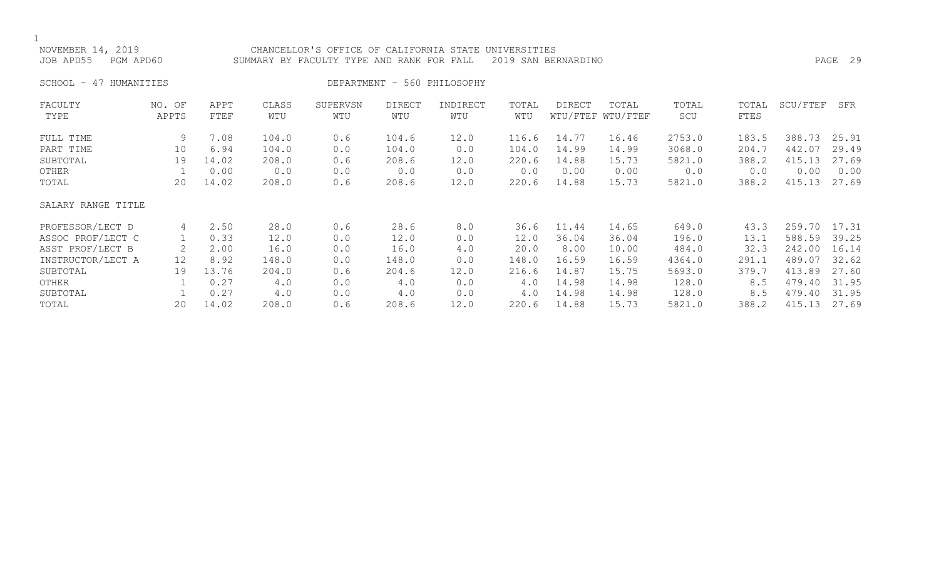$\frac{1}{\kappa}$ 

| NOVEMBER 14, 2019<br>JOB APD55<br>PGM APD60 |                   |              | CHANCELLOR'S OFFICE OF CALIFORNIA STATE<br>SUMMARY BY FACULTY TYPE AND RANK FOR FALL |                 | PAGE 29              |                 |              |        |                            |              |               |          |       |
|---------------------------------------------|-------------------|--------------|--------------------------------------------------------------------------------------|-----------------|----------------------|-----------------|--------------|--------|----------------------------|--------------|---------------|----------|-------|
| SCHOOL -<br>47 HUMANITIES                   |                   |              |                                                                                      |                 |                      |                 |              |        |                            |              |               |          |       |
| FACULTY<br>TYPE                             | NO. OF<br>APPTS   | APPT<br>FTEF | CLASS<br>WTU                                                                         | SUPERVSN<br>WTU | <b>DIRECT</b><br>WTU | INDIRECT<br>WTU | TOTAL<br>WTU | DIRECT | TOTAL<br>WTU/FTEF WTU/FTEF | TOTAL<br>SCU | TOTAL<br>FTES | SCU/FTEF | SFR   |
| FULL TIME                                   | 9                 | 7.08         | 104.0                                                                                | 0.6             | 104.6                | 12.0            | 116.6        | 14.77  | 16.46                      | 2753.0       | 183.5         | 388.73   | 25.91 |
| PART TIME                                   | 10                | 6.94         | 104.0                                                                                | 0.0             | 104.0                | 0.0             | 104.0        | 14.99  | 14.99                      | 3068.0       | 204.7         | 442.07   | 29.49 |
| SUBTOTAL                                    | 19                | 14.02        | 208.0                                                                                | 0.6             | 208.6                | 12.0            | 220.6        | 14.88  | 15.73                      | 5821.0       | 388.2         | 415.13   | 27.69 |
| OTHER                                       |                   | 0.00         | 0.0                                                                                  | 0.0             | 0.0                  | 0.0             | 0.0          | 0.00   | 0.00                       | 0.0          | 0.0           | 0.00     | 0.00  |
| TOTAL                                       | 20                | 14.02        | 208.0                                                                                | 0.6             | 208.6                | 12.0            | 220.6        | 14.88  | 15.73                      | 5821.0       | 388.2         | 415.13   | 27.69 |
| SALARY RANGE TITLE                          |                   |              |                                                                                      |                 |                      |                 |              |        |                            |              |               |          |       |
| PROFESSOR/LECT D                            | 4                 | 2.50         | 28.0                                                                                 | 0.6             | 28.6                 | 8.0             | 36.6         | 11.44  | 14.65                      | 649.0        | 43.3          | 259.70   | 17.31 |
| ASSOC PROF/LECT C                           |                   | 0.33         | 12.0                                                                                 | 0.0             | 12.0                 | 0.0             | 12.0         | 36.04  | 36.04                      | 196.0        | 13.1          | 588.59   | 39.25 |
| ASST PROF/LECT B                            |                   | 2.00         | 16.0                                                                                 | 0.0             | 16.0                 | $4.0$           | 20.0         | 8.00   | 10.00                      | 484.0        | 32.3          | 242.00   | 16.14 |
| INSTRUCTOR/LECT A                           | $12 \overline{ }$ | 8.92         | 148.0                                                                                | 0.0             | 148.0                | 0.0             | 148.0        | 16.59  | 16.59                      | 4364.0       | 291.1         | 489.07   | 32.62 |
| SUBTOTAL                                    | 19                | 13.76        | 204.0                                                                                | 0.6             | 204.6                | 12.0            | 216.6        | 14.87  | 15.75                      | 5693.0       | 379.7         | 413.89   | 27.60 |
| OTHER                                       |                   | 0.27         | 4.0                                                                                  | 0.0             | 4.0                  | 0.0             | 4.0          | 14.98  | 14.98                      | 128.0        | 8.5           | 479.40   | 31.95 |
| SUBTOTAL                                    |                   | 0.27         | 4.0                                                                                  | 0.0             | 4.0                  | 0.0             | 4.0          | 14.98  | 14.98                      | 128.0        | 8.5           | 479.40   | 31.95 |
| TOTAL                                       | 20                | 14.02        | 208.0                                                                                | 0.6             | 208.6                | 12.0            | 220.6        | 14.88  | 15.73                      | 5821.0       | 388.2         | 415.13   | 27.69 |
|                                             |                   |              |                                                                                      |                 |                      |                 |              |        |                            |              |               |          |       |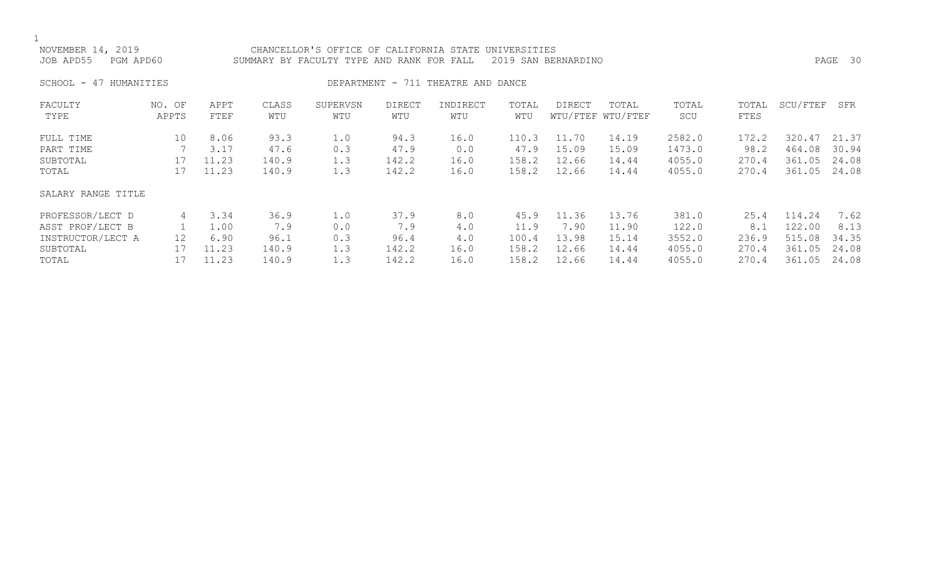|--|

| NOVEMBER 14, 2019<br>JOB APD55 | PGM APD60                                        | SUMMARY BY FACULTY TYPE AND RANK FOR FALL |              |                 | PAGE 30              |                 |              |        |                            |              |               |          |       |
|--------------------------------|--------------------------------------------------|-------------------------------------------|--------------|-----------------|----------------------|-----------------|--------------|--------|----------------------------|--------------|---------------|----------|-------|
| SCHOOL -<br>47                 | DEPARTMENT - 711 THEATRE AND DANCE<br>HUMANITIES |                                           |              |                 |                      |                 |              |        |                            |              |               |          |       |
| FACULTY<br>TYPE                | NO. OF<br>APPTS                                  | APPT<br>FTEF                              | CLASS<br>WTU | SUPERVSN<br>WTU | <b>DIRECT</b><br>WTU | INDIRECT<br>WTU | TOTAL<br>WTU | DIRECT | TOTAL<br>WTU/FTEF WTU/FTEF | TOTAL<br>SCU | TOTAL<br>FTES | SCU/FTEF | SFR   |
| FULL TIME                      | 10                                               | 8.06                                      | 93.3         | 1.0             | 94.3                 | 16.0            | 110.3        | 11.70  | 14.19                      | 2582.0       | 172.2         | 320.47   | 21.37 |
| PART TIME                      |                                                  | 3.17                                      | 47.6         | 0.3             | 47.9                 | 0.0             | 47.9         | 15.09  | 15.09                      | 1473.0       | 98.2          | 464.08   | 30.94 |
| SUBTOTAL                       | 17                                               | 11.23                                     | 140.9        | 1.3             | 142.2                | 16.0            | 158.2        | 12.66  | 14.44                      | 4055.0       | 270.4         | 361.05   | 24.08 |
| TOTAL                          | 17                                               | 11.23                                     | 140.9        | 1.3             | 142.2                | 16.0            | 158.2        | 12.66  | 14.44                      | 4055.0       | 270.4         | 361.05   | 24.08 |
| SALARY RANGE TITLE             |                                                  |                                           |              |                 |                      |                 |              |        |                            |              |               |          |       |
| PROFESSOR/LECT D               | 4                                                | 3.34                                      | 36.9         | 1.0             | 37.9                 | 8.0             | 45.9         | 11.36  | 13.76                      | 381.0        | 25.4          | 114.24   | 7.62  |
| ASST PROF/LECT B               |                                                  | 1.00                                      | 7.9          | 0.0             | 7.9                  | 4.0             | 11.9         | 7.90   | 11.90                      | 122.0        | 8.1           | 122.00   | 8.13  |
| INSTRUCTOR/LECT A              | 12                                               | 6.90                                      | 96.1         | 0.3             | 96.4                 | 4.0             | 100.4        | 13.98  | 15.14                      | 3552.0       | 236.9         | 515.08   | 34.35 |
| SUBTOTAL                       | 17                                               | 11.23                                     | 140.9        | 1.3             | 142.2                | 16.0            | 158.2        | 12.66  | 14.44                      | 4055.0       | 270.4         | 361.05   | 24.08 |
| TOTAL                          | 17                                               | 11.23                                     | 140.9        | 1.3             | 142.2                | 16.0            | 158.2        | 12.66  | 14.44                      | 4055.0       | 270.4         | 361.05   | 24.08 |
|                                |                                                  |                                           |              |                 |                      |                 |              |        |                            |              |               |          |       |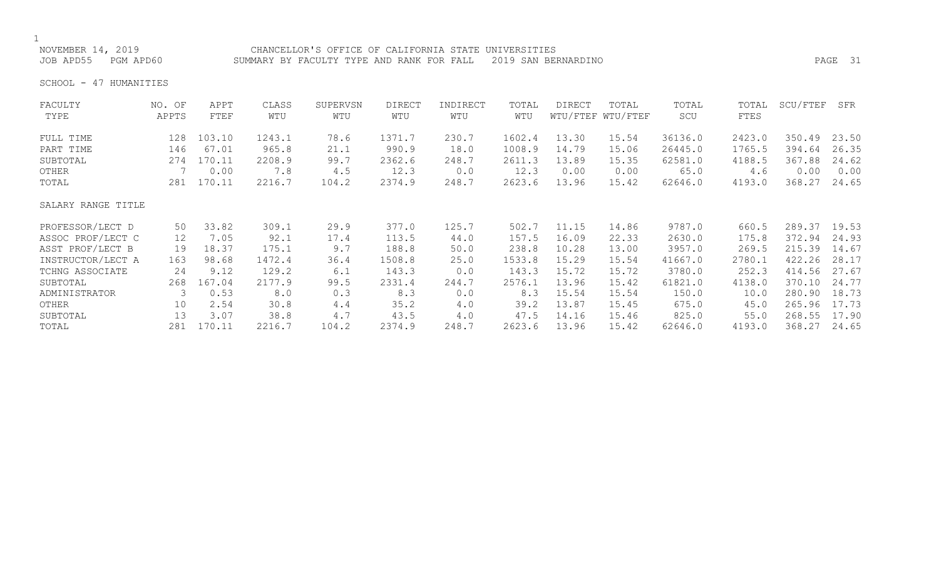NOVEMBER 14, 2019 CHANCELLOR'S OFFICE OF CALIFORNIA STATE UNIVERSITIES JOB APD55 PGM APD60 SUMMARY BY FACULTY TYPE AND RANK FOR FALL 2019 SAN BERNARDINO PAGE 31

SCHOOL - 47 HUMANITIES

| FACULTY            | NO. OF          | APPT   | CLASS  | SUPERVSN | <b>DIRECT</b> | INDIRECT | TOTAL  | <b>DIRECT</b> | TOTAL             | TOTAL   | TOTAL  | SCU/FTEF | SFR   |
|--------------------|-----------------|--------|--------|----------|---------------|----------|--------|---------------|-------------------|---------|--------|----------|-------|
| TYPE               | APPTS           | FTEF   | WTU    | WTU      | WTU           | WTU      | WTU    |               | WTU/FTEF WTU/FTEF | SCU     | FTES   |          |       |
| FULL TIME          | 128             | 103.10 | 1243.1 | 78.6     | 1371.7        | 230.7    | 1602.4 | 13.30         | 15.54             | 36136.0 | 2423.0 | 350.49   | 23.50 |
| PART TIME          | 146             | 67.01  | 965.8  | 21.1     | 990.9         | 18.0     | 1008.9 | 14.79         | 15.06             | 26445.0 | 1765.5 | 394.64   | 26.35 |
| SUBTOTAL           | 274             | 170.11 | 2208.9 | 99.7     | 2362.6        | 248.7    | 2611.3 | 13.89         | 15.35             | 62581.0 | 4188.5 | 367.88   | 24.62 |
| OTHER              |                 | 0.00   | 7.8    | 4.5      | 12.3          | 0.0      | 12.3   | 0.00          | 0.00              | 65.0    | 4.6    | 0.00     | 0.00  |
| TOTAL              | 281             | 170.11 | 2216.7 | 104.2    | 2374.9        | 248.7    | 2623.6 | 13.96         | 15.42             | 62646.0 | 4193.0 | 368.27   | 24.65 |
| SALARY RANGE TITLE |                 |        |        |          |               |          |        |               |                   |         |        |          |       |
| PROFESSOR/LECT D   | 50              | 33.82  | 309.1  | 29.9     | 377.0         | 125.7    | 502.7  | 11.15         | 14.86             | 9787.0  | 660.5  | 289.37   | 19.53 |
| ASSOC PROF/LECT C  | 12 <sup>°</sup> | 7.05   | 92.1   | 17.4     | 113.5         | 44.0     | 157.5  | 16.09         | 22.33             | 2630.0  | 175.8  | 372.94   | 24.93 |
| ASST PROF/LECT B   | 19              | 18.37  | 175.1  | 9.7      | 188.8         | 50.0     | 238.8  | 10.28         | 13.00             | 3957.0  | 269.5  | 215.39   | 14.67 |
| INSTRUCTOR/LECT A  | 163             | 98.68  | 1472.4 | 36.4     | 1508.8        | 25.0     | 1533.8 | 15.29         | 15.54             | 41667.0 | 2780.1 | 422.26   | 28.17 |
| TCHNG ASSOCIATE    | 24              | 9.12   | 129.2  | 6.1      | 143.3         | 0.0      | 143.3  | 15.72         | 15.72             | 3780.0  | 252.3  | 414.56   | 27.67 |
| SUBTOTAL           | 268             | 167.04 | 2177.9 | 99.5     | 2331.4        | 244.7    | 2576.1 | 13.96         | 15.42             | 61821.0 | 4138.0 | 370.10   | 24.77 |
| ADMINISTRATOR      | 3               | 0.53   | 8.0    | 0.3      | 8.3           | 0.0      | 8.3    | 15.54         | 15.54             | 150.0   | 10.0   | 280.90   | 18.73 |
| OTHER              | 10              | 2.54   | 30.8   | 4.4      | 35.2          | 4.0      | 39.2   | 13.87         | 15.45             | 675.0   | 45.0   | 265.96   | 17.73 |
| SUBTOTAL           | 13              | 3.07   | 38.8   | 4.7      | 43.5          | 4.0      | 47.5   | 14.16         | 15.46             | 825.0   | 55.0   | 268.55   | 17.90 |
| TOTAL              | 281             | 170.11 | 2216.7 | 104.2    | 2374.9        | 248.7    | 2623.6 | 13.96         | 15.42             | 62646.0 | 4193.0 | 368.27   | 24.65 |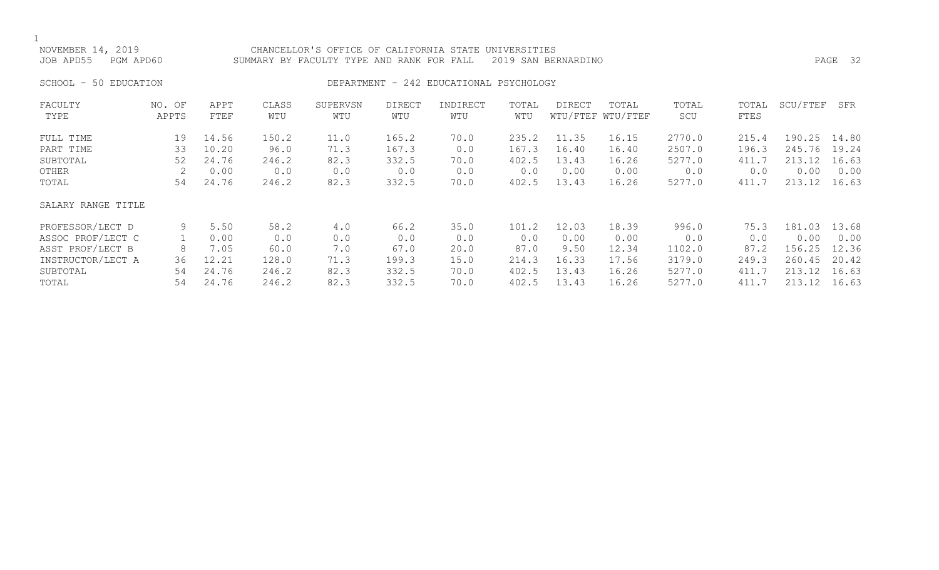NOVEMBER 14, 2019 CHANCELLOR'S OFFICE OF CALIFORNIA STATE UNIVERSITIES JOB APD55 PGM APD60 SUMMARY BY FACULTY TYPE AND RANK FOR FALL 2019 SAN BERNARDINO PAGE 32

### SCHOOL - 50 EDUCATION **DEPARTMENT - 242 EDUCATIONAL PSYCHOLOGY**

| FACULTY<br>TYPE                             | NO. OF<br>APPTS     | APPT<br>FTEF                    | CLASS<br>WTU                  | SUPERVSN<br>WTU             | <b>DIRECT</b><br>WTU           | INDIRECT<br>WTU            | TOTAL<br>WTU                   | <b>DIRECT</b>                   | TOTAL<br>WTU/FTEF WTU/FTEF      | TOTAL<br>SCU                      | TOTAL<br>FTES                  | SCU/FTEF                           | SFR                             |
|---------------------------------------------|---------------------|---------------------------------|-------------------------------|-----------------------------|--------------------------------|----------------------------|--------------------------------|---------------------------------|---------------------------------|-----------------------------------|--------------------------------|------------------------------------|---------------------------------|
| FULL TIME<br>PART TIME<br>SUBTOTAL<br>OTHER | 19<br>33<br>52<br>2 | 14.56<br>10.20<br>24.76<br>0.00 | 150.2<br>96.0<br>246.2<br>0.0 | 11.0<br>71.3<br>82.3<br>0.0 | 165.2<br>167.3<br>332.5<br>0.0 | 70.0<br>0.0<br>70.0<br>0.0 | 235.2<br>167.3<br>402.5<br>0.0 | 11.35<br>16.40<br>13.43<br>0.00 | 16.15<br>16.40<br>16.26<br>0.00 | 2770.0<br>2507.0<br>5277.0<br>0.0 | 215.4<br>196.3<br>411.7<br>0.0 | 190.25<br>245.76<br>213.12<br>0.00 | 14.80<br>19.24<br>16.63<br>0.00 |
| TOTAL                                       | 54                  | 24.76                           | 246.2                         | 82.3                        | 332.5                          | 70.0                       | 402.5                          | 13.43                           | 16.26                           | 5277.0                            | 411.7                          | 213.12                             | 16.63                           |
| SALARY RANGE TITLE                          |                     |                                 |                               |                             |                                |                            |                                |                                 |                                 |                                   |                                |                                    |                                 |
| PROFESSOR/LECT D                            | 9                   | 5.50                            | 58.2                          | 4.0                         | 66.2                           | 35.0                       | 101.2                          | 12.03                           | 18.39                           | 996.0                             | 75.3                           | 181.03                             | 13.68                           |
| ASSOC PROF/LECT C                           |                     | 0.00                            | 0.0                           | 0.0                         | 0.0                            | 0.0                        | 0.0                            | 0.00                            | 0.00                            | 0.0                               | 0.0                            | 0.00                               | 0.00                            |
| ASST PROF/LECT B                            | 8                   | 7.05                            | 60.0                          | 7.0                         | 67.0                           | 20.0                       | 87.0                           | 9.50                            | 12.34                           | 1102.0                            | 87.2                           | 156.25                             | 12.36                           |
| INSTRUCTOR/LECT A                           | 36                  | 12.21                           | 128.0                         | 71.3                        | 199.3                          | 15.0                       | 214.3                          | 16.33                           | 17.56                           | 3179.0                            | 249.3                          | 260.45                             | 20.42                           |
| SUBTOTAL                                    | 54                  | 24.76                           | 246.2                         | 82.3                        | 332.5                          | 70.0                       | 402.5                          | 13.43                           | 16.26                           | 5277.0                            | 411.7                          | 213.12                             | 16.63                           |
| TOTAL                                       | 54                  | 24.76                           | 246.2                         | 82.3                        | 332.5                          | 70.0                       | 402.5                          | 13.43                           | 16.26                           | 5277.0                            | 411.7                          | 213.12                             | 16.63                           |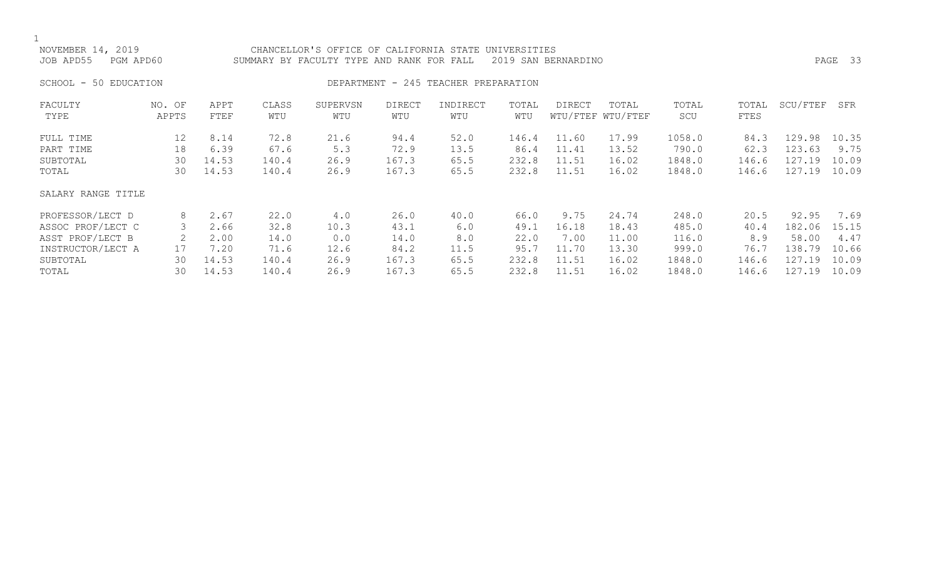1<br>NOVEMBER 14, 2019 CHANCELLOR'S OFFICE OF CALIFORNIA STATE UNIVERSITIES JOB APD55 PGM APD60 SUMMARY BY FACULTY TYPE AND RANK FOR FALL 2019 SAN BERNARDINO PAGE 33 SCHOOL - 50 EDUCATION **DEPARTMENT - 245 TEACHER PREPARATION** FACULTY NO. OF APPT CLASS SUPERVSN DIRECT INDIRECT TOTAL DIRECT TOTAL TOTAL TOTAL SCU/FTEF SFR WTU/FTEF WTU/FTEF FULL TIME 12 8.14 72.8 21.6 94.4 52.0 146.4 11.60 17.99 1058.0 84.3 129.98 10.35 PART TIME 18 6.39 67.6 5.3 72.9 13.5 86.4 11.41 13.52 790.0 62.3 123.63 9.75<br>SUBTOTAL 30 14.53 140.4 26.9 167.3 65.5 232.8 11.51 16.02 1848.0 146.6 127.19 10.09 SUBTOTAL 30 14.53 140.4 26.9 167.3 65.5 232.8 11.51 16.02 1848.0 146.6 127.19 10.09 146.6 127.19 10.09 SALARY RANGE TITLE

| PROFESSOR/LECT D  |    | 2.67  | 22.0  | 4.0  | 26.0  | 40.0 | 66.0  | 9.75  | 24.74 | 248.0  | 20.5  | 92.95        | 7.69  |
|-------------------|----|-------|-------|------|-------|------|-------|-------|-------|--------|-------|--------------|-------|
| ASSOC PROF/LECT C |    | 2.66  | 32.8  | 10.3 | 43.1  | 6.0  | 49.1  | 16.18 | 18.43 | 485.0  | 40.4  | 182.06 15.15 |       |
| ASST PROF/LECT B  |    | 2.00  | 14.0  | 0.0  | 14.0  | 8.0  | 22.0  | .00   | 11.00 | 116.0  | 8.9   | 58.00        | 4.47  |
| INSTRUCTOR/LECT A |    | 7.20  | 71.6  | 12.6 | 84.2  | 11.5 | 95.7  | 11.70 | 13.30 | 999.0  | 76.7  | 138.79 10.66 |       |
| SUBTOTAL          | 30 | 14.53 | 140.4 | 26.9 | 167.3 | 65.5 | 232.8 | 11.51 | 16.02 | 1848.0 | 146.6 | 127.19 10.09 |       |
| TOTAL             | 30 | 14.53 | 140.4 | 26.9 | 167.3 | 65.5 | 232.8 | 11.51 | 16.02 | 1848.0 | 146.6 | 127.<br>.19  | 10.09 |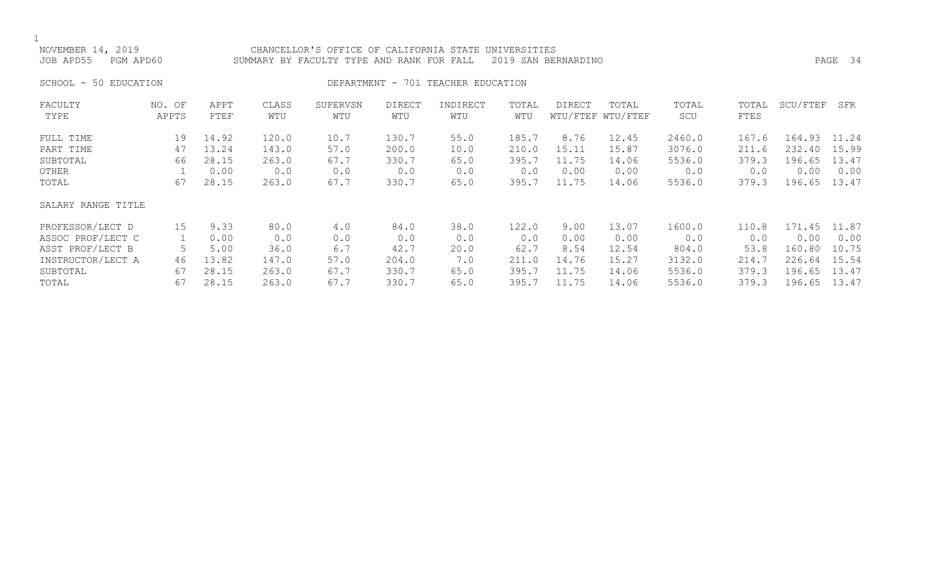NOVEMBER 14, 2019 CHANCELLOR'S OFFICE OF CALIFORNIA STATE UNIVERSITIES JOB APD55 PGM APD60 SUMMARY BY FACULTY TYPE AND RANK FOR FALL 2019 SAN BERNARDINO PAGE 34

SCHOOL - 50 EDUCATION **DEPARTMENT - 701 TEACHER EDUCATION** 

| FACULTY            | NO. OF | APPT  | CLASS | SUPERVSN | <b>DIRECT</b> | INDIRECT | TOTAL | <b>DIRECT</b> | TOTAL             | TOTAL  | TOTAL | SCU/FTEF | SFR   |
|--------------------|--------|-------|-------|----------|---------------|----------|-------|---------------|-------------------|--------|-------|----------|-------|
| TYPE               | APPTS  | FTEF  | WTU   | WTU      | WTU           | WTU      | WTU   |               | WTU/FTEF WTU/FTEF | SCU    | FTES  |          |       |
| FULL TIME          | 19     | 14.92 | 120.0 | 10.7     | 130.7         | 55.0     | 185.7 | 8.76          | 12.45             | 2460.0 | 167.6 | 164.93   | 11.24 |
| PART TIME          | 47     | 13.24 | 143.0 | 57.0     | 200.0         | 10.0     | 210.0 | 15.11         | 15.87             | 3076.0 | 211.6 | 232.40   | 15.99 |
| SUBTOTAL           | 66     | 28.15 | 263.0 | 67.7     | 330.7         | 65.0     | 395.7 | 11.75         | 14.06             | 5536.0 | 379.3 | 196.65   | 13.47 |
| OTHER              |        | 0.00  | 0.0   | 0.0      | 0.0           | 0.0      | 0.0   | 0.00          | 0.00              | 0.0    | 0.0   | 0.00     | 0.00  |
| TOTAL              | 67     | 28.15 | 263.0 | 67.7     | 330.7         | 65.0     | 395.7 | 11.75         | 14.06             | 5536.0 | 379.3 | 196.65   | 13.47 |
| SALARY RANGE TITLE |        |       |       |          |               |          |       |               |                   |        |       |          |       |
| PROFESSOR/LECT D   | 15     | 9.33  | 80.0  | 4.0      | 84.0          | 38.0     | 122.0 | 9.00          | 13.07             | 1600.0 | 110.8 | 171.45   | 11.87 |
| ASSOC PROF/LECT C  |        | 0.00  | 0.0   | 0.0      | 0.0           | 0.0      | 0.0   | 0.00          | 0.00              | 0.0    | 0.0   | 0.00     | 0.00  |
| ASST PROF/LECT B   |        | 5.00  | 36.0  | 6.7      | 42.7          | 20.0     | 62.7  | 8.54          | 12.54             | 804.0  | 53.8  | 160.80   | 10.75 |
| INSTRUCTOR/LECT A  | 46     | 13.82 | 147.0 | 57.0     | 204.0         | 7.0      | 211.0 | 14.76         | 15.27             | 3132.0 | 214.7 | 226.64   | 15.54 |
| SUBTOTAL           | 67     | 28.15 | 263.0 | 67.7     | 330.7         | 65.0     | 395.7 | 11.75         | 14.06             | 5536.0 | 379.3 | 196.65   | 13.47 |
| TOTAL              | 67     | 28.15 | 263.0 | 67.7     | 330.7         | 65.0     | 395.7 | 11.75         | 14.06             | 5536.0 | 379.3 | 196.65   | 13.47 |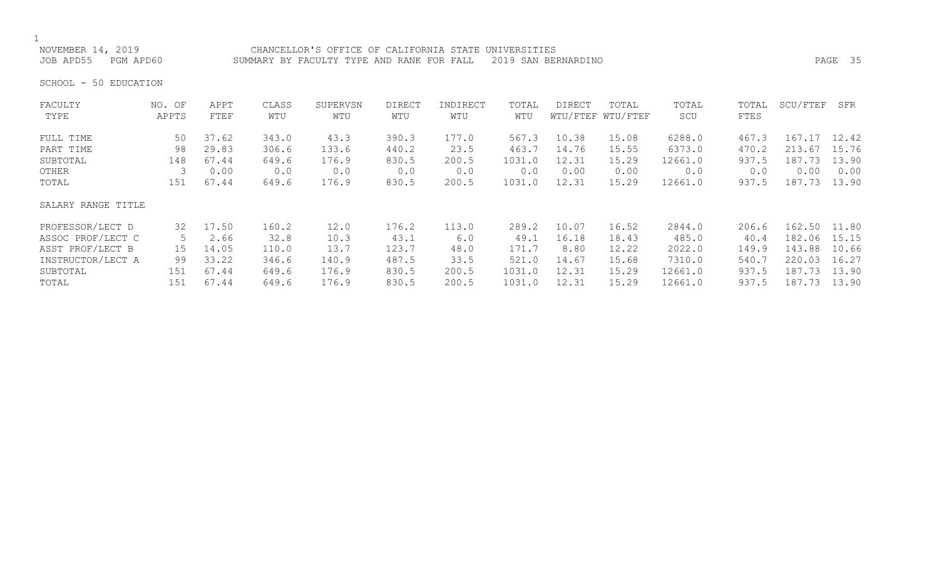NOVEMBER 14, 2019 CHANCELLOR'S OFFICE OF CALIFORNIA STATE UNIVERSITIES JOB APD55 PGM APD60 SUMMARY BY FACULTY TYPE AND RANK FOR FALL 2019 SAN BERNARDINO PAGE 35

SCHOOL - 50 EDUCATION

| FACULTY            | NO. OF | APPT  | CLASS | SUPERVSN | DIRECT | INDIRECT | TOTAL  | DIRECT | TOTAL             | TOTAL   | TOTAL | SCU/FTEF     | SFR   |
|--------------------|--------|-------|-------|----------|--------|----------|--------|--------|-------------------|---------|-------|--------------|-------|
| TYPE               | APPTS  | FTEF  | WTU   | WTU      | WTU    | WTU      | WTU    |        | WTU/FTEF WTU/FTEF | SCU     | FTES  |              |       |
| FULL TIME          | 50     | 37.62 | 343.0 | 43.3     | 390.3  | 177.0    | 567.3  | 10.38  | 15.08             | 6288.0  | 467.3 | 167.17       | 12.42 |
| PART TIME          | 98     | 29.83 | 306.6 | 133.6    | 440.2  | 23.5     | 463.7  | 14.76  | 15.55             | 6373.0  | 470.2 | 213.67       | 15.76 |
| SUBTOTAL           | 148    | 67.44 | 649.6 | 176.9    | 830.5  | 200.5    | 1031.0 | 12.31  | 15.29             | 12661.0 | 937.5 | 187.73       | 13.90 |
| OTHER              |        | 0.00  | 0.0   | 0.0      | 0.0    | 0.0      | 0.0    | 0.00   | 0.00              | 0.0     | 0.0   | 0.00         | 0.00  |
| TOTAL              | 151    | 67.44 | 649.6 | 176.9    | 830.5  | 200.5    | 1031.0 | 12.31  | 15.29             | 12661.0 | 937.5 | 187.73       | 13.90 |
| SALARY RANGE TITLE |        |       |       |          |        |          |        |        |                   |         |       |              |       |
| PROFESSOR/LECT D   | 32     | 17.50 | 160.2 | 12.0     | 176.2  | 113.0    | 289.2  | 10.07  | 16.52             | 2844.0  | 206.6 | 162.50 11.80 |       |
| ASSOC PROF/LECT C  | 5.     | 2.66  | 32.8  | 10.3     | 43.1   | 6.0      | 49.1   | 16.18  | 18.43             | 485.0   | 40.4  | 182.06       | 15.15 |
| ASST PROF/LECT B   | 15     | 14.05 | 110.0 | 13.7     | 123.7  | 48.0     | 171.7  | 8.80   | 12.22             | 2022.0  | 149.9 | 143.88       | 10.66 |
| INSTRUCTOR/LECT A  | 99     | 33.22 | 346.6 | 140.9    | 487.5  | 33.5     | 521.0  | 14.67  | 15.68             | 7310.0  | 540.7 | 220.03       | 16.27 |
| SUBTOTAL           | 151    | 67.44 | 649.6 | 176.9    | 830.5  | 200.5    | 1031.0 | 12.31  | 15.29             | 12661.0 | 937.5 | 187.73       | 13.90 |
| TOTAL              | 151    | 67.44 | 649.6 | 176.9    | 830.5  | 200.5    | 1031.0 | 12.31  | 15.29             | 12661.0 | 937.5 | 187.73       | 13.90 |
|                    |        |       |       |          |        |          |        |        |                   |         |       |              |       |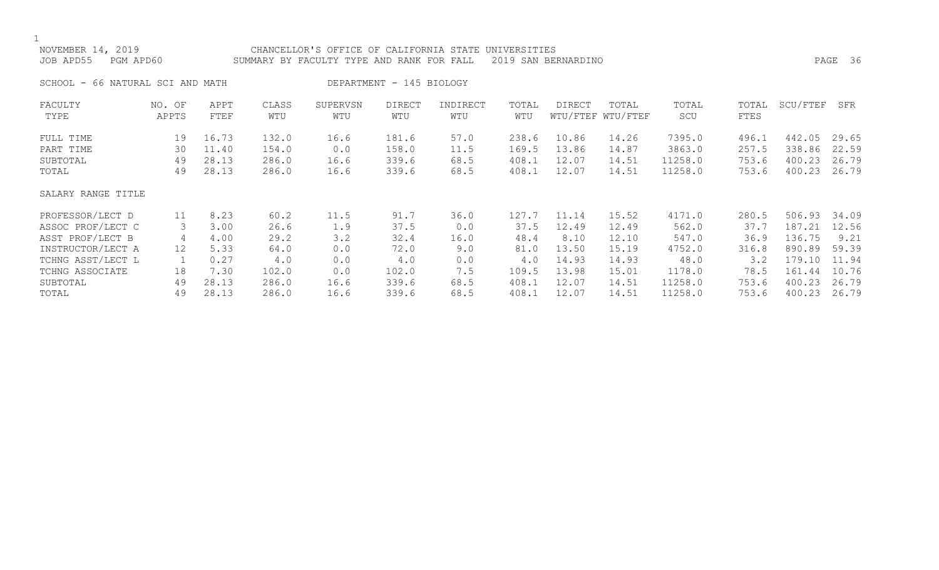| NOVEMBER 14, 2019<br>JOB APD55<br>PGM APD60 | CHANCELLOR'S OFFICE OF CALIFORNIA STATE UNIVERSITIES<br>SUMMARY BY FACULTY TYPE AND RANK FOR FALL |       |       |          | 2019 SAN BERNARDINO      |          |       |        |                   | 36<br>PAGE |       |          |       |
|---------------------------------------------|---------------------------------------------------------------------------------------------------|-------|-------|----------|--------------------------|----------|-------|--------|-------------------|------------|-------|----------|-------|
| SCHOOL - 66 NATURAL SCI AND MATH            |                                                                                                   |       |       |          | DEPARTMENT - 145 BIOLOGY |          |       |        |                   |            |       |          |       |
| FACULTY                                     | NO. OF                                                                                            | APPT  | CLASS | SUPERVSN | <b>DIRECT</b>            | INDIRECT | TOTAL | DIRECT | TOTAL             | TOTAL      | TOTAL | SCU/FTEF | SFR   |
| TYPE                                        | APPTS                                                                                             | FTEF  | WTU   | WTU      | WTU                      | WTU      | WTU   |        | WTU/FTEF WTU/FTEF | SCU        | FTES  |          |       |
| FULL TIME                                   | 19                                                                                                | 16.73 | 132.0 | 16.6     | 181.6                    | 57.0     | 238.6 | 10.86  | 14.26             | 7395.0     | 496.1 | 442.05   | 29.65 |
| PART TIME                                   | 30                                                                                                | 11.40 | 154.0 | 0.0      | 158.0                    | 11.5     | 169.5 | 13.86  | 14.87             | 3863.0     | 257.5 | 338.86   | 22.59 |
| SUBTOTAL                                    | 49                                                                                                | 28.13 | 286.0 | 16.6     | 339.6                    | 68.5     | 408.1 | 12.07  | 14.51             | 11258.0    | 753.6 | 400.23   | 26.79 |
| TOTAL                                       | 49                                                                                                | 28.13 | 286.0 | 16.6     | 339.6                    | 68.5     | 408.1 | 12.07  | 14.51             | 11258.0    | 753.6 | 400.23   | 26.79 |
| SALARY RANGE TITLE                          |                                                                                                   |       |       |          |                          |          |       |        |                   |            |       |          |       |
| PROFESSOR/LECT D                            | 11                                                                                                | 8.23  | 60.2  | 11.5     | 91.7                     | 36.0     | 127.7 | 11.14  | 15.52             | 4171.0     | 280.5 | 506.93   | 34.09 |
| ASSOC PROF/LECT C                           | 3                                                                                                 | 3.00  | 26.6  | 1.9      | 37.5                     | 0.0      | 37.5  | 12.49  | 12.49             | 562.0      | 37.7  | 187.21   | 12.56 |
| ASST PROF/LECT B                            | 4                                                                                                 | 4.00  | 29.2  | 3.2      | 32.4                     | 16.0     | 48.4  | 8.10   | 12.10             | 547.0      | 36.9  | 136.75   | 9.21  |
| INSTRUCTOR/LECT A                           | $12 \overline{ }$                                                                                 | 5.33  | 64.0  | 0.0      | 72.0                     | 9.0      | 81.0  | 13.50  | 15.19             | 4752.0     | 316.8 | 890.89   | 59.39 |
| TCHNG ASST/LECT L                           |                                                                                                   | 0.27  | 4.0   | 0.0      | 4.0                      | 0.0      | 4.0   | 14.93  | 14.93             | 48.0       | 3.2   | 179.10   | 11.94 |
| TCHNG ASSOCIATE                             | 18                                                                                                | 7.30  | 102.0 | 0.0      | 102.0                    | 7.5      | 109.5 | 13.98  | 15.01             | 1178.0     | 78.5  | 161.44   | 10.76 |
| SUBTOTAL                                    | 49                                                                                                | 28.13 | 286.0 | 16.6     | 339.6                    | 68.5     | 408.1 | 12.07  | 14.51             | 11258.0    | 753.6 | 400.23   | 26.79 |
| TOTAL                                       | 49                                                                                                | 28.13 | 286.0 | 16.6     | 339.6                    | 68.5     | 408.1 | 12.07  | 14.51             | 11258.0    | 753.6 | 400.23   | 26.79 |
|                                             |                                                                                                   |       |       |          |                          |          |       |        |                   |            |       |          |       |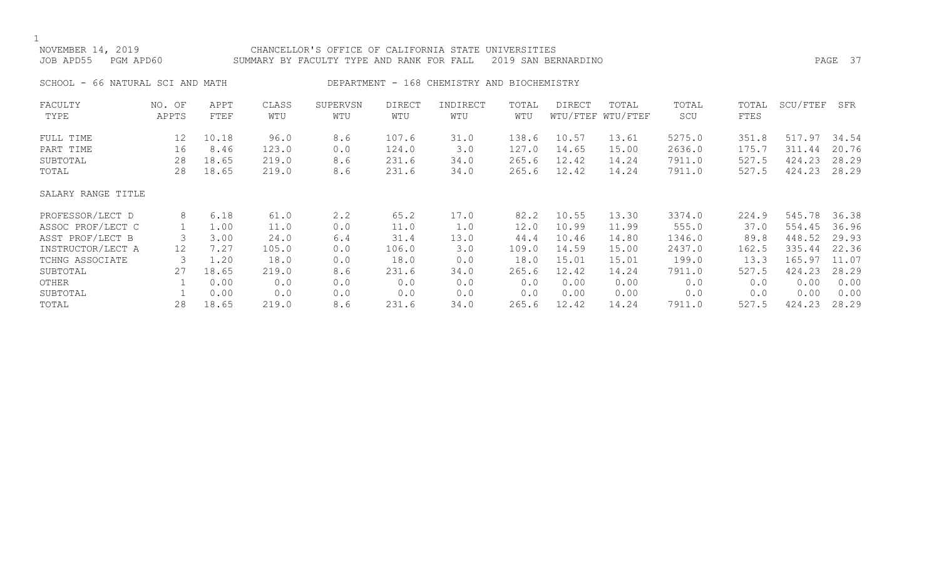1<br>NOVEMBER 14, 2019 CHANCELLOR'S OFFICE OF CALIFORNIA STATE UNIVERSITIES JOB APD55 PGM APD60 SUMMARY BY FACULTY TYPE AND RANK FOR FALL 2019 SAN BERNARDINO PAGE 37 SCHOOL - 66 NATURAL SCI AND MATH DEPARTMENT - 168 CHEMISTRY AND BIOCHEMISTRY FACULTY NO. OF APPT CLASS SUPERVSN DIRECT INDIRECT TOTAL DIRECT TOTAL TOTAL TOTAL SCU/FTEF SFR WTU/FTEF WTU/FTEF FULL TIME 12 10.18 96.0 8.6 107.6 31.0 138.6 10.57 13.61 5275.0 351.8 517.97 34.54 PART TIME 16 8.46 123.0 0.0 124.0 3.0 127.0 14.65 15.00 2636.0 175.7 311.44 20.76 SUBTOTAL 28 18.65 219.0 8.6 231.6 34.0 265.6 12.42 14.24 7911.0 527.5 424.23 28.29 527.5 424.23 28.29 SALARY RANGE TITLE PROFESSOR/LECT D 8 6.18 61.0 2.2 65.2 17.0 82.2 10.55 13.30 3374.0 224.9 545.78 36.38 ASSOC PROF/LECT C 1 1.00 11.0 0.0 11.0 1.0 12.0 10.99 11.99 555.0 37.0 554.45 36.96<br>ASST PROF/LECT B 3 3.00 24.0 6.4 31.4 13.0 44.4 10.46 14.80 1346.0 89.8 448.52 29.93 ASST PROF/LECT B 3 3.00 24.0 6.4 31.4 13.0 44.4 10.46 14.80 1346.0 89.8 448.52 29.93 INSTRUCTOR/LECT A 12 7.27 105.0 0.0 106.0 3.0 109.0 14.59 15.00 2437.0 162.5 335.44 22.36<br>TCHNG ASSOCIATE 3 1.20 18.0 0.0 18.0 0.0 18.0 15.01 15.01 199.0 13.3 165.97 11.07 TCHNG ASSOCIATE 3 1.20 18.0 0.0 18.0 0.0 18.0 15.01 15.01 199.0 13.3 165.97 11.07 SUBTOTAL 27 18.65 219.0 8.6 231.6 34.0 265.6 12.42 14.24 7911.0 527.5 424.23 28.29 OTHER 1 0.00 0.0 0.0 0.0 0.0 0.0 0.0 0.00 0.00 0.00 0.00 0.00 0.00 0.00 SUBTOTAL 1 0.00 0.0 0.0 0.0 0.0 0.0 0.00 0.00 0.0 0.0 0.00 0.00

TOTAL 28 18.65 219.0 8.6 231.6 34.0 265.6 12.42 14.24 7911.0 527.5 424.23 28.29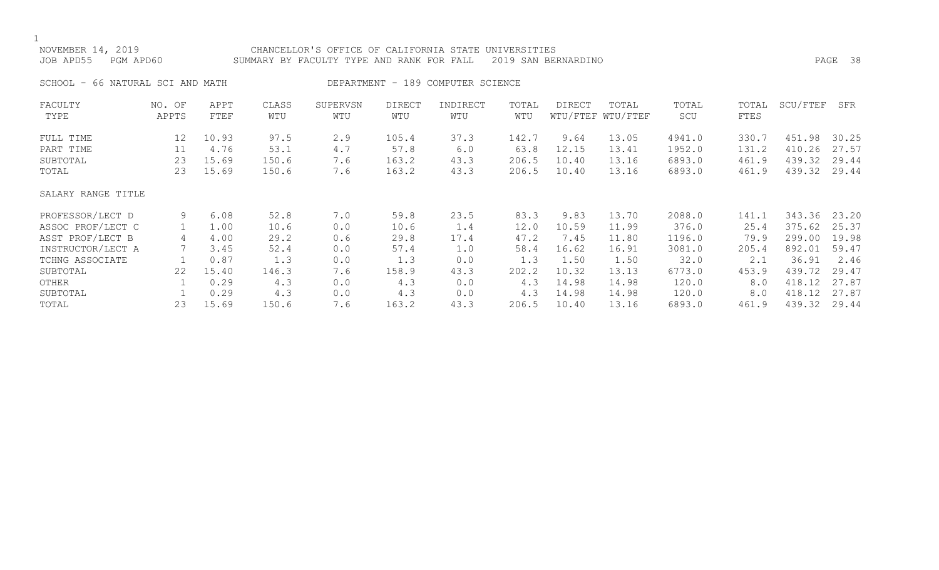| NOVEMBER 14, 2019<br>JOB APD55<br>PGM APD60 |        |       |       | CHANCELLOR'S OFFICE OF CALIFORNIA STATE UNIVERSITIES<br>2019 SAN BERNARDINO<br>SUMMARY BY FACULTY TYPE AND RANK FOR FALL |               |                                   |       |        |                   |        |       | PAGE 38  |       |  |
|---------------------------------------------|--------|-------|-------|--------------------------------------------------------------------------------------------------------------------------|---------------|-----------------------------------|-------|--------|-------------------|--------|-------|----------|-------|--|
| SCHOOL - 66 NATURAL SCI AND MATH            |        |       |       |                                                                                                                          |               | DEPARTMENT - 189 COMPUTER SCIENCE |       |        |                   |        |       |          |       |  |
| FACULTY                                     | NO. OF | APPT  | CLASS | SUPERVSN                                                                                                                 | <b>DIRECT</b> | INDIRECT                          | TOTAL | DIRECT | TOTAL             | TOTAL  | TOTAL | SCU/FTEF | SFR   |  |
| TYPE                                        | APPTS  | FTEF  | WTU   | WTU                                                                                                                      | WTU           | WTU                               | WTU   |        | WTU/FTEF WTU/FTEF | SCU    | FTES  |          |       |  |
| FULL TIME                                   | 12     | 10.93 | 97.5  | 2.9                                                                                                                      | 105.4         | 37.3                              | 142.7 | 9.64   | 13.05             | 4941.0 | 330.7 | 451.98   | 30.25 |  |
| PART TIME                                   | 11     | 4.76  | 53.1  | 4.7                                                                                                                      | 57.8          | 6.0                               | 63.8  | 12.15  | 13.41             | 1952.0 | 131.2 | 410.26   | 27.57 |  |
| SUBTOTAL                                    | 23     | 15.69 | 150.6 | 7.6                                                                                                                      | 163.2         | 43.3                              | 206.5 | 10.40  | 13.16             | 6893.0 | 461.9 | 439.32   | 29.44 |  |
| TOTAL                                       | 23     | 15.69 | 150.6 | 7.6                                                                                                                      | 163.2         | 43.3                              | 206.5 | 10.40  | 13.16             | 6893.0 | 461.9 | 439.32   | 29.44 |  |
| SALARY RANGE TITLE                          |        |       |       |                                                                                                                          |               |                                   |       |        |                   |        |       |          |       |  |
| PROFESSOR/LECT D                            | 9      | 6.08  | 52.8  | 7.0                                                                                                                      | 59.8          | 23.5                              | 83.3  | 9.83   | 13.70             | 2088.0 | 141.1 | 343.36   | 23.20 |  |
| ASSOC PROF/LECT C                           |        | 1.00  | 10.6  | 0.0                                                                                                                      | 10.6          | 1.4                               | 12.0  | 10.59  | 11.99             | 376.0  | 25.4  | 375.62   | 25.37 |  |
| ASST PROF/LECT B                            | 4      | 4.00  | 29.2  | 0.6                                                                                                                      | 29.8          | 17.4                              | 47.2  | 7.45   | 11.80             | 1196.0 | 79.9  | 299.00   | 19.98 |  |
| INSTRUCTOR/LECT A                           |        | 3.45  | 52.4  | 0.0                                                                                                                      | 57.4          | 1.0                               | 58.4  | 16.62  | 16.91             | 3081.0 | 205.4 | 892.01   | 59.47 |  |
| TCHNG ASSOCIATE                             |        | 0.87  | 1.3   | 0.0                                                                                                                      | 1.3           | 0.0                               | 1.3   | 1.50   | 1.50              | 32.0   | 2.1   | 36.91    | 2.46  |  |
| SUBTOTAL                                    | 22     | 15.40 | 146.3 | 7.6                                                                                                                      | 158.9         | 43.3                              | 202.2 | 10.32  | 13.13             | 6773.0 | 453.9 | 439.72   | 29.47 |  |
| OTHER                                       |        | 0.29  | 4.3   | 0.0                                                                                                                      | 4.3           | 0.0                               | 4.3   | 14.98  | 14.98             | 120.0  | 8.0   | 418.12   | 27.87 |  |
| SUBTOTAL                                    |        | 0.29  | 4.3   | 0.0                                                                                                                      | 4.3           | 0.0                               | 4.3   | 14.98  | 14.98             | 120.0  | 8.0   | 418.12   | 27.87 |  |
|                                             |        |       |       |                                                                                                                          |               |                                   |       |        |                   |        |       |          |       |  |

TOTAL 23 15.69 150.6 7.6 163.2 43.3 206.5 10.40 13.16 6893.0 461.9 439.32 29.44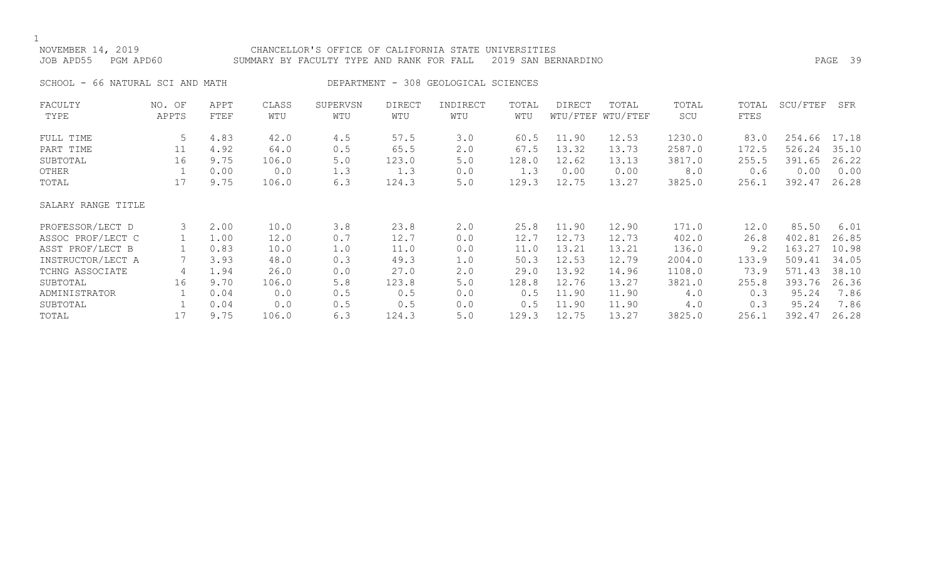| NOVEMBER 14, 2019<br>JOB APD55<br>PGM APD60 |                 |              |              | CHANCELLOR'S OFFICE OF CALIFORNIA STATE UNIVERSITIES<br>2019 SAN BERNARDINO<br>SUMMARY BY FACULTY TYPE AND RANK FOR FALL |                      |                                      |              |        |                            |              |               | 39<br>PAGE |       |  |  |
|---------------------------------------------|-----------------|--------------|--------------|--------------------------------------------------------------------------------------------------------------------------|----------------------|--------------------------------------|--------------|--------|----------------------------|--------------|---------------|------------|-------|--|--|
| SCHOOL - 66 NATURAL SCI AND MATH            |                 |              |              |                                                                                                                          |                      | DEPARTMENT - 308 GEOLOGICAL SCIENCES |              |        |                            |              |               |            |       |  |  |
| FACULTY<br>TYPE                             | NO. OF<br>APPTS | APPT<br>FTEF | CLASS<br>WTU | SUPERVSN<br>WTU                                                                                                          | <b>DIRECT</b><br>WTU | INDIRECT<br>WTU                      | TOTAL<br>WTU | DIRECT | TOTAL<br>WTU/FTEF WTU/FTEF | TOTAL<br>SCU | TOTAL<br>FTES | SCU/FTEF   | SFR   |  |  |
|                                             |                 |              |              |                                                                                                                          |                      |                                      |              |        |                            |              |               |            |       |  |  |
| FULL TIME                                   | 5               | 4.83         | 42.0         | 4.5                                                                                                                      | 57.5                 | 3.0                                  | 60.5         | 11.90  | 12.53                      | 1230.0       | 83.0          | 254.66     | 17.18 |  |  |
| PART TIME                                   | 11              | 4.92         | 64.0         | 0.5                                                                                                                      | 65.5                 | 2.0                                  | 67.5         | 13.32  | 13.73                      | 2587.0       | 172.5         | 526.24     | 35.10 |  |  |
| SUBTOTAL                                    | 16              | 9.75         | 106.0        | 5.0                                                                                                                      | 123.0                | 5.0                                  | 128.0        | 12.62  | 13.13                      | 3817.0       | 255.5         | 391.65     | 26.22 |  |  |
| OTHER                                       |                 | 0.00         | 0.0          | 1.3                                                                                                                      | 1.3                  | 0.0                                  | 1.3          | 0.00   | 0.00                       | 8.0          | 0.6           | 0.00       | 0.00  |  |  |
| TOTAL                                       | 17              | 9.75         | 106.0        | 6.3                                                                                                                      | 124.3                | 5.0                                  | 129.3        | 12.75  | 13.27                      | 3825.0       | 256.1         | 392.47     | 26.28 |  |  |
| SALARY RANGE TITLE                          |                 |              |              |                                                                                                                          |                      |                                      |              |        |                            |              |               |            |       |  |  |
| PROFESSOR/LECT D                            | 3               | 2.00         | 10.0         | 3.8                                                                                                                      | 23.8                 | $2 \cdot 0$                          | 25.8         | 11.90  | 12.90                      | 171.0        | 12.0          | 85.50      | 6.01  |  |  |
| ASSOC PROF/LECT C                           |                 | 1.00         | 12.0         | 0.7                                                                                                                      | 12.7                 | 0.0                                  | 12.7         | 12.73  | 12.73                      | 402.0        | 26.8          | 402.81     | 26.85 |  |  |
| ASST PROF/LECT B                            |                 | 0.83         | 10.0         | 1.0                                                                                                                      | 11.0                 | 0.0                                  | 11.0         | 13.21  | 13.21                      | 136.0        | 9.2           | 163.27     | 10.98 |  |  |
| INSTRUCTOR/LECT A                           |                 | 3.93         | 48.0         | 0.3                                                                                                                      | 49.3                 | 1.0                                  | 50.3         | 12.53  | 12.79                      | 2004.0       | 133.9         | 509.41     | 34.05 |  |  |
| TCHNG ASSOCIATE                             | 4               | 1.94         | 26.0         | 0.0                                                                                                                      | 27.0                 | 2.0                                  | 29.0         | 13.92  | 14.96                      | 1108.0       | 73.9          | 571.43     | 38.10 |  |  |
| SUBTOTAL                                    | 16              | 9.70         | 106.0        | 5.8                                                                                                                      | 123.8                | 5.0                                  | 128.8        | 12.76  | 13.27                      | 3821.0       | 255.8         | 393.76     | 26.36 |  |  |
| ADMINISTRATOR                               |                 | 0.04         | 0.0          | 0.5                                                                                                                      | 0.5                  | 0.0                                  | 0.5          | 11.90  | 11.90                      | 4.0          | 0.3           | 95.24      | 7.86  |  |  |

SUBTOTAL 1 0.04 0.0 0.5 0.5 0.0 0.5 11.90 11.90 4.0 0.3 95.24 7.86 TOTAL 17 9.75 106.0 6.3 124.3 5.0 129.3 12.75 13.27 3825.0 256.1 392.47 26.28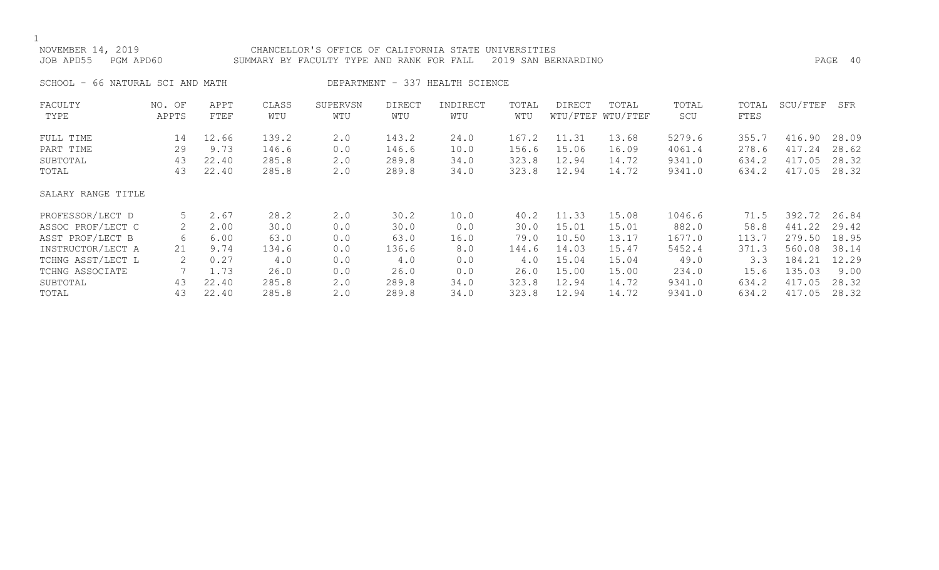| NOVEMBER 14, 2019<br>JOB APD55<br>PGM APD60 |                 |                |                | CHANCELLOR'S OFFICE OF CALIFORNIA STATE UNIVERSITIES<br>SUMMARY BY FACULTY TYPE AND RANK FOR FALL |                      |                                 |                | 2019 SAN BERNARDINO |                            |                  |                |                  | PAGE 40        |
|---------------------------------------------|-----------------|----------------|----------------|---------------------------------------------------------------------------------------------------|----------------------|---------------------------------|----------------|---------------------|----------------------------|------------------|----------------|------------------|----------------|
| SCHOOL - 66 NATURAL SCI AND MATH            |                 |                |                |                                                                                                   |                      | DEPARTMENT - 337 HEALTH SCIENCE |                |                     |                            |                  |                |                  |                |
| FACULTY<br>TYPE                             | NO. OF<br>APPTS | APPT<br>FTEF   | CLASS<br>WTU   | SUPERVSN<br>WTU                                                                                   | <b>DIRECT</b><br>WTU | INDIRECT<br>WTU                 | TOTAL<br>WTU   | DIRECT              | TOTAL<br>WTU/FTEF WTU/FTEF | TOTAL<br>SCU     | TOTAL<br>FTES  | SCU/FTEF         | SFR            |
| FULL TIME<br>PART TIME                      | 14<br>29        | 12.66<br>9.73  | 139.2<br>146.6 | 2.0<br>0.0                                                                                        | 143.2<br>146.6       | 24.0<br>10.0                    | 167.2<br>156.6 | 11.31<br>15.06      | 13.68<br>16.09             | 5279.6<br>4061.4 | 355.7<br>278.6 | 416.90<br>417.24 | 28.09<br>28.62 |
| SUBTOTAL<br>TOTAL                           | 43<br>43        | 22.40<br>22.40 | 285.8<br>285.8 | 2.0<br>2.0                                                                                        | 289.8<br>289.8       | 34.0<br>34.0                    | 323.8<br>323.8 | 12.94<br>12.94      | 14.72<br>14.72             | 9341.0<br>9341.0 | 634.2<br>634.2 | 417.05<br>417.05 | 28.32<br>28.32 |
| SALARY RANGE TITLE                          |                 |                |                |                                                                                                   |                      |                                 |                |                     |                            |                  |                |                  |                |
| PROFESSOR/LECT D                            | 5               | 2.67           | 28.2           | 2.0                                                                                               | 30.2                 | 10.0                            | 40.2           | 11.33               | 15.08                      | 1046.6           | 71.5           | 392.72           | 26.84          |
| ASSOC PROF/LECT C                           | 2               | 2.00           | 30.0           | 0.0                                                                                               | 30.0                 | 0.0                             | 30.0           | 15.01               | 15.01                      | 882.0            | 58.8           | 441.22           | 29.42          |
| ASST PROF/LECT B                            | 6               | 6.00           | 63.0           | 0.0                                                                                               | 63.0                 | 16.0                            | 79.0           | 10.50               | 13.17                      | 1677.0           | 113.7          | 279.50           | 18.95          |
| INSTRUCTOR/LECT A                           | 21              | 9.74           | 134.6          | 0.0                                                                                               | 136.6                | 8.0                             | 144.6          | 14.03               | 15.47                      | 5452.4           | 371.3          | 560.08           | 38.14          |
| TCHNG ASST/LECT L                           | 2               | 0.27           | 4.0            | 0.0                                                                                               | 4.0                  | 0.0                             | 4.0            | 15.04               | 15.04                      | 49.0             | 3.3            | 184.21           | 12.29          |
| TCHNG ASSOCIATE                             |                 | 1.73           | 26.0           | 0.0                                                                                               | 26.0                 | 0.0                             | 26.0           | 15.00               | 15.00                      | 234.0            | 15.6           | 135.03           | 9.00           |
| SUBTOTAL                                    | 43              | 22.40          | 285.8          | 2.0                                                                                               | 289.8                | 34.0                            | 323.8          | 12.94               | 14.72                      | 9341.0           | 634.2          | 417.05           | 28.32          |
| TOTAL                                       | 43              | 22.40          | 285.8          | 2.0                                                                                               | 289.8                | 34.0                            | 323.8          | 12.94               | 14.72                      | 9341.0           | 634.2          | 417.05           | 28.32          |

SUBTOTAL 43 22.40 285.8 2.0 289.8 34.0 323.8 12.94 14.72 9341.0 634.2 417.05 28.32 TOTAL 43 22.40 285.8 2.0 289.8 34.0 323.8 12.94 14.72 9341.0 634.2 417.05 28.32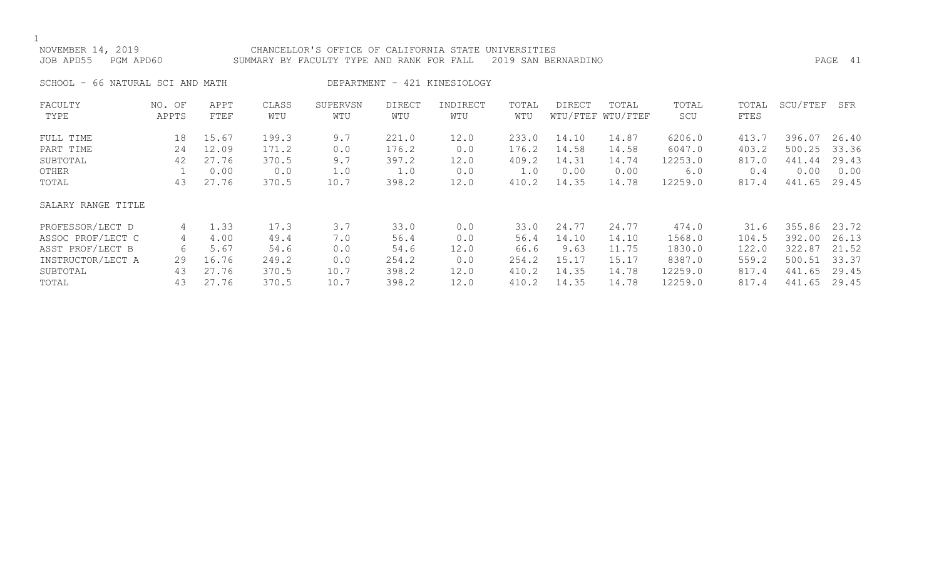### NOVEMBER 14, 2019 CHANCELLOR'S OFFICE OF CALIFORNIA STATE UNIVERSITIES JOB APD55 PGM APD60 SUMMARY BY FACULTY TYPE AND RANK FOR FALL 2019 SAN BERNARDINO PAGE 41

SCHOOL - 66 NATURAL SCI AND MATH DEPARTMENT - 421 KINESIOLOGY

| FACULTY            | NO. OF | APPT  | CLASS | SUPERVSN | <b>DIRECT</b> | INDIRECT | TOTAL | <b>DIRECT</b> | TOTAL             | TOTAL   | TOTAL | SCU/FTEF | SFR   |
|--------------------|--------|-------|-------|----------|---------------|----------|-------|---------------|-------------------|---------|-------|----------|-------|
| TYPE               | APPTS  | FTEF  | WTU   | WTU      | WTU           | WTU      | WTU   |               | WTU/FTEF WTU/FTEF | SCU     | FTES  |          |       |
| FULL TIME          | 18     | 15.67 | 199.3 | 9.7      | 221.0         | 12.0     | 233.0 | 14.10         | 14.87             | 6206.0  | 413.7 | 396.07   | 26.40 |
| PART TIME          | 24     | 12.09 | 171.2 | 0.0      | 176.2         | 0.0      | 176.2 | 14.58         | 14.58             | 6047.0  | 403.2 | 500.25   | 33.36 |
| SUBTOTAL           | 42     | 27.76 | 370.5 | 9.7      | 397.2         | 12.0     | 409.2 | 14.31         | 14.74             | 12253.0 | 817.0 | 441.44   | 29.43 |
| OTHER              |        | 0.00  | 0.0   | 1.0      | 1.0           | 0.0      | 1.0   | 0.00          | 0.00              | 6.0     | 0.4   | 0.00     | 0.00  |
| TOTAL              | 43     | 27.76 | 370.5 | 10.7     | 398.2         | 12.0     | 410.2 | 14.35         | 14.78             | 12259.0 | 817.4 | 441.65   | 29.45 |
| SALARY RANGE TITLE |        |       |       |          |               |          |       |               |                   |         |       |          |       |
| PROFESSOR/LECT D   | 4      | 1.33  | 17.3  | 3.7      | 33.0          | 0.0      | 33.0  | 24.77         | 24.77             | 474.0   | 31.6  | 355.86   | 23.72 |
| ASSOC PROF/LECT C  | 4      | 4.00  | 49.4  | 7.0      | 56.4          | 0.0      | 56.4  | 14.10         | 14.10             | 1568.0  | 104.5 | 392.00   | 26.13 |
| ASST PROF/LECT B   | 6      | 5.67  | 54.6  | 0.0      | 54.6          | 12.0     | 66.6  | 9.63          | 11.75             | 1830.0  | 122.0 | 322.87   | 21.52 |
| INSTRUCTOR/LECT A  | 29     | 16.76 | 249.2 | 0.0      | 254.2         | 0.0      | 254.2 | 15.17         | 15.17             | 8387.0  | 559.2 | 500.51   | 33.37 |
| SUBTOTAL           | 43     | 27.76 | 370.5 | 10.7     | 398.2         | 12.0     | 410.2 | 14.35         | 14.78             | 12259.0 | 817.4 | 441.65   | 29.45 |
| TOTAL              | 43     | 27.76 | 370.5 | 10.7     | 398.2         | 12.0     | 410.2 | 14.35         | 14.78             | 12259.0 | 817.4 | 441.65   | 29.45 |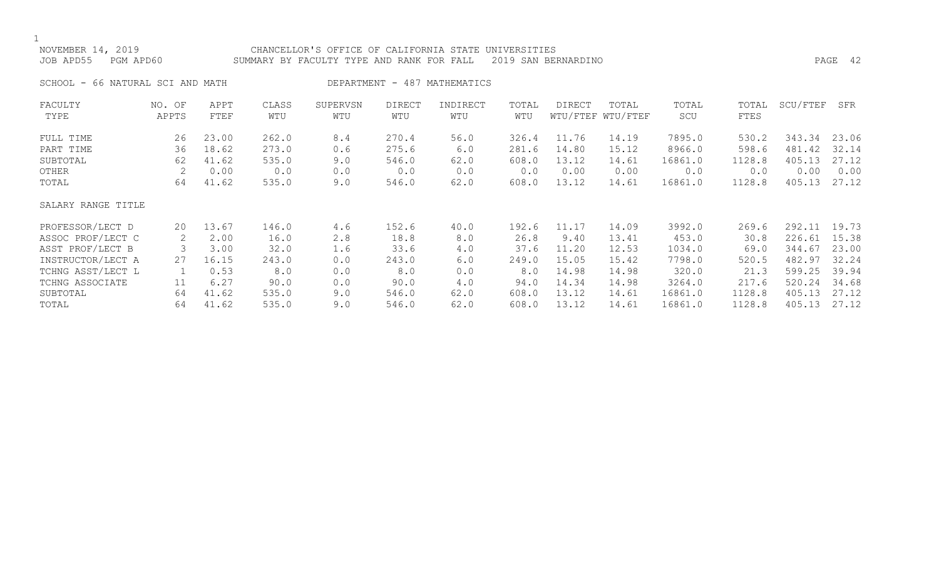1<br>NOVE

| NOVEMBER 14, 2019   | CHANCELLOR'S OFFICE OF CALIFORNIA STATE UNIVERSITIES          |         |  |
|---------------------|---------------------------------------------------------------|---------|--|
| JOB APD55 PGM APD60 | SUMMARY BY FACULTY TYPE AND RANK FOR FALL 2019 SAN BERNARDINO | PAGE 42 |  |

SCHOOL - 66 NATURAL SCI AND MATH DEPARTMENT - 487 MATHEMATICS

| FACULTY<br>TYPE    | NO. OF<br>APPTS | APPT<br>FTEF | CLASS<br>WTU | SUPERVSN<br>WTU | DIRECT<br>WTU | INDIRECT<br>WTU | TOTAL<br>WTU | DIRECT | TOTAL<br>WTU/FTEF WTU/FTEF | TOTAL<br>SCU | TOTAL<br>FTES | SCU/FTEF | SFR   |
|--------------------|-----------------|--------------|--------------|-----------------|---------------|-----------------|--------------|--------|----------------------------|--------------|---------------|----------|-------|
| FULL TIME          | 26              | 23.00        | 262.0        | 8.4             | 270.4         | 56.0            | 326.4        | 11.76  | 14.19                      | 7895.0       | 530.2         | 343.34   | 23.06 |
| PART TIME          | 36              | 18.62        | 273.0        | 0.6             | 275.6         | 6.0             | 281.6        | 14.80  | 15.12                      | 8966.0       | 598.6         | 481.42   | 32.14 |
| SUBTOTAL           | 62              | 41.62        | 535.0        | 9.0             | 546.0         | 62.0            | 608.0        | 13.12  | 14.61                      | 16861.0      | 1128.8        | 405.13   | 27.12 |
| OTHER              |                 | 0.00         | 0.0          | 0.0             | 0.0           | 0.0             | 0.0          | 0.00   | 0.00                       | 0.0          | 0.0           | 0.00     | 0.00  |
| TOTAL              | 64              | 41.62        | 535.0        | 9.0             | 546.0         | 62.0            | 608.0        | 13.12  | 14.61                      | 16861.0      | 1128.8        | 405.13   | 27.12 |
| SALARY RANGE TITLE |                 |              |              |                 |               |                 |              |        |                            |              |               |          |       |
| PROFESSOR/LECT D   | 20              | 13.67        | 146.0        | 4.6             | 152.6         | 40.0            | 192.6        | 11.17  | 14.09                      | 3992.0       | 269.6         | 292.11   | 19.73 |
| ASSOC PROF/LECT C  | 2               | 2.00         | 16.0         | 2.8             | 18.8          | 8.0             | 26.8         | 9.40   | 13.41                      | 453.0        | 30.8          | 226.61   | 15.38 |
| ASST PROF/LECT B   |                 | 3.00         | 32.0         | 1.6             | 33.6          | 4.0             | 37.6         | 11.20  | 12.53                      | 1034.0       | 69.0          | 344.67   | 23.00 |
| INSTRUCTOR/LECT A  | 27              | 16.15        | 243.0        | 0.0             | 243.0         | 6.0             | 249.0        | 15.05  | 15.42                      | 7798.0       | 520.5         | 482.97   | 32.24 |
| TCHNG ASST/LECT L  |                 | 0.53         | 8.0          | 0.0             | 8.0           | 0.0             | 8.0          | 14.98  | 14.98                      | 320.0        | 21.3          | 599.25   | 39.94 |
| TCHNG ASSOCIATE    | 11              | 6.27         | 90.0         | 0.0             | 90.0          | 4.0             | 94.0         | 14.34  | 14.98                      | 3264.0       | 217.6         | 520.24   | 34.68 |
| SUBTOTAL           | 64              | 41.62        | 535.0        | 9.0             | 546.0         | 62.0            | 608.0        | 13.12  | 14.61                      | 16861.0      | 1128.8        | 405.13   | 27.12 |
| TOTAL              | 64              | 41.62        | 535.0        | 9.0             | 546.0         | 62.0            | 608.0        | 13.12  | 14.61                      | 16861.0      | 1128.8        | 405.13   | 27.12 |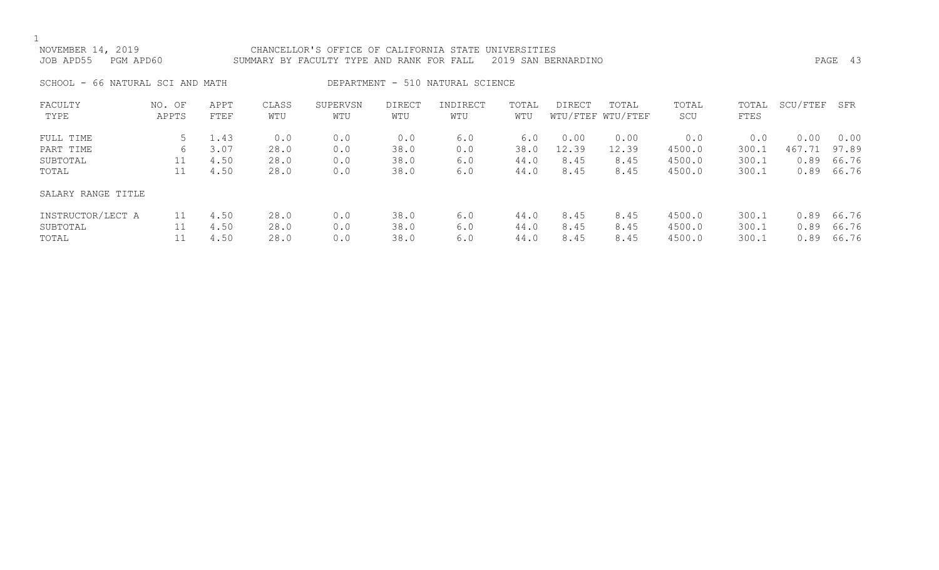1<br>NC

| NOVEMBER 14, 2019 |           | CHANCELLOR'S OFFICE OF CALIFORNIA STATE UNIVERSITIES          |  |      |  |
|-------------------|-----------|---------------------------------------------------------------|--|------|--|
| JOB APD55         | PGM APD60 | SUMMARY BY FACULTY TYPE AND RANK FOR FALL 2019 SAN BERNARDINO |  | PAGE |  |
|                   |           |                                                               |  |      |  |

SCHOOL - 66 NATURAL SCI AND MATH DEPARTMENT - 510 NATURAL SCIENCE

| FACULTY<br>TYPE                        | NO. OF<br>APPTS | APPT<br>FTEF         | CLASS<br>WTU         | SUPERVSN<br>WTU   | <b>DIRECT</b><br>WTU | INDIRECT<br>WTU   | TOTAL<br>WTU         | DIRECT               | TOTAL<br>WTU/FTEF WTU/FTEF | TOTAL<br>SCU               | TOTAL<br>FTES           | SCU/FTEF             | SFR                     |
|----------------------------------------|-----------------|----------------------|----------------------|-------------------|----------------------|-------------------|----------------------|----------------------|----------------------------|----------------------------|-------------------------|----------------------|-------------------------|
| FULL TIME                              |                 | 1.43                 | 0.0                  | 0.0               | 0.0                  | 6.0               | 6.0                  | 0.00                 | 0.00                       | 0.0                        | 0.0                     | 0.00                 | 0.00                    |
| PART TIME<br>SUBTOTAL                  | 6<br>11         | 3.07<br>4.50         | 28.0<br>28.0         | 0.0<br>0.0        | 38.0<br>38.0         | 0.0<br>6.0        | 38.0<br>44.0         | 12.39<br>8.45        | 12.39<br>8.45              | 4500.0<br>4500.0           | 300.1<br>300.1          | 467.71<br>0.89       | 97.89<br>66.76          |
| TOTAL                                  | 11              | 4.50                 | 28.0                 | 0.0               | 38.0                 | 6.0               | 44.0                 | 8.45                 | 8.45                       | 4500.0                     | 300.1                   | 0.89                 | 66.76                   |
| SALARY RANGE TITLE                     |                 |                      |                      |                   |                      |                   |                      |                      |                            |                            |                         |                      |                         |
| INSTRUCTOR/LECT A<br>SUBTOTAL<br>TOTAL | 11              | 4.50<br>4.50<br>4.50 | 28.0<br>28.0<br>28.0 | 0.0<br>0.0<br>0.0 | 38.0<br>38.0<br>38.0 | 6.0<br>6.0<br>6.0 | 44.0<br>44.0<br>44.0 | 8.45<br>8.45<br>8.45 | 8.45<br>8.45<br>8.45       | 4500.0<br>4500.0<br>4500.0 | 300.1<br>300.1<br>300.1 | 0.89<br>0.89<br>0.89 | 66.76<br>66.76<br>66.76 |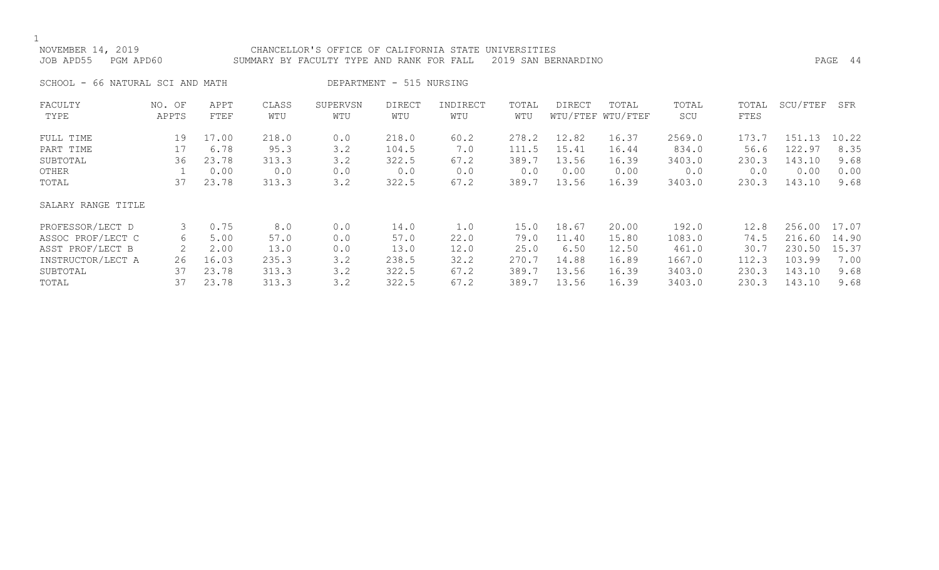### NOVEMBER 14, 2019 CHANCELLOR'S OFFICE OF CALIFORNIA STATE UNIVERSITIES JOB APD55 PGM APD60 SUMMARY BY FACULTY TYPE AND RANK FOR FALL 2019 SAN BERNARDINO PAGE 44

SCHOOL - 66 NATURAL SCI AND MATH DEPARTMENT - 515 NURSING

| FACULTY<br>TYPE    | NO. OF<br>APPTS | APPT<br>FTEF | CLASS<br>WTU | SUPERVSN<br>WTU | <b>DIRECT</b><br>WTU | INDIRECT<br>WTU | TOTAL<br>WTU | <b>DIRECT</b> | TOTAL<br>WTU/FTEF WTU/FTEF | TOTAL<br>SCU | TOTAL<br>FTES | SCU/FTEF   | SFR   |
|--------------------|-----------------|--------------|--------------|-----------------|----------------------|-----------------|--------------|---------------|----------------------------|--------------|---------------|------------|-------|
| FULL TIME          | 19              | 17.00        | 218.0        | 0.0             | 218.0                | 60.2            | 278.2        | 12.82         | 16.37                      | 2569.0       | 173.7         | 151<br>. 3 | 10.22 |
| PART TIME          | 17              | 6.78         | 95.3         | 3.2             | 104.5                | 7.0             | 111.5        | 15.41         | 16.44                      | 834.0        | 56.6          | 122.97     | 8.35  |
| SUBTOTAL           | 36              | 23.78        | 313.3        | 3.2             | 322.5                | 67.2            | 389.7        | 13.56         | 16.39                      | 3403.0       | 230.3         | 143.10     | 9.68  |
| OTHER              |                 | 0.00         | 0.0          | 0.0             | 0.0                  | 0.0             | 0.0          | 0.00          | 0.00                       | 0.0          | 0.0           | 0.00       | 0.00  |
| TOTAL              | 37              | 23.78        | 313.3        | 3.2             | 322.5                | 67.2            | 389.7        | 13.56         | 16.39                      | 3403.0       | 230.3         | 143.10     | 9.68  |
| SALARY RANGE TITLE |                 |              |              |                 |                      |                 |              |               |                            |              |               |            |       |
| PROFESSOR/LECT D   | 3               | 0.75         | 8.0          | 0.0             | 14.0                 | 1.0             | 15.0         | 18.67         | 20.00                      | 192.0        | 12.8          | 256.00     | 17.07 |
| ASSOC PROF/LECT C  | 6               | 5.00         | 57.0         | 0.0             | 57.0                 | 22.0            | 79.0         | 11.40         | 15.80                      | 1083.0       | 74.5          | 216.60     | 14.90 |
| ASST PROF/LECT B   |                 | 2.00         | 13.0         | 0.0             | 13.0                 | 12.0            | 25.0         | 6.50          | 12.50                      | 461.0        | 30.7          | 230.50     | 15.37 |
| INSTRUCTOR/LECT A  | 26              | 16.03        | 235.3        | 3.2             | 238.5                | 32.2            | 270.7        | 14.88         | 16.89                      | 1667.0       | 112.3         | 103.99     | 7.00  |
| SUBTOTAL           | 37              | 23.78        | 313.3        | 3.2             | 322.5                | 67.2            | 389.7        | 13.56         | 16.39                      | 3403.0       | 230.3         | 143.10     | 9.68  |
| TOTAL              | 37              | 23.78        | 313.3        | 3.2             | 322.5                | 67.2            | 389.7        | 13.56         | 16.39                      | 3403.0       | 230.3         | 143.10     | 9.68  |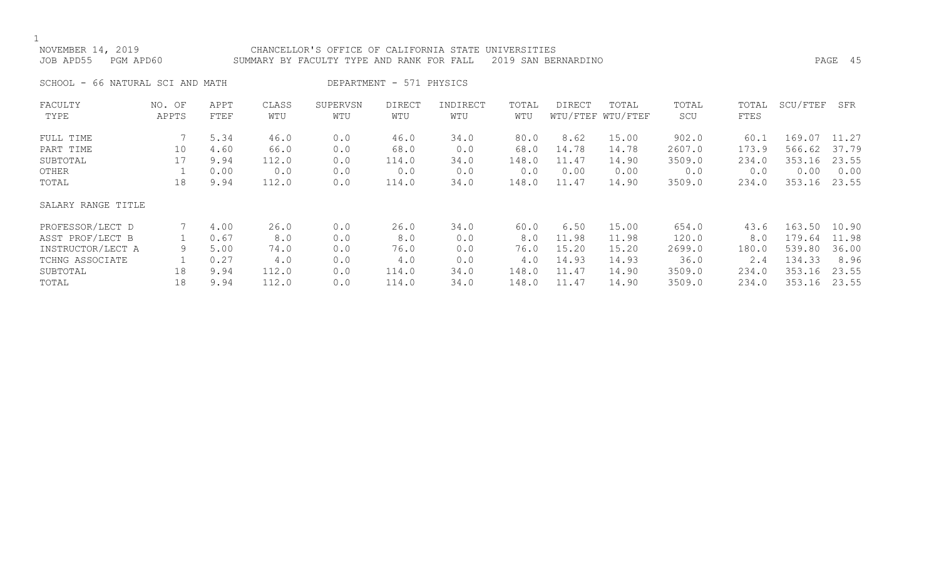1<br>NOVE

| NOVEMBER 14, 2019 |           | CHANCELLOR'S OFFICE OF CALIFORNIA STATE UNIVERSITIES          |         |  |
|-------------------|-----------|---------------------------------------------------------------|---------|--|
| JOB APD55         | PGM APD60 | SUMMARY BY FACULTY TYPE AND RANK FOR FALL 2019 SAN BERNARDINO | PAGE 45 |  |
|                   |           |                                                               |         |  |

SCHOOL - 66 NATURAL SCI AND MATH DEPARTMENT - 571 PHYSICS

| FACULTY            | NO. OF | APPT | CLASS | SUPERVSN | <b>DIRECT</b> | INDIRECT | TOTAL | <b>DIRECT</b> | TOTAL             | TOTAL  | TOTAL | SCU/FTEF | SFR   |
|--------------------|--------|------|-------|----------|---------------|----------|-------|---------------|-------------------|--------|-------|----------|-------|
| TYPE               | APPTS  | FTEF | WTU   | WTU      | WTU           | WTU      | WTU   |               | WTU/FTEF WTU/FTEF | SCU    | FTES  |          |       |
| FULL TIME          |        | 5.34 | 46.0  | 0.0      | 46.0          | 34.0     | 80.0  | 8.62          | 15.00             | 902.0  | 60.1  | 169.07   | 11.27 |
| PART TIME          | 10     | 4.60 | 66.0  | 0.0      | 68.0          | 0.0      | 68.0  | 14.78         | 14.78             | 2607.0 | 173.9 | 566.62   | 37.79 |
| SUBTOTAL           | 17     | 9.94 | 112.0 | 0.0      | 114.0         | 34.0     | 148.0 | 11.47         | 14.90             | 3509.0 | 234.0 | 353.16   | 23.55 |
| OTHER              |        | 0.00 | 0.0   | 0.0      | 0.0           | 0.0      | 0.0   | 0.00          | 0.00              | 0.0    | 0.0   | 0.00     | 0.00  |
| TOTAL              | 18     | 9.94 | 112.0 | 0.0      | 114.0         | 34.0     | 148.0 | 11.47         | 14.90             | 3509.0 | 234.0 | 353.16   | 23.55 |
| SALARY RANGE TITLE |        |      |       |          |               |          |       |               |                   |        |       |          |       |
| PROFESSOR/LECT D   |        | 4.00 | 26.0  | 0.0      | 26.0          | 34.0     | 60.0  | 6.50          | 15.00             | 654.0  | 43.6  | 163.50   | 10.90 |
| ASST PROF/LECT B   |        | 0.67 | 8.0   | 0.0      | 8.0           | 0.0      | 8.0   | 11.98         | 11.98             | 120.0  | 8.0   | 179.64   | 11.98 |
| INSTRUCTOR/LECT A  | 9      | 5.00 | 74.0  | 0.0      | 76.0          | 0.0      | 76.0  | 15.20         | 15.20             | 2699.0 | 180.0 | 539.80   | 36.00 |
| TCHNG ASSOCIATE    |        | 0.27 | 4.0   | 0.0      | 4.0           | 0.0      | 4.0   | 14.93         | 14.93             | 36.0   | 2.4   | 134.33   | 8.96  |
| SUBTOTAL           | 18     | 9.94 | 112.0 | 0.0      | 114.0         | 34.0     | 148.0 | 11.47         | 14.90             | 3509.0 | 234.0 | 353.16   | 23.55 |
| TOTAL              | 18     | 9.94 | 112.0 | 0.0      | 114.0         | 34.0     | 148.0 | 11.47         | 14.90             | 3509.0 | 234.0 | 353.16   | 23.55 |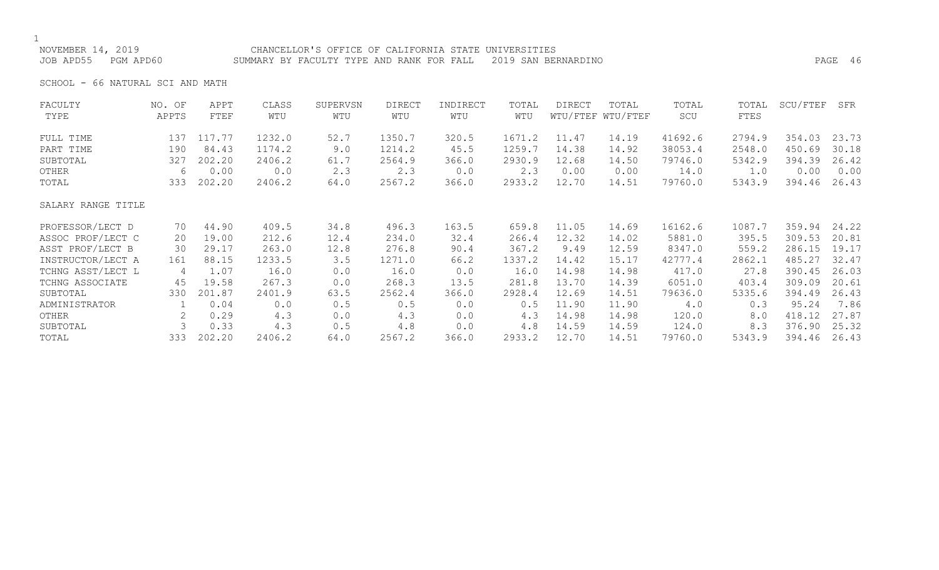NOVEMBER 14, 2019 CHANCELLOR'S OFFICE OF CALIFORNIA STATE UNIVERSITIES JOB APD55 PGM APD60 SUMMARY BY FACULTY TYPE AND RANK FOR FALL 2019 SAN BERNARDINO PAGE 46

SCHOOL - 66 NATURAL SCI AND MATH

| NO. OF             | APPT   | CLASS  | SUPERVSN | <b>DIRECT</b> | INDIRECT | TOTAL  | <b>DIRECT</b> | TOTAL    | TOTAL    | TOTAL  | SCU/FTEF | SFR   |
|--------------------|--------|--------|----------|---------------|----------|--------|---------------|----------|----------|--------|----------|-------|
| APPTS              | FTEF   | WTU    | WTU      | WTU           | WTU      | WTU    |               | WTU/FTEF | SCU      | FTES   |          |       |
| 137                | 117.77 | 1232.0 | 52.7     | 1350.7        | 320.5    | 1671.2 | 11.47         | 14.19    | 41692.6  | 2794.9 | 354.03   | 23.73 |
| 190                | 84.43  | 1174.2 | 9.0      | 1214.2        | 45.5     | 1259.7 | 14.38         | 14.92    | 38053.4  | 2548.0 | 450.69   | 30.18 |
| 327                | 202.20 | 2406.2 | 61.7     | 2564.9        | 366.0    | 2930.9 | 12.68         | 14.50    | 79746.0  | 5342.9 | 394.39   | 26.42 |
| 6                  | 0.00   | 0.0    | 2.3      | 2.3           | 0.0      | 2.3    | 0.00          | 0.00     | 14.0     | 1.0    | 0.00     | 0.00  |
| 333                | 202.20 | 2406.2 | 64.0     | 2567.2        | 366.0    | 2933.2 | 12.70         | 14.51    | 79760.0  | 5343.9 | 394.46   | 26.43 |
| SALARY RANGE TITLE |        |        |          |               |          |        |               |          |          |        |          |       |
| 70                 | 44.90  | 409.5  | 34.8     | 496.3         | 163.5    | 659.8  | 11.05         | 14.69    | 16162.6  | 1087.7 | 359.94   | 24.22 |
| 20                 | 19.00  | 212.6  | 12.4     | 234.0         | 32.4     | 266.4  | 12.32         | 14.02    | 5881.0   | 395.5  | 309.53   | 20.81 |
| 30                 | 29.17  | 263.0  | 12.8     | 276.8         | 90.4     | 367.2  | 9.49          | 12.59    | 8347.0   | 559.2  | 286.15   | 19.17 |
| 161                | 88.15  | 1233.5 | 3.5      | 1271.0        | 66.2     | 1337.2 | 14.42         | 15.17    | 42777.4  | 2862.1 | 485.27   | 32.47 |
| 4                  | 1.07   | 16.0   | 0.0      | 16.0          | 0.0      | 16.0   | 14.98         | 14.98    | 417.0    | 27.8   | 390.45   | 26.03 |
| 45                 | 19.58  | 267.3  | 0.0      | 268.3         | 13.5     | 281.8  | 13.70         | 14.39    | 6051.0   | 403.4  | 309.09   | 20.61 |
| 330                | 201.87 | 2401.9 | 63.5     | 2562.4        | 366.0    | 2928.4 | 12.69         | 14.51    | 79636.0  | 5335.6 | 394.49   | 26.43 |
|                    | 0.04   | 0.0    | 0.5      | 0.5           | 0.0      | 0.5    | 11.90         | 11.90    | 4.0      | 0.3    | 95.24    | 7.86  |
| 2                  | 0.29   | 4.3    | 0.0      | 4.3           | 0.0      | 4.3    | 14.98         | 14.98    | 120.0    | 8.0    | 418.12   | 27.87 |
|                    | 0.33   | 4.3    | 0.5      | 4.8           | 0.0      | 4.8    | 14.59         | 14.59    | 124.0    | 8.3    | 376.90   | 25.32 |
| 333                | 202.20 | 2406.2 | 64.0     | 2567.2        | 366.0    | 2933.2 | 12.70         | 14.51    | 79760.0  | 5343.9 | 394.46   | 26.43 |
|                    |        |        |          |               |          |        |               |          | WTU/FTEF |        |          |       |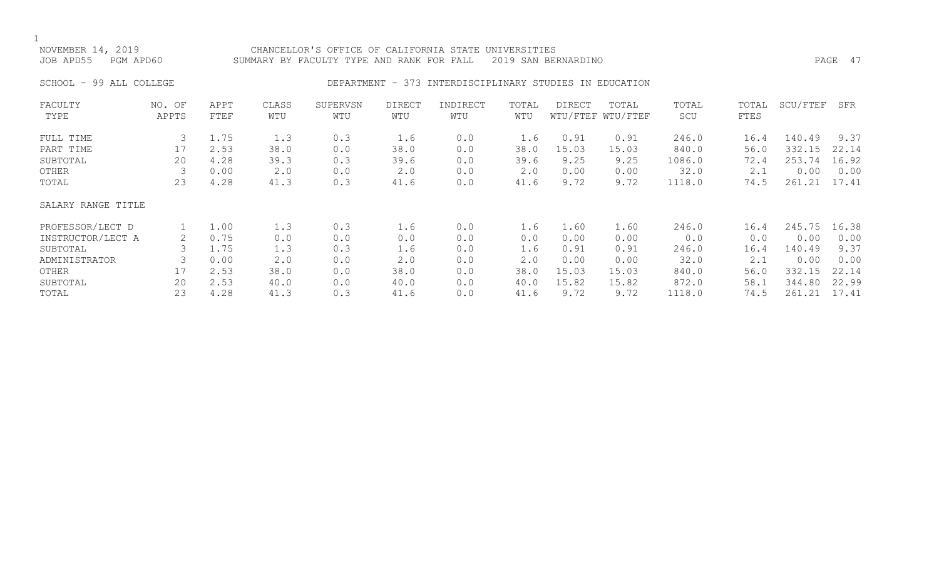### NOVEMBER 14, 2019 CHANCELLOR'S OFFICE OF CALIFORNIA STATE UNIVERSITIES JOB APD55 PGM APD60 SUMMARY BY FACULTY TYPE AND RANK FOR FALL 2019 SAN BERNARDINO PAGE 47

### SCHOOL - 99 ALL COLLEGE THE REPARTMENT - 373 INTERDISCIPLINARY STUDIES IN EDUCATION

| FACULTY            | NO. OF | APPT | CLASS       | SUPERVSN | <b>DIRECT</b> | INDIRECT | TOTAL | DIRECT | TOTAL             | TOTAL  | TOTAL | SCU/FTEF | SFR   |
|--------------------|--------|------|-------------|----------|---------------|----------|-------|--------|-------------------|--------|-------|----------|-------|
| TYPE               | APPTS  | FTEF | WTU         | WTU      | WTU           | WTU      | WTU   |        | WTU/FTEF WTU/FTEF | SCU    | FTES  |          |       |
| FULL TIME          | 3      | 1.75 | 1.3         | 0.3      | 1.6           | 0.0      | 1.6   | 0.91   | 0.91              | 246.0  | 16.4  | 140.49   | 9.37  |
| PART TIME          | 17     | 2.53 | 38.0        | 0.0      | 38.0          | 0.0      | 38.0  | 15.03  | 15.03             | 840.0  | 56.0  | 332.15   | 22.14 |
| SUBTOTAL           | 20     | 4.28 | 39.3        | 0.3      | 39.6          | 0.0      | 39.6  | 9.25   | 9.25              | 1086.0 | 72.4  | 253.74   | 16.92 |
| OTHER              |        | 0.00 | $2 \cdot 0$ | 0.0      | 2.0           | 0.0      | 2.0   | 0.00   | 0.00              | 32.0   | 2.1   | 0.00     | 0.00  |
| TOTAL              | 23     | 4.28 | 41.3        | 0.3      | 41.6          | 0.0      | 41.6  | 9.72   | 9.72              | 1118.0 | 74.5  | 261.21   | 17.41 |
| SALARY RANGE TITLE |        |      |             |          |               |          |       |        |                   |        |       |          |       |
| PROFESSOR/LECT D   |        | 1.00 | 1.3         | 0.3      | 1.6           | 0.0      | 1.6   | 1.60   | 1.60              | 246.0  | 16.4  | 245.75   | 16.38 |
| INSTRUCTOR/LECT A  |        | 0.75 | 0.0         | 0.0      | 0.0           | 0.0      | 0.0   | 0.00   | 0.00              | 0.0    | 0.0   | 0.00     | 0.00  |
| SUBTOTAL           |        | 1.75 | 1.3         | 0.3      | 1.6           | 0.0      | 1.6   | 0.91   | 0.91              | 246.0  | 16.4  | 140.49   | 9.37  |
| ADMINISTRATOR      | 3      | 0.00 | $2 \cdot 0$ | 0.0      | 2.0           | 0.0      | 2.0   | 0.00   | 0.00              | 32.0   | 2.1   | 0.00     | 0.00  |
| OTHER              | 17     | 2.53 | 38.0        | 0.0      | 38.0          | 0.0      | 38.0  | 15.03  | 15.03             | 840.0  | 56.0  | 332.15   | 22.14 |
| SUBTOTAL           | 20     | 2.53 | 40.0        | 0.0      | 40.0          | 0.0      | 40.0  | 15.82  | 15.82             | 872.0  | 58.1  | 344.80   | 22.99 |
| TOTAL              | 23     | 4.28 | 41.3        | 0.3      | 41.6          | 0.0      | 41.6  | 9.72   | 9.72              | 1118.0 | 74.5  | 261.21   | 17.41 |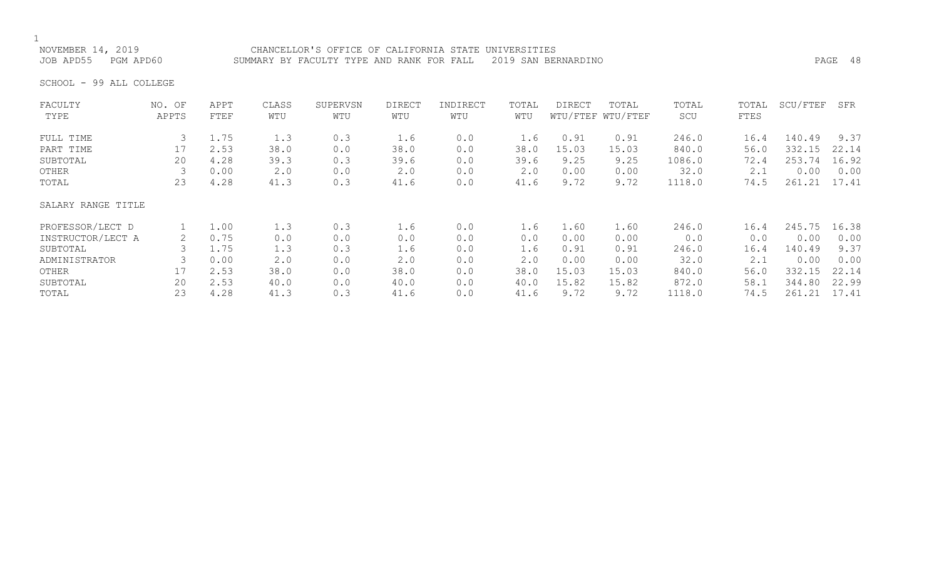# 1<br>NOVEMBER 14, 2019

NOVEMBER 14, 2019 CHANCELLOR'S OFFICE OF CALIFORNIA STATE UNIVERSITIES SUMMARY BY FACULTY TYPE AND RANK FOR FALL 2019 SAN BERNARDINO **PAGE 48** 

SCHOOL - 99 ALL COLLEGE

| FACULTY            | NO. OF | APPT | CLASS | SUPERVSN | <b>DIRECT</b> | INDIRECT | TOTAL | <b>DIRECT</b> | TOTAL             | TOTAL  | TOTAL | SCU/FTEF | SFR   |
|--------------------|--------|------|-------|----------|---------------|----------|-------|---------------|-------------------|--------|-------|----------|-------|
| TYPE               | APPTS  | FTEF | WTU   | WTU      | WTU           | WTU      | WTU   |               | WTU/FTEF WTU/FTEF | SCU    | FTES  |          |       |
| FULL TIME          |        | 1.75 | 1.3   | 0.3      | 1.6           | 0.0      | 1.6   | 0.91          | 0.91              | 246.0  | 16.4  | 140.49   | 9.37  |
| PART TIME          | 17     | 2.53 | 38.0  | 0.0      | 38.0          | 0.0      | 38.0  | 15.03         | 15.03             | 840.0  | 56.0  | 332.15   | 22.14 |
| SUBTOTAL           | 20     | 4.28 | 39.3  | 0.3      | 39.6          | 0.0      | 39.6  | 9.25          | 9.25              | 1086.0 | 72.4  | 253.74   | 16.92 |
| OTHER              |        | 0.00 | 2.0   | 0.0      | 2.0           | 0.0      | 2.0   | 0.00          | 0.00              | 32.0   | 2.1   | 0.00     | 0.00  |
| TOTAL              | 23     | 4.28 | 41.3  | 0.3      | 41.6          | 0.0      | 41.6  | 9.72          | 9.72              | 1118.0 | 74.5  | 261.21   | 17.41 |
| SALARY RANGE TITLE |        |      |       |          |               |          |       |               |                   |        |       |          |       |
| PROFESSOR/LECT D   |        | 1.00 | 1.3   | 0.3      | 1.6           | 0.0      | 1.6   | 1.60          | 1.60              | 246.0  | 16.4  | 245.75   | 16.38 |
| INSTRUCTOR/LECT A  |        | 0.75 | 0.0   | 0.0      | 0.0           | 0.0      | 0.0   | 0.00          | 0.00              | 0.0    | 0.0   | 0.00     | 0.00  |
| SUBTOTAL           |        | 1.75 | 1.3   | 0.3      | 1.6           | 0.0      | 1.6   | 0.91          | 0.91              | 246.0  | 16.4  | 140.49   | 9.37  |
| ADMINISTRATOR      |        | 0.00 | 2.0   | 0.0      | 2.0           | 0.0      | 2.0   | 0.00          | 0.00              | 32.0   | 2.1   | 0.00     | 0.00  |
| OTHER              | 17     | 2.53 | 38.0  | 0.0      | 38.0          | 0.0      | 38.0  | 15.03         | 15.03             | 840.0  | 56.0  | 332.15   | 22.14 |
| SUBTOTAL           | 20     | 2.53 | 40.0  | 0.0      | 40.0          | 0.0      | 40.0  | 15.82         | 15.82             | 872.0  | 58.1  | 344.80   | 22.99 |
| TOTAL              | 23     | 4.28 | 41.3  | 0.3      | 41.6          | 0.0      | 41.6  | 9.72          | 9.72              | 1118.0 | 74.5  | 261.21   | 17.41 |